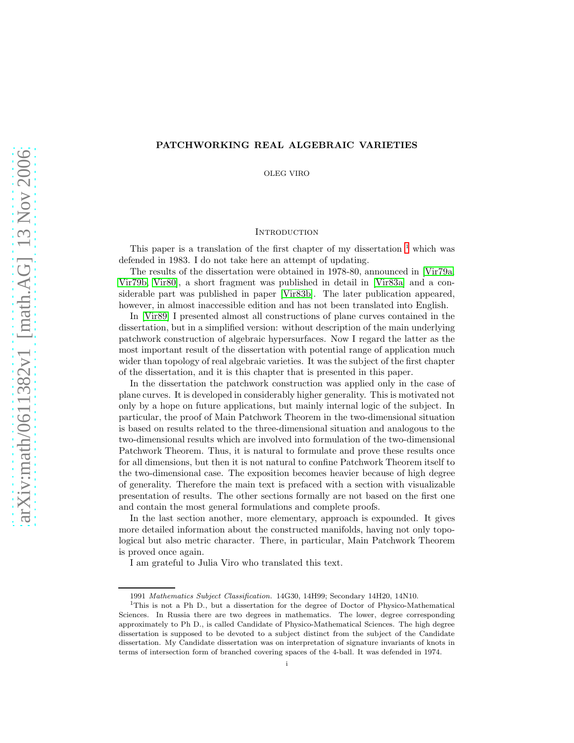# PATCHWORKING REAL ALGEBRAIC VARIETIES

OLEG VIRO

## **INTRODUCTION**

<span id="page-0-1"></span>This paper is a translation of the first chapter of my dissertation  $<sup>1</sup>$  $<sup>1</sup>$  $<sup>1</sup>$  which was</sup> defended in 1983. I do not take here an attempt of updating.

The results of the dissertation were obtained in 1978-80, announced in [\[Vir79a,](#page-47-0) [Vir79b,](#page-47-1) [Vir80\]](#page-47-2), a short fragment was published in detail in [\[Vir83a\]](#page-47-3) and a considerable part was published in paper [\[Vir83b\]](#page-47-4). The later publication appeared, however, in almost inaccessible edition and has not been translated into English.

In [\[Vir89\]](#page-47-5) I presented almost all constructions of plane curves contained in the dissertation, but in a simplified version: without description of the main underlying patchwork construction of algebraic hypersurfaces. Now I regard the latter as the most important result of the dissertation with potential range of application much wider than topology of real algebraic varieties. It was the subject of the first chapter of the dissertation, and it is this chapter that is presented in this paper.

In the dissertation the patchwork construction was applied only in the case of plane curves. It is developed in considerably higher generality. This is motivated not only by a hope on future applications, but mainly internal logic of the subject. In particular, the proof of Main Patchwork Theorem in the two-dimensional situation is based on results related to the three-dimensional situation and analogous to the two-dimensional results which are involved into formulation of the two-dimensional Patchwork Theorem. Thus, it is natural to formulate and prove these results once for all dimensions, but then it is not natural to confine Patchwork Theorem itself to the two-dimensional case. The exposition becomes heavier because of high degree of generality. Therefore the main text is prefaced with a section with visualizable presentation of results. The other sections formally are not based on the first one and contain the most general formulations and complete proofs.

In the last section another, more elementary, approach is expounded. It gives more detailed information about the constructed manifolds, having not only topological but also metric character. There, in particular, Main Patchwork Theorem is proved once again.

I am grateful to Julia Viro who translated this text.

<span id="page-0-0"></span><sup>1991</sup> *Mathematics Subject Classification.* 14G30, 14H99; Secondary 14H20, 14N10.

<sup>1</sup>This is not a Ph D., but a dissertation for the degree of Doctor of Physico-Mathematical Sciences. In Russia there are two degrees in mathematics. The lower, degree corresponding approximately to Ph D., is called Candidate of Physico-Mathematical Sciences. The high degree dissertation is supposed to be devoted to a subject distinct from the subject of the Candidate dissertation. My Candidate dissertation was on interpretation of signature invariants of knots in terms of intersection form of branched covering spaces of the 4-ball. It was defended in 1974.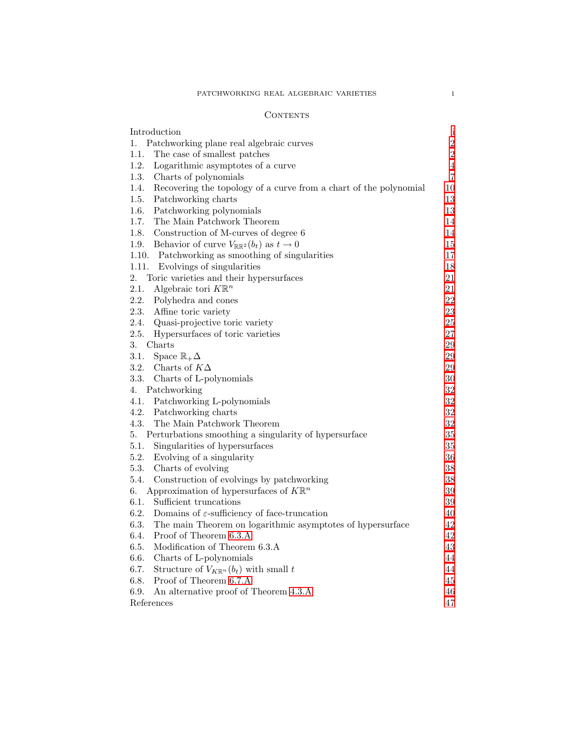# CONTENTS

| Introduction                                                              | $\rm i$        |
|---------------------------------------------------------------------------|----------------|
| Patchworking plane real algebraic curves<br>1.                            | $\sqrt{2}$     |
| 1.1.<br>The case of smallest patches                                      | $\overline{2}$ |
| 1.2.<br>Logarithmic asymptotes of a curve                                 | $\overline{4}$ |
| 1.3.<br>Charts of polynomials                                             | $\overline{7}$ |
| 1.4.<br>Recovering the topology of a curve from a chart of the polynomial | 10             |
| 1.5.<br>Patchworking charts                                               | 13             |
| 1.6.<br>Patchworking polynomials                                          | 13             |
| 1.7.<br>The Main Patchwork Theorem                                        | 14             |
| 1.8.<br>Construction of M-curves of degree 6                              | 14             |
| 1.9.<br>Behavior of curve $V_{\mathbb{R}\mathbb{R}^2}(b_t)$ as $t \to 0$  | 15             |
| 1.10. Patchworking as smoothing of singularities                          | $17\,$         |
| 1.11. Evolvings of singularities                                          | $18\,$         |
| 2.<br>Toric varieties and their hypersurfaces                             | 21             |
| 2.1.<br>Algebraic tori $K\mathbb{R}^n$                                    | 21             |
| 2.2.<br>Polyhedra and cones                                               | 22             |
| 2.3.<br>Affine toric variety                                              | 23             |
| 2.4.<br>Quasi-projective toric variety                                    | 25             |
| 2.5.<br>Hypersurfaces of toric varieties                                  | 27             |
| 3.<br>Charts                                                              | 29             |
| 3.1.<br>Space $\mathbb{R}_+ \Delta$                                       | 29             |
| 3.2.<br>Charts of $K\Delta$                                               | 29             |
| 3.3.<br>Charts of L-polynomials                                           | $30\,$         |
| 4.<br>Patchworking                                                        | 32             |
| 4.1.<br>Patchworking L-polynomials                                        | 32             |
| 4.2.<br>Patchworking charts                                               | $32\,$         |
| 4.3.<br>The Main Patchwork Theorem                                        | $32\,$         |
| 5.<br>Perturbations smoothing a singularity of hypersurface               | 35             |
| 5.1.<br>Singularities of hypersurfaces                                    | 35             |
| 5.2.<br>Evolving of a singularity                                         | 36             |
| 5.3.<br>Charts of evolving                                                | 38             |
| 5.4.<br>Construction of evolvings by patchworking                         | 38             |
| 6.<br>Approximation of hypersurfaces of $K\mathbb{R}^n$                   | 39             |
| 6.1.<br>Sufficient truncations                                            | 39             |
| 6.2.<br>Domains of $\varepsilon$ -sufficiency of face-truncation          | 40             |
| 6.3.<br>The main Theorem on logarithmic asymptotes of hypersurface        | 42             |
| 6.4.<br>Proof of Theorem 6.3.A                                            | 42             |
| 6.5.<br>Modification of Theorem 6.3.A                                     | 43             |
| 6.6.<br>Charts of L-polynomials                                           | 44             |
| 6.7.<br>Structure of $V_{K\mathbb{R}^n}(b_t)$ with small t                | 44             |
| 6.8.<br>Proof of Theorem 6.7.A                                            | 45             |
| 6.9.<br>An alternative proof of Theorem 4.3.A                             | 46             |
| References                                                                | 47             |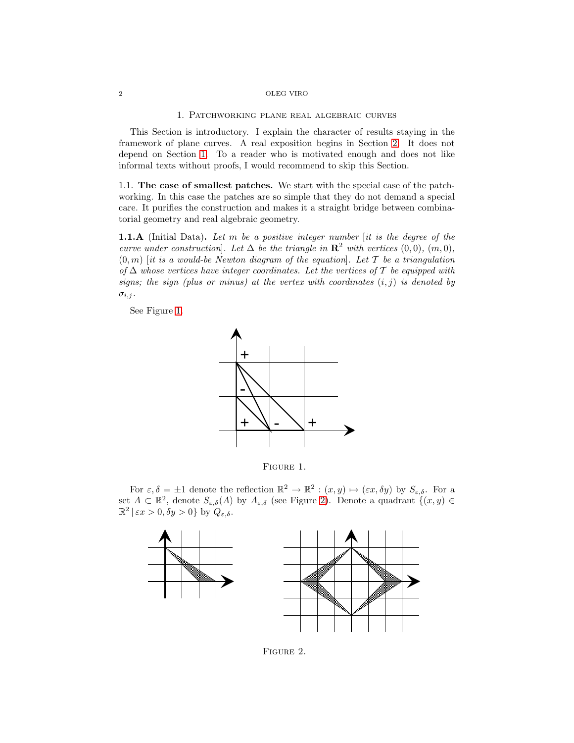### 1. Patchworking plane real algebraic curves

<span id="page-2-0"></span>This Section is introductory. I explain the character of results staying in the framework of plane curves. A real exposition begins in Section [2.](#page-21-0) It does not depend on Section [1.](#page-2-0) To a reader who is motivated enough and does not like informal texts without proofs, I would recommend to skip this Section.

<span id="page-2-1"></span>1.1. The case of smallest patches. We start with the special case of the patchworking. In this case the patches are so simple that they do not demand a special care. It purifies the construction and makes it a straight bridge between combinatorial geometry and real algebraic geometry.

1.1.A (Initial Data). *Let* m *be a positive integer number* [*it is the degree of the curve under construction*]. Let  $\Delta$  *be the triangle in*  $\mathbb{R}^2$  *with vertices*  $(0,0)$ *,*  $(m,0)$ *,* (0, m) [*it is a would-be Newton diagram of the equation*]*. Let* T *be a triangulation of* ∆ *whose vertices have integer coordinates. Let the vertices of* T *be equipped with signs; the sign (plus or minus) at the vertex with coordinates*  $(i, j)$  *is denoted by*  $\sigma_{i,j}$ .

See Figure [1.](#page-2-2)



<span id="page-2-2"></span>FIGURE 1.

For  $\varepsilon, \delta = \pm 1$  denote the reflection  $\mathbb{R}^2 \to \mathbb{R}^2 : (x, y) \mapsto (\varepsilon x, \delta y)$  by  $S_{\varepsilon, \delta}$ . For a set  $A \subset \mathbb{R}^2$ , denote  $S_{\varepsilon,\delta}(A)$  by  $A_{\varepsilon,\delta}$  (see Figure [2\)](#page-2-3). Denote a quadrant  $\{(x,y) \in$  $\mathbb{R}^2 \mid \varepsilon x > 0, \delta y > 0$ } by  $Q_{\varepsilon, \delta}$ .



<span id="page-2-3"></span>FIGURE 2.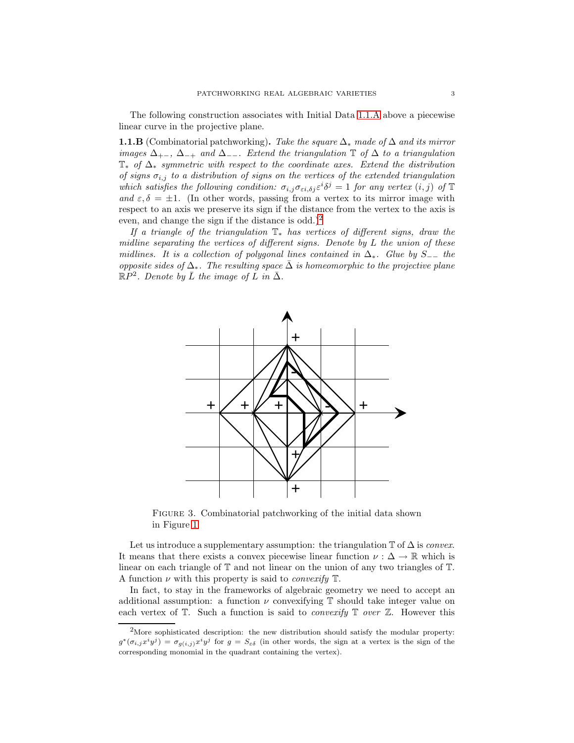The following construction associates with Initial Data [1.1.A](#page-19-0) above a piecewise linear curve in the projective plane.

1.1.B (Combinatorial patchworking). *Take the square* ∆<sup>∗</sup> *made of* ∆ *and its mirror images*  $\Delta_{+-}$ ,  $\Delta_{-+}$  *and*  $\Delta_{--}$ *. Extend the triangulation*  $\mathbb T$  *of*  $\Delta$  *to a triangulation* T<sup>∗</sup> *of* ∆<sup>∗</sup> *symmetric with respect to the coordinate axes. Extend the distribution of signs*  $\sigma_{i,j}$  *to a distribution of signs on the vertices of the extended triangulation* which satisfies the following condition:  $\sigma_{i,j}\sigma_{\varepsilon i,\delta j}\varepsilon^{i}\delta^{j}=1$  for any vertex  $(i, j)$  of  $\mathbb T$ *and*  $\varepsilon, \delta = \pm 1$ . (In other words, passing from a vertex to its mirror image with respect to an axis we preserve its sign if the distance from the vertex to the axis is even, and change the sign if the distance is odd.)<sup>[2](#page-3-0)</sup>

*If a triangle of the triangulation* T<sup>∗</sup> *has vertices of different signs, draw the midline separating the vertices of different signs. Denote by* L *the union of these midlines. It is a collection of polygonal lines contained in* ∆∗*. Glue by* S−− *the opposite sides of* ∆∗*. The resulting space* ∆¯ *is homeomorphic to the projective plane*  $\mathbb{R}P^2$ . Denote by  $\overline{L}$  the image of  $L$  in  $\overline{\Delta}$ .



<span id="page-3-1"></span>Figure 3. Combinatorial patchworking of the initial data shown in Figure [1](#page-2-2)

Let us introduce a supplementary assumption: the triangulation  $\mathbb{T}$  of  $\Delta$  is *convex*. It means that there exists a convex piecewise linear function  $\nu : \Delta \to \mathbb{R}$  which is linear on each triangle of T and not linear on the union of any two triangles of T. A function ν with this property is said to *convexify* T.

In fact, to stay in the frameworks of algebraic geometry we need to accept an additional assumption: a function  $\nu$  convexifying  $\mathbb T$  should take integer value on each vertex of T. Such a function is said to *convexify* T *over* Z. However this

<span id="page-3-0"></span><sup>&</sup>lt;sup>2</sup>More sophisticated description: the new distribution should satisfy the modular property:  $g^*(\sigma_{i,j}x^iy^j) = \sigma_{g(i,j)}x^iy^j$  for  $g = S_{\varepsilon\delta}$  (in other words, the sign at a vertex is the sign of the corresponding monomial in the quadrant containing the vertex).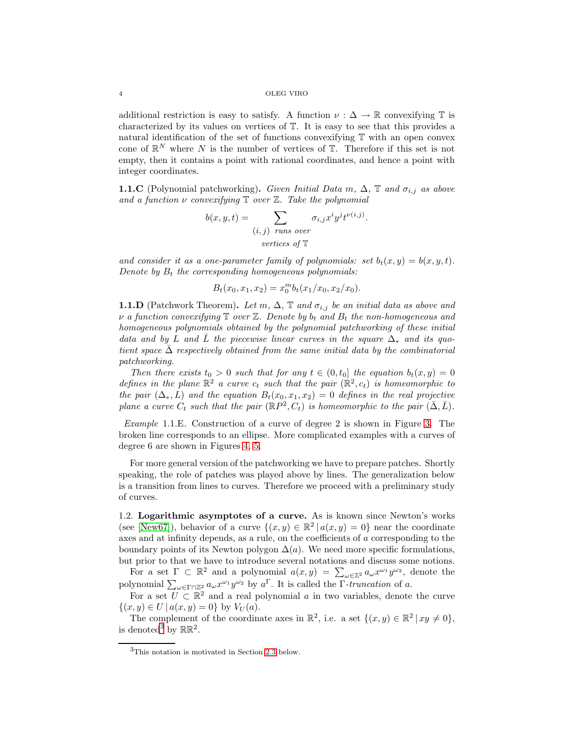additional restriction is easy to satisfy. A function  $\nu : \Delta \to \mathbb{R}$  convexifying  $\mathbb{T}$  is characterized by its values on vertices of T. It is easy to see that this provides a natural identification of the set of functions convexifying T with an open convex cone of  $\mathbb{R}^N$  where N is the number of vertices of  $\mathbb{T}$ . Therefore if this set is not empty, then it contains a point with rational coordinates, and hence a point with integer coordinates.

1.1.C (Polynomial patchworking). *Given Initial Data* m,  $\Delta$ ,  $\mathbb{T}$  and  $\sigma_{i,j}$  as above *and a function* ν *convexifying* T *over* Z*. Take the polynomial*

$$
b(x, y, t) = \sum_{\substack{(i, j) \text{ runs over} \\ vertices of } \mathbb{T}}
$$

*and consider it as a one-parameter family of polynomials: set*  $b_t(x, y) = b(x, y, t)$ . *Denote by*  $B_t$  *the corresponding homogeneous polynomials:* 

$$
B_t(x_0, x_1, x_2) = x_0^m b_t(x_1/x_0, x_2/x_0).
$$

**1.1.D** (Patchwork Theorem). Let m,  $\Delta$ ,  $\mathbb{T}$  and  $\sigma_{i,j}$  be an initial data as above and  $\nu$  *a function convexifying*  $\mathbb T$  *over*  $\mathbb Z$ *. Denote by*  $b_t$  *and*  $B_t$  *the non-homogeneous and homogeneous polynomials obtained by the polynomial patchworking of these initial data and by* L and L the piecewise linear curves in the square  $\Delta_*$  and its quo*tient space*  $\Delta$  *respectively obtained from the same initial data by the combinatorial patchworking.*

*Then there exists*  $t_0 > 0$  *such that for any*  $t \in (0, t_0]$  *the equation*  $b_t(x, y) = 0$ *defines in the plane*  $\mathbb{R}^2$  *a curve*  $c_t$  *such that the pair*  $(\mathbb{R}^2, c_t)$  *is homeomorphic to the pair*  $(\Delta_*, L)$  *and the equation*  $B_t(x_0, x_1, x_2) = 0$  *defines in the real projective plane a curve*  $C_t$  *such that the pair*  $(\mathbb{R}P^2, C_t)$  *is homeomorphic to the pair*  $(\bar{\Delta}, \bar{L})$ *.* 

*Example* 1.1.E*.* Construction of a curve of degree 2 is shown in Figure [3.](#page-3-1) The broken line corresponds to an ellipse. More complicated examples with a curves of degree 6 are shown in Figures [4,](#page-5-0) [5.](#page-6-0)

For more general version of the patchworking we have to prepare patches. Shortly speaking, the role of patches was played above by lines. The generalization below is a transition from lines to curves. Therefore we proceed with a preliminary study of curves.

<span id="page-4-0"></span>1.2. Logarithmic asymptotes of a curve. As is known since Newton's works (see [\[New67\]](#page-47-7)), behavior of a curve  $\{(x, y) \in \mathbb{R}^2 \mid a(x, y) = 0\}$  near the coordinate axes and at infinity depends, as a rule, on the coefficients of a corresponding to the boundary points of its Newton polygon  $\Delta(a)$ . We need more specific formulations, but prior to that we have to introduce several notations and discuss some notions.

For a set  $\Gamma \subset \mathbb{R}^2$  and a polynomial  $a(x, y) = \sum_{\omega \in \mathbb{Z}^2} a_{\omega} x^{\omega_1} y^{\omega_2}$ , denote the polynomial  $\sum_{\omega \in \Gamma \cap \mathbb{Z}^2} a_{\omega} x^{\omega_1} y^{\omega_2}$  by  $a^{\Gamma}$ . It is called the  $\Gamma$ -truncation of a.

For a set  $U \subset \mathbb{R}^2$  and a real polynomial a in two variables, denote the curve  $\{(x, y) \in U \mid a(x, y) = 0\}$  by  $V_U(a)$ .

The complement of the coordinate axes in  $\mathbb{R}^2$ , i.e. a set  $\{(x, y) \in \mathbb{R}^2 \mid xy \neq 0\}$ , is denoted<sup>[3](#page-4-1)</sup> by  $\mathbb{RR}^2$ .

<span id="page-4-1"></span><sup>3</sup>This notation is motivated in Section [2.3](#page-23-0) below.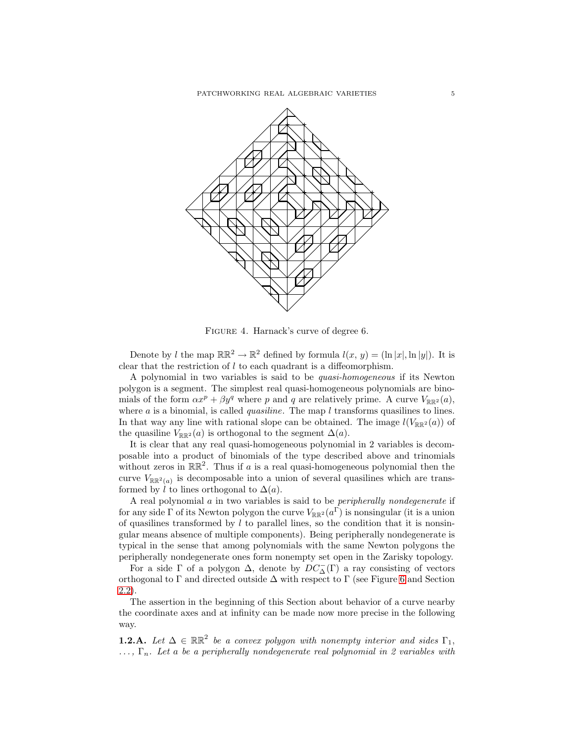

<span id="page-5-0"></span>Figure 4. Harnack's curve of degree 6.

Denote by l the map  $\mathbb{RR}^2 \to \mathbb{R}^2$  defined by formula  $l(x, y) = (\ln |x|, \ln |y|)$ . It is clear that the restriction of  $l$  to each quadrant is a diffeomorphism.

A polynomial in two variables is said to be *quasi-homogeneous* if its Newton polygon is a segment. The simplest real quasi-homogeneous polynomials are binomials of the form  $\alpha x^p + \beta y^q$  where p and q are relatively prime. A curve  $V_{\mathbb{R}\mathbb{R}^2}(a)$ , where  $a$  is a binomial, is called *quasiline*. The map  $l$  transforms quasilines to lines. In that way any line with rational slope can be obtained. The image  $l(V_{\mathbb{RR}^2}(a))$  of the quasiline  $V_{\mathbb{R}\mathbb{R}^2}(a)$  is orthogonal to the segment  $\Delta(a)$ .

It is clear that any real quasi-homogeneous polynomial in 2 variables is decomposable into a product of binomials of the type described above and trinomials without zeros in  $\mathbb{RR}^2$ . Thus if a is a real quasi-homogeneous polynomial then the curve  $V_{\mathbb{RR}^2(a)}$  is decomposable into a union of several quasilines which are transformed by l to lines orthogonal to  $\Delta(a)$ .

A real polynomial a in two variables is said to be *peripherally nondegenerate* if for any side  $\Gamma$  of its Newton polygon the curve  $V_{\mathbb{R}\mathbb{R}^2}(a^{\Gamma})$  is nonsingular (it is a union of quasilines transformed by  $l$  to parallel lines, so the condition that it is nonsingular means absence of multiple components). Being peripherally nondegenerate is typical in the sense that among polynomials with the same Newton polygons the peripherally nondegenerate ones form nonempty set open in the Zarisky topology.

For a side  $\Gamma$  of a polygon  $\Delta$ , denote by  $DC_{\Delta}^{-}(\Gamma)$  a ray consisting of vectors orthogonal to  $\Gamma$  and directed outside  $\Delta$  with respect to  $\Gamma$  (see Figure [6](#page-6-1) and Section [2.2\)](#page-22-0).

The assertion in the beginning of this Section about behavior of a curve nearby the coordinate axes and at infinity can be made now more precise in the following way.

**1.2.A.** Let  $\Delta \in \mathbb{RR}^2$  be a convex polygon with nonempty interior and sides  $\Gamma_1$ , *. . . ,* Γn*. Let* a *be a peripherally nondegenerate real polynomial in 2 variables with*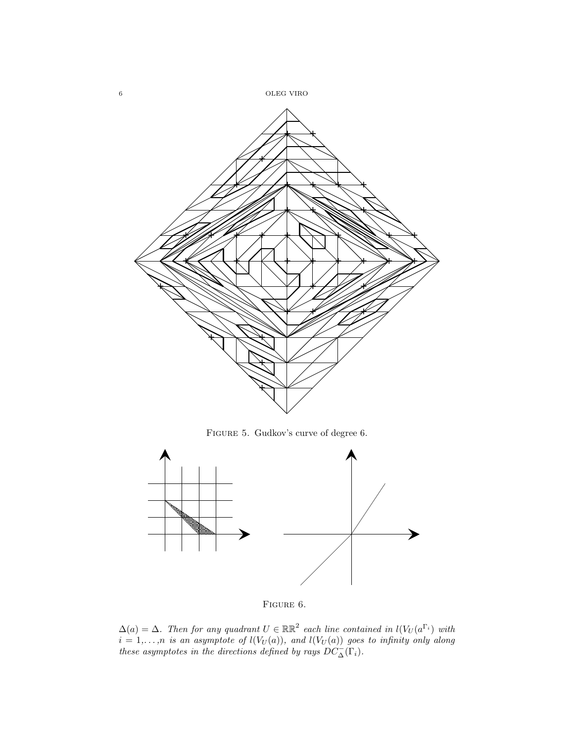

<span id="page-6-0"></span>FIGURE 5. Gudkov's curve of degree 6.



<span id="page-6-1"></span>Figure 6.

 $\Delta(a) = \Delta$ . Then for any quadrant  $U \in \mathbb{RR}^2$  each line contained in  $l(V_U(a^{\Gamma_i})$  with  $i = 1, \ldots, n$  *is an asymptote of*  $l(V_U(a))$ *, and*  $l(V_U(a))$  goes to infinity only along *these asymptotes in the directions defined by rays*  $\overline{DC_{\Delta}}(\Gamma_i)$ *.*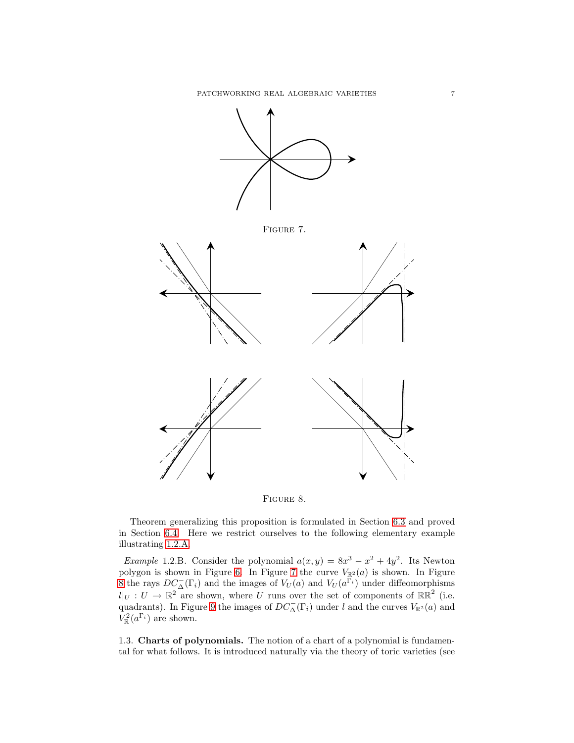

<span id="page-7-1"></span>



<span id="page-7-2"></span>

Theorem generalizing this proposition is formulated in Section [6.3](#page-42-0) and proved in Section [6.4.](#page-42-1) Here we restrict ourselves to the following elementary example illustrating [1.2.A.](#page-19-0)

*Example* 1.2.B. Consider the polynomial  $a(x, y) = 8x^3 - x^2 + 4y^2$ . Its Newton polygon is shown in Figure [6.](#page-6-1) In Figure [7](#page-7-1) the curve  $V_{\mathbb{R}^2}(a)$  is shown. In Figure [8](#page-7-2) the rays  $DC_{\Delta}^{-}(\Gamma_i)$  and the images of  $V_U(a)$  and  $V_U(a^{\Gamma_i})$  under diffeomorphisms  $l|_U: U \to \mathbb{R}^2$  are shown, where U runs over the set of components of  $\mathbb{R} \mathbb{R}^2$  (i.e. quadrants). In Figure [9](#page-8-0) the images of  $DC_{\Delta}^{-}(\Gamma_i)$  under l and the curves  $V_{\mathbb{R}^2}(a)$  and  $V_{\mathbb{R}}^{2}(a^{\Gamma_i})$  are shown.

<span id="page-7-0"></span>1.3. Charts of polynomials. The notion of a chart of a polynomial is fundamental for what follows. It is introduced naturally via the theory of toric varieties (see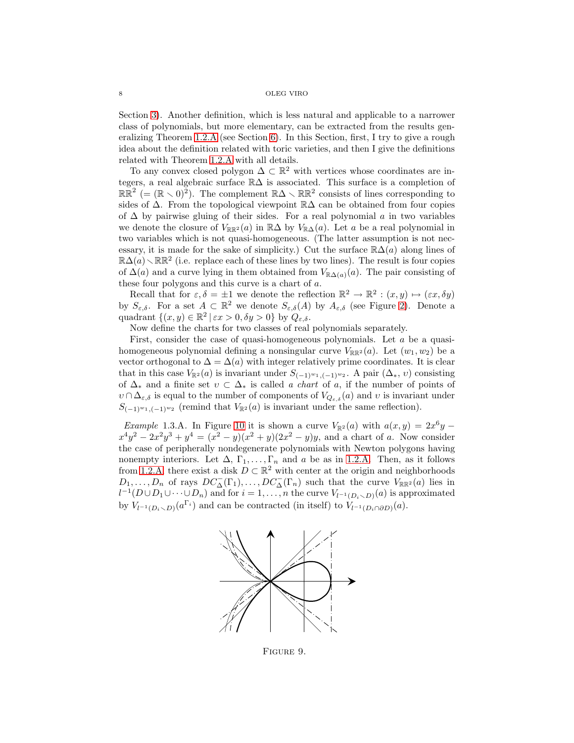Section [3\)](#page-29-0). Another definition, which is less natural and applicable to a narrower class of polynomials, but more elementary, can be extracted from the results generalizing Theorem [1.2.A](#page-19-0) (see Section [6\)](#page-39-0). In this Section, first, I try to give a rough idea about the definition related with toric varieties, and then I give the definitions related with Theorem [1.2.A](#page-19-0) with all details.

To any convex closed polygon  $\Delta \subset \mathbb{R}^2$  with vertices whose coordinates are integers, a real algebraic surface R∆ is associated. This surface is a completion of  $\mathbb{RR}^2$  (=  $(\mathbb{R} \setminus 0)^2$ ). The complement  $\mathbb{R}\Delta \setminus \mathbb{RR}^2$  consists of lines corresponding to sides of  $\Delta$ . From the topological viewpoint  $\mathbb{R}\Delta$  can be obtained from four copies of  $\Delta$  by pairwise gluing of their sides. For a real polynomial a in two variables we denote the closure of  $V_{\mathbb{R}\mathbb{R}^2}(a)$  in  $\mathbb{R}\Delta$  by  $V_{\mathbb{R}\Delta}(a)$ . Let a be a real polynomial in two variables which is not quasi-homogeneous. (The latter assumption is not necessary, it is made for the sake of simplicity.) Cut the surface  $\mathbb{R}\Delta(a)$  along lines of  $\mathbb{R}\Delta(a)\setminus\mathbb{R}\mathbb{R}^2$  (i.e. replace each of these lines by two lines). The result is four copies of  $\Delta(a)$  and a curve lying in them obtained from  $V_{\mathbb{R}\Delta(a)}(a)$ . The pair consisting of these four polygons and this curve is a chart of a.

Recall that for  $\varepsilon, \delta = \pm 1$  we denote the reflection  $\mathbb{R}^2 \to \mathbb{R}^2 : (x, y) \mapsto (\varepsilon x, \delta y)$ by  $S_{\varepsilon,\delta}$ . For a set  $A \subset \mathbb{R}^2$  we denote  $S_{\varepsilon,\delta}(A)$  by  $A_{\varepsilon,\delta}$  (see Figure [2\)](#page-2-3). Denote a quadrant  $\{(x, y) \in \mathbb{R}^2 \mid \varepsilon x > 0, \delta y > 0\}$  by  $Q_{\varepsilon, \delta}$ .

Now define the charts for two classes of real polynomials separately.

First, consider the case of quasi-homogeneous polynomials. Let a be a quasihomogeneous polynomial defining a nonsingular curve  $V_{\mathbb{R}\mathbb{R}^2}(a)$ . Let  $(w_1, w_2)$  be a vector orthogonal to  $\Delta = \Delta(a)$  with integer relatively prime coordinates. It is clear that in this case  $V_{\mathbb{R}^2}(a)$  is invariant under  $S_{(-1)^{w_1},(-1)^{w_2}}$ . A pair  $(\Delta_*, v)$  consisting of  $\Delta_*$  and a finite set  $v \subset \Delta_*$  is called *a chart* of *a*, if the number of points of  $v \cap \Delta_{\varepsilon,\delta}$  is equal to the number of components of  $V_{Q_{\varepsilon,\delta}}(a)$  and v is invariant under  $S_{(-1)^{w_1},(-1)^{w_2}}$  (remind that  $V_{\mathbb{R}^2}(a)$  is invariant under the same reflection).

*Example* 1.3.A. In Figure [10](#page-9-0) it is shown a curve  $V_{\mathbb{R}^2}(a)$  with  $a(x,y) = 2x^6y$  $x^4y^2 - 2x^2y^3 + y^4 = (x^2 - y)(x^2 + y)(2x^2 - y)y$ , and a chart of a. Now consider the case of peripherally nondegenerate polynomials with Newton polygons having nonempty interiors. Let  $\Delta, \Gamma_1, \ldots, \Gamma_n$  and a be as in [1.2.A.](#page-19-0) Then, as it follows from [1.2.A,](#page-19-0) there exist a disk  $D \subset \mathbb{R}^2$  with center at the origin and neighborhoods  $D_1, \ldots, D_n$  of rays  $DC_{\Delta}^{-}(\Gamma_1), \ldots, DC_{\Delta}^{-}(\Gamma_n)$  such that the curve  $V_{\mathbb{RR}^2}(a)$  lies in  $l^{-1}(D\cup D_1\cup\cdots\cup D_n)$  and for  $i=1,\ldots,n$  the curve  $V_{l^{-1}(D_i\setminus D)}(a)$  is approximated by  $V_{l^{-1}(D_i \setminus D)}(a^{\Gamma_i})$  and can be contracted (in itself) to  $V_{l^{-1}(D_i \cap \partial D)}(a)$ .



<span id="page-8-0"></span>Figure 9.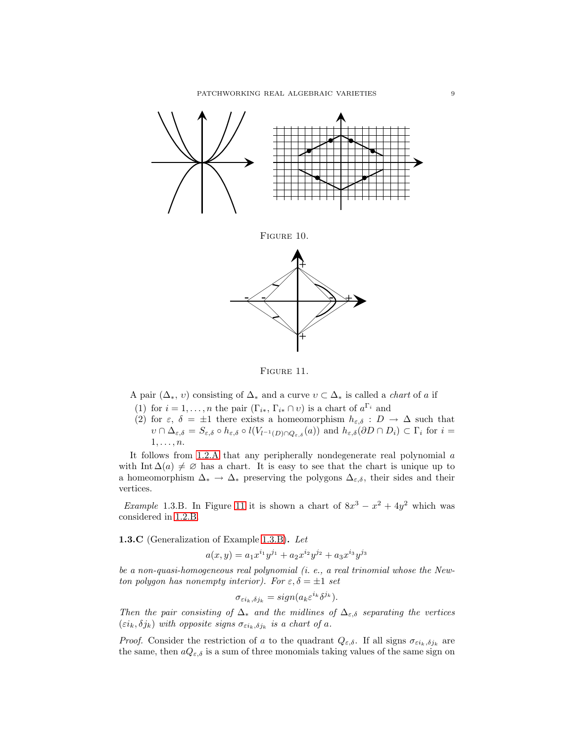

<span id="page-9-1"></span><span id="page-9-0"></span>FIGURE 11.

- A pair  $(\Delta_*, v)$  consisting of  $\Delta_*$  and a curve  $v \subset \Delta_*$  is called a *chart* of a if
- (1) for  $i = 1, ..., n$  the pair  $(\Gamma_{i*}, \Gamma_{i*} \cap v)$  is a chart of  $a^{\Gamma_i}$  and
- (2) for  $\varepsilon$ ,  $\delta = \pm 1$  there exists a homeomorphism  $h_{\varepsilon,\delta} : D \to \Delta$  such that  $v \cap \Delta_{\varepsilon,\delta} = S_{\varepsilon,\delta} \circ h_{\varepsilon,\delta} \circ l(V_{l^{-1}(D) \cap Q_{\varepsilon,\delta}}(a))$  and  $h_{\varepsilon,\delta}(\partial D \cap D_i) \subset \Gamma_i$  for  $i =$  $1, \ldots, n$ .

It follows from [1.2.A](#page-19-0) that any peripherally nondegenerate real polynomial  $\alpha$ with Int  $\Delta(a) \neq \emptyset$  has a chart. It is easy to see that the chart is unique up to a homeomorphism  $\Delta_* \to \Delta_*$  preserving the polygons  $\Delta_{\varepsilon,\delta}$ , their sides and their vertices.

*Example* 1.3.B. In Figure [11](#page-9-1) it is shown a chart of  $8x^3 - x^2 + 4y^2$  which was considered in [1.2.B.](#page-14-2)

1.3.C (Generalization of Example [1.3.B\)](#page-14-2). *Let*

$$
a(x,y) = a_1 x^{i_1} y^{j_1} + a_2 x^{i_2} y^{j_2} + a_3 x^{i_3} y^{j_3}
$$

*be a non-quasi-homogeneous real polynomial (i. e., a real trinomial whose the Newton polygon has nonempty interior). For*  $\varepsilon, \delta = \pm 1$  *set* 

$$
\sigma_{\varepsilon i_k, \delta j_k} = sign(a_k \varepsilon^{i_k} \delta^{j_k}).
$$

*Then the pair consisting of*  $\Delta_*$  *and the midlines of*  $\Delta_{\varepsilon,\delta}$  *separating the vertices*  $(\varepsilon i_k, \delta j_k)$  *with opposite signs*  $\sigma_{\varepsilon i_k, \delta j_k}$  *is a chart of a.* 

*Proof.* Consider the restriction of a to the quadrant  $Q_{\varepsilon,\delta}$ . If all signs  $\sigma_{\varepsilon i_k,\delta j_k}$  are the same, then  $aQ_{\varepsilon,\delta}$  is a sum of three monomials taking values of the same sign on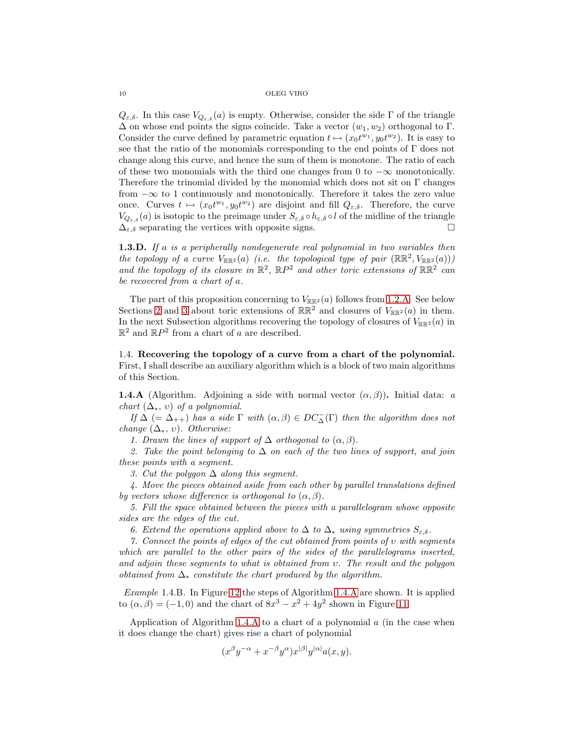$Q_{\varepsilon,\delta}$ . In this case  $V_{Q_{\varepsilon,\delta}}(a)$  is empty. Otherwise, consider the side Γ of the triangle  $\Delta$  on whose end points the signs coincide. Take a vector  $(w_1, w_2)$  orthogonal to  $\Gamma$ . Consider the curve defined by parametric equation  $t \mapsto (x_0 t^{w_1}, y_0 t^{w_2})$ . It is easy to see that the ratio of the monomials corresponding to the end points of  $\Gamma$  does not change along this curve, and hence the sum of them is monotone. The ratio of each of these two monomials with the third one changes from 0 to  $-\infty$  monotonically. Therefore the trinomial divided by the monomial which does not sit on  $\Gamma$  changes from  $-\infty$  to 1 continuously and monotonically. Therefore it takes the zero value once. Curves  $t \mapsto (x_0 t^{w_1}, y_0 t^{w_2})$  are disjoint and fill  $Q_{\varepsilon,\delta}$ . Therefore, the curve  $V_{Q_{\varepsilon,\delta}}(a)$  is isotopic to the preimage under  $S_{\varepsilon,\delta} \circ h_{\varepsilon,\delta} \circ l$  of the midline of the triangle  $\Delta_{\varepsilon,\delta}$  separating the vertices with opposite signs.

1.3.D. *If* a *is a peripherally nondegenerate real polynomial in two variables then* the topology of a curve  $V_{\mathbb{R}\mathbb{R}^2}(a)$  (i.e. the topological type of pair  $(\mathbb{R}\mathbb{R}^2, V_{\mathbb{R}\mathbb{R}^2}(a))$ ) and the topology of its closure in  $\mathbb{R}^2$ ,  $\mathbb{R}P^2$  and other toric extensions of  $\mathbb{R} \mathbb{R}^2$  can *be recovered from a chart of* a*.*

The part of this proposition concerning to  $V_{\mathbb{R}\mathbb{R}^2}(a)$  follows from [1.2.A.](#page-19-0) See below Sections [2](#page-21-0) and [3](#page-29-0) about toric extensions of  $\mathbb{RR}^2$  and closures of  $V_{\mathbb{RR}^2}(a)$  in them. In the next Subsection algorithms recovering the topology of closures of  $V_{\mathbb{R}\mathbb{R}^2}(a)$  in  $\mathbb{R}^2$  and  $\mathbb{R}P^2$  from a chart of a are described.

<span id="page-10-0"></span>1.4. Recovering the topology of a curve from a chart of the polynomial. First, I shall describe an auxiliary algorithm which is a block of two main algorithms of this Section.

**1.4.A** (Algorithm. Adjoining a side with normal vector  $(\alpha, \beta)$ ). Initial data: *a chart*  $(\Delta_*, v)$  *of a polynomial.* 

*If*  $\Delta$  (=  $\Delta_{++}$ ) *has a side*  $\Gamma$  *with*  $(\alpha, \beta) \in DC_{\Delta}(\Gamma)$  *then the algorithm does not change* (∆∗, υ)*. Otherwise:*

*1. Drawn the lines of support of*  $\Delta$  *orthogonal to*  $(\alpha, \beta)$ *.* 

*2. Take the point belonging to* ∆ *on each of the two lines of support, and join these points with a segment.*

*3. Cut the polygon* ∆ *along this segment.*

*4. Move the pieces obtained aside from each other by parallel translations defined by vectors whose difference is orthogonal to*  $(\alpha, \beta)$ *.* 

*5. Fill the space obtained between the pieces with a parallelogram whose opposite sides are the edges of the cut.*

6. Extend the operations applied above to  $\Delta$  to  $\Delta_*$  *using symmetries*  $S_{\varepsilon,\delta}$ .

*7. Connect the points of edges of the cut obtained from points of* υ *with segments which are parallel to the other pairs of the sides of the parallelograms inserted, and adjoin these segments to what is obtained from* υ*. The result and the polygon obtained from* ∆<sup>∗</sup> *constitute the chart produced by the algorithm.*

*Example* 1.4.B*.* In Figure [12](#page-11-0) the steps of Algorithm [1.4.A](#page-19-0) are shown. It is applied to  $(\alpha, \beta) = (-1, 0)$  and the chart of  $8x^3 - x^2 + 4y^2$  shown in Figure [11.](#page-9-1)

Application of Algorithm [1.4.A](#page-19-0) to a chart of a polynomial  $\alpha$  (in the case when it does change the chart) gives rise a chart of polynomial

$$
(x^{\beta}y^{-\alpha}+x^{-\beta}y^{\alpha})x^{|\beta|}y^{|\alpha|}a(x,y).
$$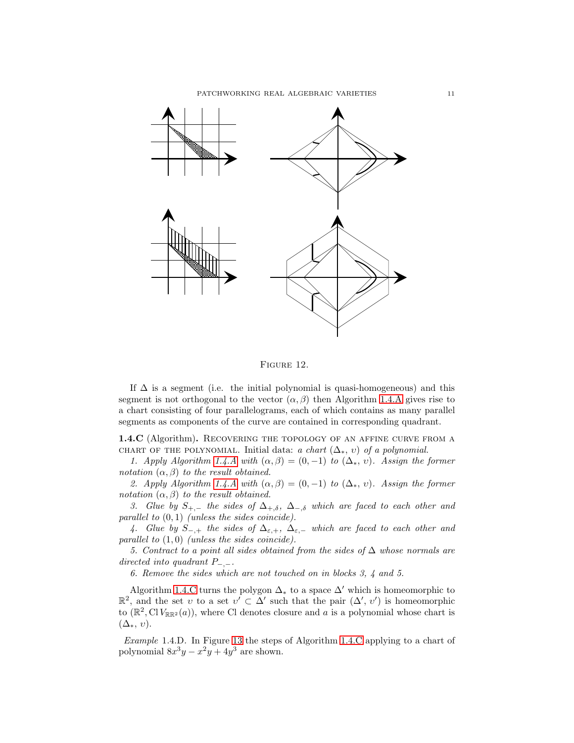

<span id="page-11-0"></span>FIGURE 12.

If  $\Delta$  is a segment (i.e. the initial polynomial is quasi-homogeneous) and this segment is not orthogonal to the vector  $(\alpha, \beta)$  then Algorithm [1.4.A](#page-19-0) gives rise to a chart consisting of four parallelograms, each of which contains as many parallel segments as components of the curve are contained in corresponding quadrant.

<span id="page-11-1"></span>1.4.C (Algorithm). Recovering the topology of an affine curve from a CHART OF THE POLYNOMIAL. Initial data: *a chart*  $(\Delta_*, v)$  *of a polynomial.* 

*1. Apply Algorithm [1.4.A](#page-19-0)* with  $(\alpha, \beta) = (0, -1)$  to  $(\Delta_*, v)$ *. Assign the former notation*  $(\alpha, \beta)$  *to the result obtained.* 

*2. Apply Algorithm [1.4.A](#page-19-0)* with  $(\alpha, \beta) = (0, -1)$  to  $(\Delta_*, v)$ *. Assign the former notation*  $(\alpha, \beta)$  *to the result obtained.* 

*3. Glue by* S+,<sup>−</sup> *the sides of* ∆+,δ*,* ∆−,δ *which are faced to each other and parallel to* (0, 1) *(unless the sides coincide).*

*4. Glue by* S−,<sup>+</sup> *the sides of* ∆ε,+*,* ∆ε,<sup>−</sup> *which are faced to each other and parallel to* (1, 0) *(unless the sides coincide).*

*5. Contract to a point all sides obtained from the sides of* ∆ *whose normals are directed into quadrant* P−,−*.*

*6. Remove the sides which are not touched on in blocks 3, 4 and 5.*

Algorithm [1.4.C](#page-11-1) turns the polygon  $\Delta_*$  to a space  $\Delta'$  which is homeomorphic to  $\mathbb{R}^2$ , and the set v to a set  $v' \subset \Delta'$  such that the pair  $(\Delta', v')$  is homeomorphic to  $(\mathbb{R}^2, \text{Cl } V_{\mathbb{R}\mathbb{R}^2}(a))$ , where Cl denotes closure and a is a polynomial whose chart is  $(\Delta_*, v).$ 

<span id="page-11-2"></span>*Example* 1.4.D*.* In Figure [13](#page-12-0) the steps of Algorithm [1.4.C](#page-11-1) applying to a chart of polynomial  $8x^3y - x^2y + 4y^3$  are shown.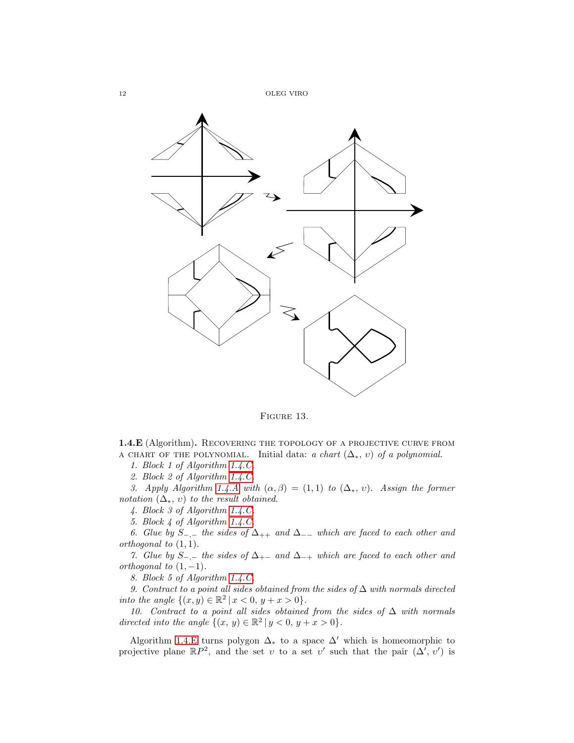

<span id="page-12-0"></span>FIGURE 13.

<span id="page-12-1"></span>1.4.E (Algorithm). Recovering the topology of a projective curve from A CHART OF THE POLYNOMIAL. Initial data: *a chart*  $(\Delta_*, v)$  *of a polynomial.* 

*1. Block 1 of Algorithm [1.4.C.](#page-11-1)*

*2. Block 2 of Algorithm [1.4.C.](#page-11-1)*

*3. Apply Algorithm [1.4.A](#page-19-0)* with  $(\alpha, \beta) = (1, 1)$  to  $(\Delta_*, v)$ *. Assign the former notation*  $(\Delta_*, v)$  *to the result obtained.* 

*4. Block 3 of Algorithm [1.4.C.](#page-11-1)*

*5. Block 4 of Algorithm [1.4.C.](#page-11-1)*

*6. Glue by*  $S_{-,-}$  *the sides of*  $\Delta_{++}$  *and*  $\Delta_{--}$  *which are faced to each other and orthogonal to* (1, 1)*.*

*7. Glue by* S−,<sup>−</sup> *the sides of* ∆<sup>+</sup><sup>−</sup> *and* ∆−<sup>+</sup> *which are faced to each other and orthogonal to*  $(1, -1)$ *.* 

*8. Block 5 of Algorithm [1.4.C.](#page-11-1)*

*9. Contract to a point all sides obtained from the sides of* ∆ *with normals directed into the angle*  $\{(x, y) \in \mathbb{R}^2 \mid x < 0, y + x > 0\}.$ 

*10. Contract to a point all sides obtained from the sides of* ∆ *with normals directed into the angle*  $\{(x, y) \in \mathbb{R}^2 \mid y < 0, y + x > 0\}.$ 

Algorithm [1.4.E](#page-12-1) turns polygon  $\Delta_{*}$  to a space  $\Delta'$  which is homeomorphic to projective plane  $\mathbb{R}P^2$ , and the set v to a set v' such that the pair  $(\Delta', v')$  is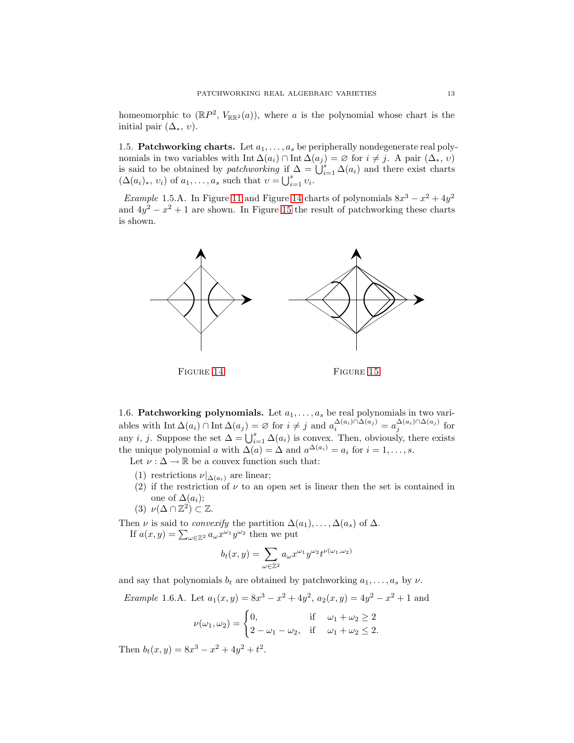homeomorphic to  $(\mathbb{R}P^2, V_{\mathbb{R}R^2}(a))$ , where a is the polynomial whose chart is the initial pair  $(\Delta_*, v)$ .

<span id="page-13-0"></span>1.5. Patchworking charts. Let  $a_1, \ldots, a_s$  be peripherally nondegenerate real polynomials in two variables with Int  $\Delta(a_i) \cap \text{Int } \Delta(a_j) = \emptyset$  for  $i \neq j$ . A pair  $(\Delta_*, v)$ is said to be obtained by *patchworking* if  $\Delta = \bigcup_{i=1}^{s} \Delta(a_i)$  and there exist charts  $(\Delta(a_i)_*, v_i)$  of  $a_1, \ldots, a_s$  such that  $v = \bigcup_{i=1}^s v_i$ .

*Example* 1.5.A. In Figure [11](#page-9-1) and Figure [14](#page-13-2) charts of polynomials  $8x^3 - x^2 + 4y^2$ and  $4y^2 - x^2 + 1$  are shown. In Figure [15](#page-13-3) the result of patchworking these charts is shown.



<span id="page-13-2"></span><span id="page-13-1"></span>1.6. Patchworking polynomials. Let  $a_1, \ldots, a_s$  be real polynomials in two variables with  $\text{Int }\Delta(a_i) \cap \text{Int }\Delta(a_j) = \varnothing$  for  $i \neq j$  and  $a_i^{\Delta(a_i) \cap \Delta(a_j)} = a_j^{\Delta(a_i) \cap \Delta(a_j)}$  for any *i*, *j*. Suppose the set  $\Delta = \bigcup_{i=1}^{s} \Delta(a_i)$  is convex. Then, obviously, there exists the unique polynomial a with  $\Delta(a) = \Delta$  and  $a^{\Delta(a_i)} = a_i$  for  $i = 1, ..., s$ . Let  $\nu : \Delta \to \mathbb{R}$  be a convex function such that:

<span id="page-13-5"></span><span id="page-13-4"></span>(1) restrictions  $\nu|_{\Delta(a_i)}$  are linear;

- (2) if the restriction of  $\nu$  to an open set is linear then the set is contained in one of  $\Delta(a_i);$
- <span id="page-13-6"></span>(3)  $\nu(\Delta \cap \mathbb{Z}^2) \subset \mathbb{Z}$ .

Then  $\nu$  is said to *convexify* the partition  $\Delta(a_1), \ldots, \Delta(a_s)$  of  $\Delta$ . If  $a(x, y) = \sum_{\omega \in \mathbb{Z}^2} a_{\omega} x^{\omega_1} y^{\omega_2}$  then we put

<span id="page-13-3"></span>
$$
b_t(x,y) = \sum_{\omega \in \mathbb{Z}^2} a_{\omega} x^{\omega_1} y^{\omega_2} t^{\nu(\omega_1,\omega_2)}
$$

and say that polynomials  $b_t$  are obtained by patchworking  $a_1, \ldots, a_s$  by  $\nu$ .

*Example* 1.6.A. Let  $a_1(x, y) = 8x^3 - x^2 + 4y^2$ ,  $a_2(x, y) = 4y^2 - x^2 + 1$  and

$$
\nu(\omega_1, \omega_2) = \begin{cases} 0, & \text{if } \omega_1 + \omega_2 \ge 2 \\ 2 - \omega_1 - \omega_2, & \text{if } \omega_1 + \omega_2 \le 2. \end{cases}
$$

Then  $b_t(x, y) = 8x^3 - x^2 + 4y^2 + t^2$ .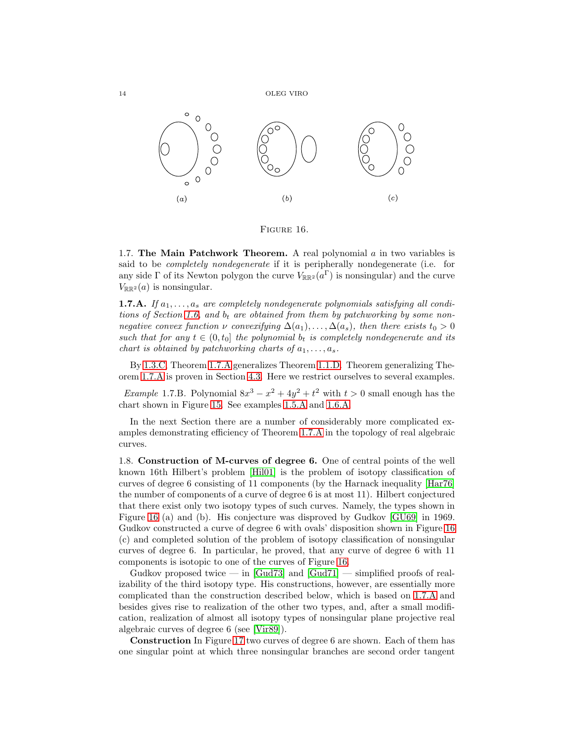

<span id="page-14-3"></span>FIGURE 16.

<span id="page-14-0"></span>1.7. The Main Patchwork Theorem. A real polynomial  $a$  in two variables is said to be *completely nondegenerate* if it is peripherally nondegenerate (i.e. for any side  $\Gamma$  of its Newton polygon the curve  $V_{\mathbb{R}\mathbb{R}^2}(a^{\Gamma})$  is nonsingular) and the curve  $V_{\mathbb{R}\mathbb{R}^2}(a)$  is nonsingular.

**1.7.A.** If  $a_1, \ldots, a_s$  are completely nondegenerate polynomials satisfying all condi-*tions of Section [1.6,](#page-13-1) and*  $b_t$  *are obtained from them by patchworking by some nonnegative convex function*  $\nu$  *convexifying*  $\Delta(a_1), \ldots, \Delta(a_s)$ *, then there exists*  $t_0 > 0$ *such that for any*  $t \in (0, t_0]$  *the polynomial*  $b_t$  *is completely nondegenerate and its chart is obtained by patchworking charts of*  $a_1, \ldots, a_s$ .

<span id="page-14-2"></span>By [1.3.C,](#page-11-1) Theorem [1.7.A](#page-19-0) generalizes Theorem [1.1.D.](#page-11-2) Theorem generalizing Theorem [1.7.A](#page-19-0) is proven in Section [4.3.](#page-32-3) Here we restrict ourselves to several examples.

*Example* 1.7.B. Polynomial  $8x^3 - x^2 + 4y^2 + t^2$  with  $t > 0$  small enough has the chart shown in Figure [15.](#page-13-3) See examples [1.5.A](#page-19-0) and [1.6.A.](#page-19-0)

In the next Section there are a number of considerably more complicated examples demonstrating efficiency of Theorem [1.7.A](#page-19-0) in the topology of real algebraic curves.

<span id="page-14-1"></span>1.8. Construction of M-curves of degree 6. One of central points of the well known 16th Hilbert's problem [\[Hil01\]](#page-47-8) is the problem of isotopy classification of curves of degree 6 consisting of 11 components (by the Harnack inequality [\[Har76\]](#page-47-9) the number of components of a curve of degree 6 is at most 11). Hilbert conjectured that there exist only two isotopy types of such curves. Namely, the types shown in Figure [16](#page-14-3) (a) and (b). His conjecture was disproved by Gudkov [\[GU69\]](#page-47-10) in 1969. Gudkov constructed a curve of degree 6 with ovals' disposition shown in Figure [16](#page-14-3) (c) and completed solution of the problem of isotopy classification of nonsingular curves of degree 6. In particular, he proved, that any curve of degree 6 with 11 components is isotopic to one of the curves of Figure [16.](#page-14-3)

Gudkov proposed twice  $-$  in [\[Gud73\]](#page-47-11) and [\[Gud71\]](#page-47-12)  $-$  simplified proofs of realizability of the third isotopy type. His constructions, however, are essentially more complicated than the construction described below, which is based on [1.7.A](#page-19-0) and besides gives rise to realization of the other two types, and, after a small modification, realization of almost all isotopy types of nonsingular plane projective real algebraic curves of degree 6 (see [\[Vir89\]](#page-47-5)).

Construction In Figure [17](#page-15-1) two curves of degree 6 are shown. Each of them has one singular point at which three nonsingular branches are second order tangent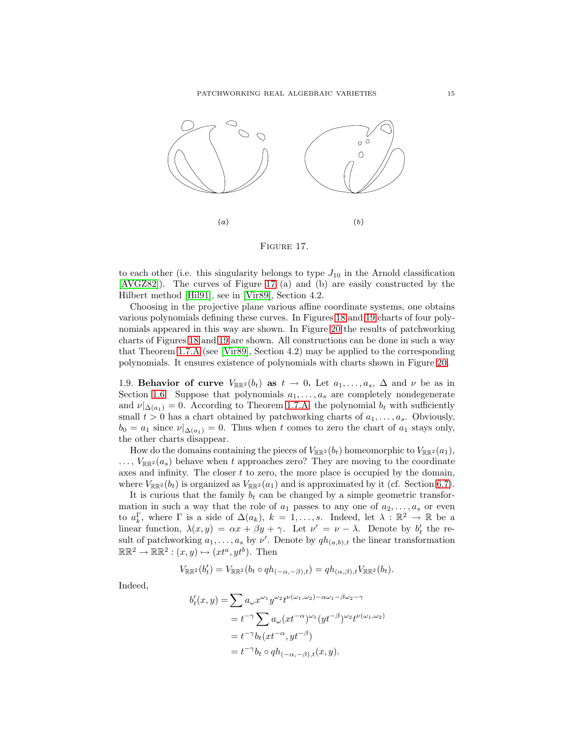

<span id="page-15-1"></span>FIGURE 17.

to each other (i.e. this singularity belongs to type  $J_{10}$  in the Arnold classification [\[AVGZ82\]](#page-47-13)). The curves of Figure [17](#page-15-1) (a) and (b) are easily constructed by the Hilbert method [\[Hil91\]](#page-47-14), see in [\[Vir89\]](#page-47-5), Section 4.2.

Choosing in the projective plane various affine coordinate systems, one obtains various polynomials defining these curves. In Figures [18](#page-16-0) and [19](#page-16-1) charts of four polynomials appeared in this way are shown. In Figure [20](#page-16-2) the results of patchworking charts of Figures [18](#page-16-0) and [19](#page-16-1) are shown. All constructions can be done in such a way that Theorem [1.7.A](#page-19-0) (see [\[Vir89\]](#page-47-5), Section 4.2) may be applied to the corresponding polynomials. It ensures existence of polynomials with charts shown in Figure [20.](#page-16-2)

<span id="page-15-0"></span>1.9. **Behavior of curve**  $V_{\mathbb{R}\mathbb{R}^2}(b_t)$  as  $t \to 0$ . Let  $a_1, \ldots, a_s$ ,  $\Delta$  and  $\nu$  be as in Section [1.6.](#page-13-1) Suppose that polynomials  $a_1, \ldots, a_s$  are completely nondegenerate and  $\nu|_{\Delta(a_1)} = 0$ . According to Theorem [1.7.A,](#page-19-0) the polynomial  $b_t$  with sufficiently small  $t > 0$  has a chart obtained by patchworking charts of  $a_1, \ldots, a_s$ . Obviously,  $b_0 = a_1$  since  $\nu|_{\Delta(a_1)} = 0$ . Thus when t comes to zero the chart of  $a_1$  stays only, the other charts disappear.

How do the domains containing the pieces of  $V_{\mathbb{R}\mathbb{R}^2}(b_t)$  homeomorphic to  $V_{\mathbb{R}\mathbb{R}^2}(a_1)$ ,  $\ldots$ ,  $V_{\mathbb{R}\mathbb{R}^2}(a_s)$  behave when t approaches zero? They are moving to the coordinate axes and infinity. The closer  $t$  to zero, the more place is occupied by the domain, where  $V_{\mathbb{RR}^2}(b_t)$  is organized as  $V_{\mathbb{RR}^2}(a_1)$  and is approximated by it (cf. Section [6.7\)](#page-44-1).

It is curious that the family  $b_t$  can be changed by a simple geometric transformation in such a way that the role of  $a_1$  passes to any one of  $a_2, \ldots, a_s$  or even to  $a_k^{\Gamma}$ , where  $\Gamma$  is a side of  $\Delta(a_k)$ ,  $k = 1, \ldots, s$ . Indeed, let  $\lambda : \mathbb{R}^2 \to \mathbb{R}$  be a linear function,  $\lambda(x, y) = \alpha x + \beta y + \gamma$ . Let  $\nu' = \nu - \lambda$ . Denote by  $b'_t$  the result of patchworking  $a_1, \ldots, a_s$  by  $\nu'$ . Denote by  $q h_{(a,b),t}$  the linear transformation  $\mathbb{RR}^2 \to \mathbb{RR}^2 : (x, y) \mapsto (xt^a, yt^b)$ . Then

$$
V_{\mathbb{RR}^2}(b'_t) = V_{\mathbb{RR}^2}(b_t \circ q h_{(-\alpha, -\beta), t}) = q h_{(\alpha, \beta), t} V_{\mathbb{RR}^2}(b_t).
$$

Indeed,

$$
b'_t(x,y) = \sum a_{\omega} x^{\omega_1} y^{\omega_2} t^{\nu(\omega_1,\omega_2) - \alpha \omega_1 - \beta \omega_2 - \gamma}
$$
  
=  $t^{-\gamma} \sum a_{\omega} (xt^{-\alpha})^{\omega_1} (yt^{-\beta})^{\omega_2} t^{\nu(\omega_1,\omega_2)}$   
=  $t^{-\gamma} b_t (xt^{-\alpha}, yt^{-\beta})$   
=  $t^{-\gamma} b_t \circ q h_{(-\alpha,-\beta),t}(x,y).$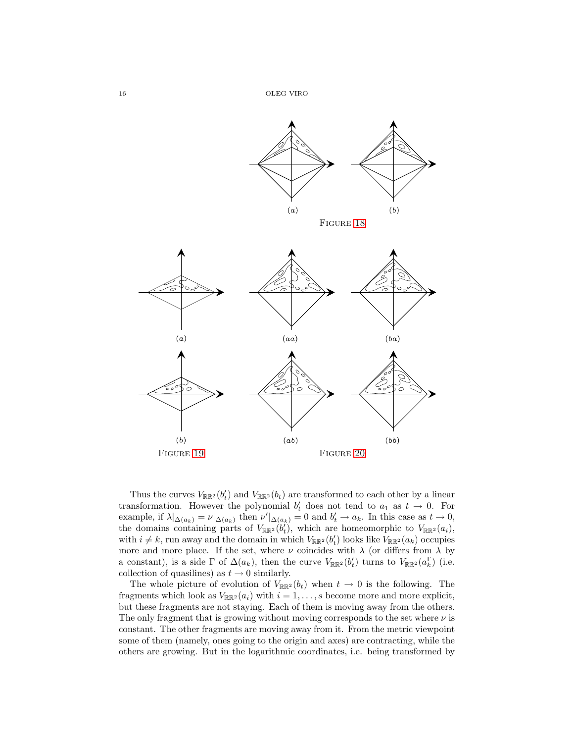

<span id="page-16-0"></span>FIGURE [18](#page-16-0)



<span id="page-16-2"></span><span id="page-16-1"></span>Thus the curves  $V_{\mathbb{RR}^2}(b_t)$  and  $V_{\mathbb{RR}^2}(b_t)$  are transformed to each other by a linear transformation. However the polynomial  $b'_t$  does not tend to  $a_1$  as  $t \to 0$ . For example, if  $\lambda|_{\Delta(a_k)} = \nu|_{\Delta(a_k)}$  then  $\nu'|_{\Delta(a_k)} = 0$  and  $b'_t \to a_k$ . In this case as  $t \to 0$ , the domains containing parts of  $V_{\mathbb{R}\mathbb{R}^2}(b'_t)$ , which are homeomorphic to  $V_{\mathbb{R}\mathbb{R}^2}(a_i)$ , with  $i \neq k$ , run away and the domain in which  $V_{\mathbb{RR}^2}(b'_t)$  looks like  $V_{\mathbb{RR}^2}(a_k)$  occupies more and more place. If the set, where  $\nu$  coincides with  $\lambda$  (or differs from  $\lambda$  by a constant), is a side  $\Gamma$  of  $\Delta(a_k)$ , then the curve  $V_{\mathbb{RR}^2}(b'_t)$  turns to  $V_{\mathbb{RR}^2}(a_k^{\Gamma})$  (i.e. collection of quasilines) as  $t \to 0$  similarly.

The whole picture of evolution of  $V_{\mathbb{R}\mathbb{R}^2}(b_t)$  when  $t \to 0$  is the following. The fragments which look as  $V_{\mathbb{R}\mathbb{R}^2}(a_i)$  with  $i = 1, \ldots, s$  become more and more explicit, but these fragments are not staying. Each of them is moving away from the others. The only fragment that is growing without moving corresponds to the set where  $\nu$  is constant. The other fragments are moving away from it. From the metric viewpoint some of them (namely, ones going to the origin and axes) are contracting, while the others are growing. But in the logarithmic coordinates, i.e. being transformed by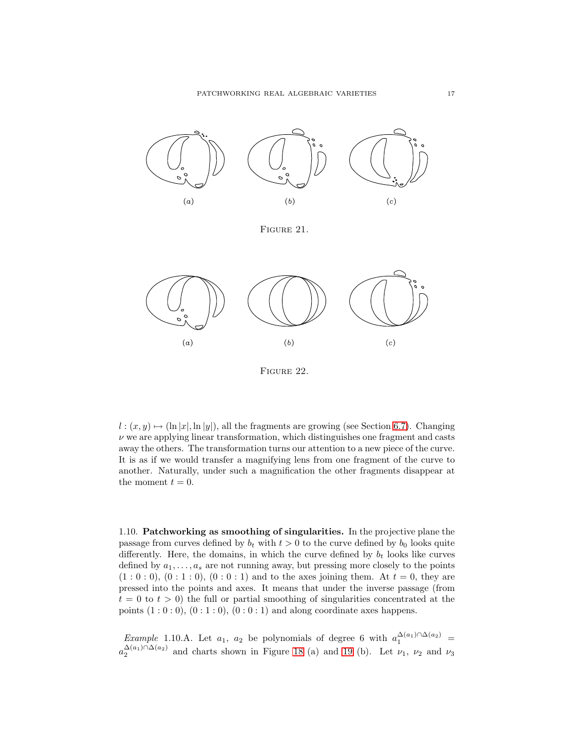

<span id="page-17-1"></span>FIGURE 21.



<span id="page-17-2"></span>Figure 22.

 $l : (x, y) \mapsto (\ln |x|, \ln |y|)$ , all the fragments are growing (see Section [6.7\)](#page-44-1). Changing  $\nu$  we are applying linear transformation, which distinguishes one fragment and casts away the others. The transformation turns our attention to a new piece of the curve. It is as if we would transfer a magnifying lens from one fragment of the curve to another. Naturally, under such a magnification the other fragments disappear at the moment  $t = 0$ .

<span id="page-17-0"></span>1.10. Patchworking as smoothing of singularities. In the projective plane the passage from curves defined by  $b_t$  with  $t > 0$  to the curve defined by  $b_0$  looks quite differently. Here, the domains, in which the curve defined by  $b_t$  looks like curves defined by  $a_1, \ldots, a_s$  are not running away, but pressing more closely to the points  $(1:0:0)$ ,  $(0:1:0)$ ,  $(0:0:1)$  and to the axes joining them. At  $t = 0$ , they are pressed into the points and axes. It means that under the inverse passage (from  $t = 0$  to  $t > 0$ ) the full or partial smoothing of singularities concentrated at the points  $(1:0:0)$ ,  $(0:1:0)$ ,  $(0:0:1)$  and along coordinate axes happens.

*Example* 1.10.A. Let  $a_1$ ,  $a_2$  be polynomials of degree 6 with  $a_1^{\Delta(a_1)\cap\Delta(a_2)}$  =  $a_2^{\Delta(a_1)\cap\Delta(a_2)}$  and charts shown in Figure [18](#page-16-0) (a) and [19](#page-16-1) (b). Let  $\nu_1$ ,  $\nu_2$  and  $\nu_3$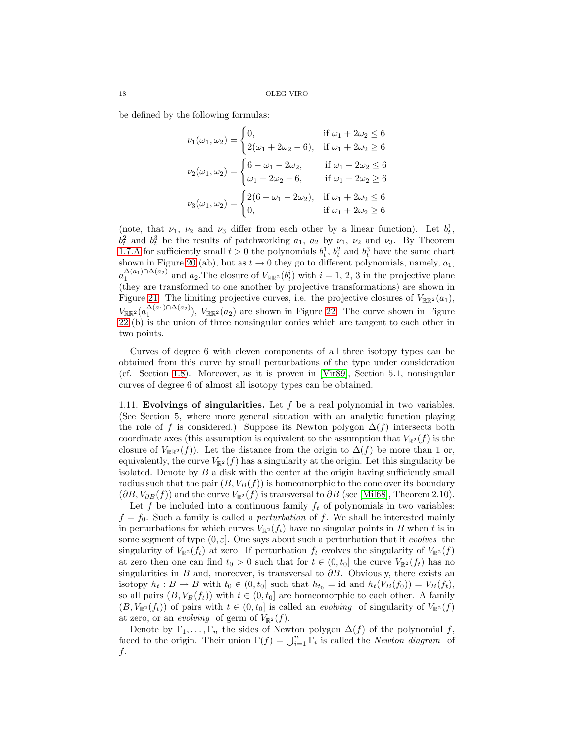be defined by the following formulas:

$$
\nu_1(\omega_1, \omega_2) = \begin{cases}\n0, & \text{if } \omega_1 + 2\omega_2 \le 6 \\
2(\omega_1 + 2\omega_2 - 6), & \text{if } \omega_1 + 2\omega_2 \ge 6\n\end{cases}
$$
\n
$$
\nu_2(\omega_1, \omega_2) = \begin{cases}\n6 - \omega_1 - 2\omega_2, & \text{if } \omega_1 + 2\omega_2 \le 6 \\
\omega_1 + 2\omega_2 - 6, & \text{if } \omega_1 + 2\omega_2 \ge 6\n\end{cases}
$$
\n
$$
\nu_3(\omega_1, \omega_2) = \begin{cases}\n2(6 - \omega_1 - 2\omega_2), & \text{if } \omega_1 + 2\omega_2 \le 6 \\
0, & \text{if } \omega_1 + 2\omega_2 \ge 6\n\end{cases}
$$

(note, that  $\nu_1$ ,  $\nu_2$  and  $\nu_3$  differ from each other by a linear function). Let  $b_t^1$ ,  $b_t^2$  and  $b_t^3$  be the results of patchworking  $a_1$ ,  $a_2$  by  $\nu_1$ ,  $\nu_2$  and  $\nu_3$ . By Theorem [1.7.A](#page-19-0) for sufficiently small  $t > 0$  the polynomials  $b_t^1$ ,  $b_t^2$  and  $b_t^3$  have the same chart shown in Figure [20](#page-16-2) (ab), but as  $t \to 0$  they go to different polynomials, namely,  $a_1$ ,  $a_1^{\Delta(a_1)\cap\Delta(a_2)}$  and  $a_2$ . The closure of  $V_{\mathbb{RR}^2}(b_i^i)$  with  $i=1, 2, 3$  in the projective plane (they are transformed to one another by projective transformations) are shown in Figure [21.](#page-17-1) The limiting projective curves, i.e. the projective closures of  $V_{\mathbb{R}\mathbb{R}^2}(a_1)$ ,  $V_{\mathbb{RR}^2}(a_1^{\Delta(a_1)\cap\Delta(a_2)}), V_{\mathbb{RR}^2}(a_2)$  are shown in Figure [22.](#page-17-2) The curve shown in Figure [22](#page-17-2) (b) is the union of three nonsingular conics which are tangent to each other in two points.

Curves of degree 6 with eleven components of all three isotopy types can be obtained from this curve by small perturbations of the type under consideration (cf. Section [1.8\)](#page-14-1). Moreover, as it is proven in [\[Vir89\]](#page-47-5), Section 5.1, nonsingular curves of degree 6 of almost all isotopy types can be obtained.

<span id="page-18-0"></span>1.11. Evolvings of singularities. Let  $f$  be a real polynomial in two variables. (See Section 5, where more general situation with an analytic function playing the role of f is considered.) Suppose its Newton polygon  $\Delta(f)$  intersects both coordinate axes (this assumption is equivalent to the assumption that  $V_{\mathbb{R}^2}(f)$  is the closure of  $V_{\mathbb{R}\mathbb{R}^2}(f)$ . Let the distance from the origin to  $\Delta(f)$  be more than 1 or, equivalently, the curve  $V_{\mathbb{R}^2}(f)$  has a singularity at the origin. Let this singularity be isolated. Denote by  $B$  a disk with the center at the origin having sufficiently small radius such that the pair  $(B, V_B(f))$  is homeomorphic to the cone over its boundary  $(\partial B, V_{\partial B}(f))$  and the curve  $V_{\mathbb{R}^2}(f)$  is transversal to  $\partial B$  (see [\[Mil68\]](#page-47-15), Theorem 2.10).

Let f be included into a continuous family  $f_t$  of polynomials in two variables:  $f = f_0$ . Such a family is called a *perturbation* of f. We shall be interested mainly in perturbations for which curves  $V_{\mathbb{R}^2}(f_t)$  have no singular points in B when t is in some segment of type  $(0, \varepsilon]$ . One says about such a perturbation that it *evolves* the singularity of  $V_{\mathbb{R}^2}(f_t)$  at zero. If perturbation  $f_t$  evolves the singularity of  $V_{\mathbb{R}^2}(f)$ at zero then one can find  $t_0 > 0$  such that for  $t \in (0, t_0]$  the curve  $V_{\mathbb{R}^2}(f_t)$  has no singularities in B and, moreover, is transversal to  $\partial B$ . Obviously, there exists an isotopy  $h_t : B \to B$  with  $t_0 \in (0, t_0]$  such that  $h_{t_0} = id$  and  $h_t(V_B(f_0)) = V_B(f_t)$ , so all pairs  $(B, V_B(f_t))$  with  $t \in (0, t_0]$  are homeomorphic to each other. A family  $(B, V_{\mathbb{R}^2}(f_t))$  of pairs with  $t \in (0, t_0]$  is called an *evolving* of singularity of  $V_{\mathbb{R}^2}(f)$ at zero, or an *evolving* of germ of  $V_{\mathbb{R}^2}(f)$ .

Denote by  $\Gamma_1, \ldots, \Gamma_n$  the sides of Newton polygon  $\Delta(f)$  of the polynomial f, faced to the origin. Their union  $\Gamma(f) = \bigcup_{i=1}^n \Gamma_i$  is called the *Newton diagram* of f.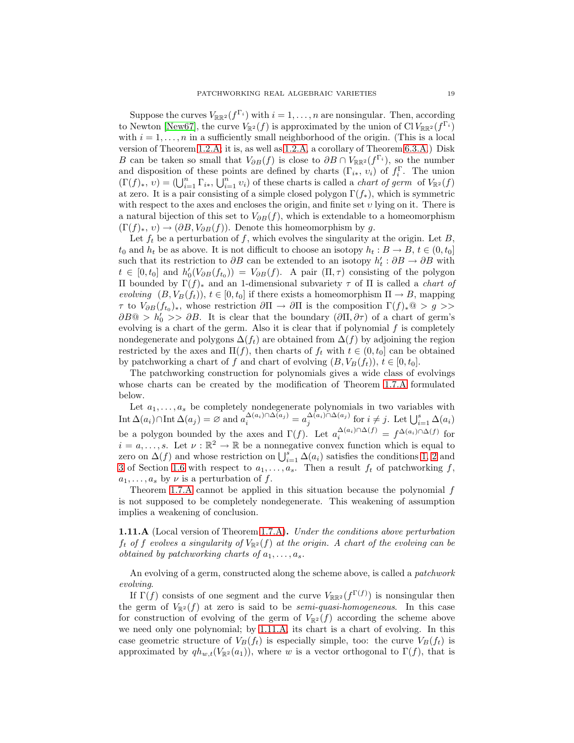Suppose the curves  $V_{\mathbb{RR}^2}(f^{\Gamma_i})$  with  $i=1,\ldots,n$  are nonsingular. Then, according to Newton [\[New67\]](#page-47-7), the curve  $V_{\mathbb{R}^2}(f)$  is approximated by the union of Cl  $V_{\mathbb{R}\mathbb{R}^2}(f^{\Gamma_i})$ with  $i = 1, \ldots, n$  in a sufficiently small neighborhood of the origin. (This is a local version of Theorem [1.2.A;](#page-19-0) it is, as well as [1.2.A,](#page-19-0) a corollary of Theorem [6.3.A.](#page-45-0)) Disk B can be taken so small that  $V_{\partial B}(f)$  is close to  $\partial B \cap V_{\mathbb{R} \mathbb{R}^2}(f^{\Gamma_i})$ , so the number and disposition of these points are defined by charts  $(\Gamma_{i*}, v_i)$  of  $f_i^{\Gamma}$ . The union  $(\Gamma(f)_*, v) = (\bigcup_{i=1}^n \Gamma_{i*}, \bigcup_{i=1}^n v_i)$  of these charts is called a *chart of germ* of  $V_{\mathbb{R}^2}(f)$ at zero. It is a pair consisting of a simple closed polygon  $\Gamma(f_*)$ , which is symmetric with respect to the axes and encloses the origin, and finite set  $v$  lying on it. There is a natural bijection of this set to  $V_{\partial B}(f)$ , which is extendable to a homeomorphism  $(\Gamma(f)_*, v) \to (\partial B, V_{\partial B}(f)).$  Denote this homeomorphism by g.

Let  $f_t$  be a perturbation of f, which evolves the singularity at the origin. Let B,  $t_0$  and  $h_t$  be as above. It is not difficult to choose an isotopy  $h_t : B \to B$ ,  $t \in (0, t_0]$ such that its restriction to  $\partial B$  can be extended to an isotopy  $h'_t : \partial B \to \partial B$  with  $t \in [0, t_0]$  and  $h'_0(V_{\partial B}(f_{t_0})) = V_{\partial B}(f)$ . A pair  $(\Pi, \tau)$  consisting of the polygon Π bounded by Γ(f)<sup>∗</sup> and an 1-dimensional subvariety τ of Π is called a *chart of evolving*  $(B, V_B(f_t)), t \in [0, t_0]$  if there exists a homeomorphism  $\Pi \to B$ , mapping  $\tau$  to  $V_{\partial B}(f_{t_0})_*$ , whose restriction  $\partial \Pi \to \partial \Pi$  is the composition  $\Gamma(f)_* @>g>>$  $\partial B @>h'_0>> \partial B$ . It is clear that the boundary  $(\partial \Pi, \partial \tau)$  of a chart of germ's evolving is a chart of the germ. Also it is clear that if polynomial  $f$  is completely nondegenerate and polygons  $\Delta(f_t)$  are obtained from  $\Delta(f)$  by adjoining the region restricted by the axes and  $\Pi(f)$ , then charts of  $f_t$  with  $t \in (0, t_0]$  can be obtained by patchworking a chart of f and chart of evolving  $(B, V_B(f_t)), t \in [0, t_0].$ 

The patchworking construction for polynomials gives a wide class of evolvings whose charts can be created by the modification of Theorem [1.7.A](#page-19-0) formulated below.

Let  $a_1, \ldots, a_s$  be completely nondegenerate polynomials in two variables with Int  $\Delta(a_i) \cap \text{Int } \Delta(a_j) = \emptyset$  and  $a_i^{\Delta(a_i) \cap \Delta(a_j)} = a_j^{\Delta(a_i) \cap \Delta(a_j)}$  for  $i \neq j$ . Let  $\bigcup_{i=1}^s \Delta(a_i)$ be a polygon bounded by the axes and  $\Gamma(f)$ . Let  $a_i^{\Delta(a_i)\cap \Delta(f)} = f^{\Delta(a_i)\cap \Delta(f)}$  for  $i = a, \ldots, s$ . Let  $\nu : \mathbb{R}^2 \to \mathbb{R}$  be a nonnegative convex function which is equal to zero on  $\Delta(f)$  and whose restriction on  $\bigcup_{i=1}^{s} \Delta(a_i)$  satisfies the conditions [1,](#page-13-4) [2](#page-13-5) and [3](#page-13-6) of Section [1.6](#page-13-1) with respect to  $a_1, \ldots, a_s$ . Then a result  $f_t$  of patchworking  $f$ ,  $a_1, \ldots, a_s$  by  $\nu$  is a perturbation of f.

Theorem [1.7.A](#page-19-0) cannot be applied in this situation because the polynomial  $f$ is not supposed to be completely nondegenerate. This weakening of assumption implies a weakening of conclusion.

<span id="page-19-0"></span>1.11.A (Local version of Theorem [1.7.A\)](#page-19-0). *Under the conditions above perturbation*  $f_t$  *of* f *evolves a singularity of*  $V_{\mathbb{R}^2}(f)$  *at the origin. A chart of the evolving can be obtained by patchworking charts of*  $a_1, \ldots, a_s$ .

An evolving of a germ, constructed along the scheme above, is called a *patchwork evolving*.

If  $\Gamma(f)$  consists of one segment and the curve  $V_{\mathbb{R}\mathbb{R}^2}(f^{\Gamma(f)})$  is nonsingular then the germ of  $V_{\mathbb{R}^2}(f)$  at zero is said to be *semi-quasi-homogeneous*. In this case for construction of evolving of the germ of  $V_{\mathbb{R}^2}(f)$  according the scheme above we need only one polynomial; by [1.11.A,](#page-19-0) its chart is a chart of evolving. In this case geometric structure of  $V_B(f_t)$  is especially simple, too: the curve  $V_B(f_t)$  is approximated by  $q h_{w,t}(V_{\mathbb{R}^2}(a_1))$ , where w is a vector orthogonal to  $\Gamma(f)$ , that is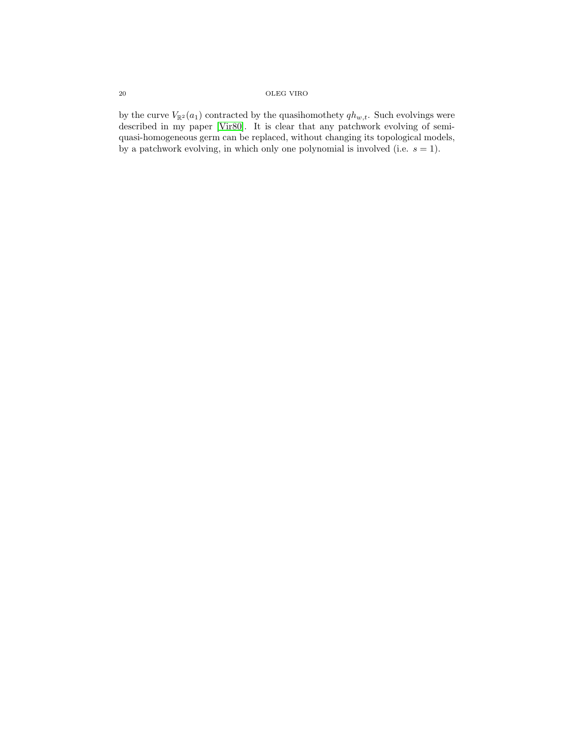by the curve  $V_{\mathbb{R}^2}(a_1)$  contracted by the quasihomothety  $q h_{w,t}$ . Such evolvings were described in my paper [\[Vir80\]](#page-47-2). It is clear that any patchwork evolving of semiquasi-homogeneous germ can be replaced, without changing its topological models, by a patchwork evolving, in which only one polynomial is involved (i.e.  $s = 1$ ).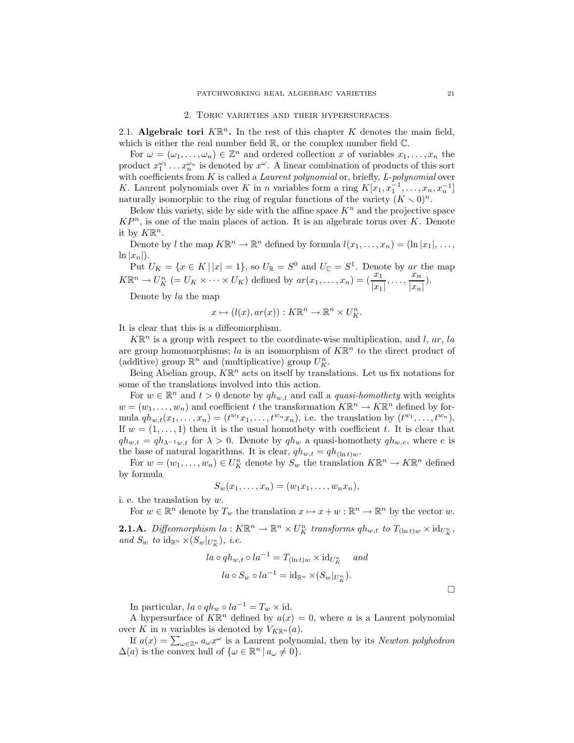### 2. Toric varieties and their hypersurfaces

<span id="page-21-1"></span><span id="page-21-0"></span>2.1. Algebraic tori  $K\mathbb{R}^n$ . In the rest of this chapter K denotes the main field, which is either the real number field  $\mathbb{R}$ , or the complex number field  $\mathbb{C}$ .

For  $\omega = (\omega_1, \ldots, \omega_n) \in \mathbb{Z}^n$  and ordered collection x of variables  $x_1, \ldots, x_n$  the product  $x_1^{\omega_1} \dots x_n^{\omega_n}$  is denoted by  $x^{\omega}$ . A linear combination of products of this sort with coefficients from K is called a *Laurent polynomial* or, briefly, *L-polynomial* over K. Laurent polynomials over K in n variables form a ring  $K[x_1, x_1^{-1}, \ldots, x_n, x_n^{-1}]$ naturally isomorphic to the ring of regular functions of the variety  $(K \setminus 0)^n$ .

Below this variety, side by side with the affine space  $K<sup>n</sup>$  and the projective space  $KP<sup>n</sup>$ , is one of the main places of action. It is an algebraic torus over K. Denote it by  $K\mathbb{R}^n$ .

Denote by l the map  $K\mathbb{R}^n \to \mathbb{R}^n$  defined by formula  $l(x_1,\ldots,x_n) = (\ln |x_1|, \ldots, x_n)$  $\ln |x_n|$ ).

Put  $U_K = \{x \in K \mid |x| = 1\}$ , so  $U_{\mathbb{R}} = S^0$  and  $U_{\mathbb{C}} = S^1$ . Denote by ar the map  $K\mathbb{R}^n \to U_K^n$  (=  $U_K \times \cdots \times U_K$ ) defined by  $ar(x_1, \ldots, x_n) = (\frac{x_1}{|x_1|}, \ldots, \frac{x_n}{|x_n|})$  $\frac{1}{|x_n|}$ ).

Denote by la the map

$$
x \mapsto (l(x), ar(x)) : K\mathbb{R}^n \to \mathbb{R}^n \times U_K^n.
$$

It is clear that this is a diffeomorphism.

 $K\mathbb{R}^n$  is a group with respect to the coordinate-wise multiplication, and l, ar, la are group homomorphisms; la is an isomorphism of  $K\mathbb{R}^n$  to the direct product of (additive) group  $\mathbb{R}^n$  and (multiplicative) group  $U_R^n$ .

Being Abelian group,  $K\mathbb{R}^n$  acts on itself by translations. Let us fix notations for some of the translations involved into this action.

For  $w \in \mathbb{R}^n$  and  $t > 0$  denote by  $q h_{w,t}$  and call a *quasi-homothety* with weights  $w = (w_1, \ldots, w_n)$  and coefficient t the transformation  $K\mathbb{R}^n \to K\mathbb{R}^n$  defined by formula  $q h_{w,t}(x_1,...,x_n) = (t^{w_1} x_1,...,t^{w_n} x_n)$ , i.e. the translation by  $(t^{w_1},...,t^{w_n})$ . If  $w = (1, \ldots, 1)$  then it is the usual homothety with coefficient t. It is clear that  $q h_{w,t} = q h_{\lambda^{-1}w,t}$  for  $\lambda > 0$ . Denote by  $q h_w$  a quasi-homothety  $q h_{w,e}$ , where e is the base of natural logarithms. It is clear,  $q h_{w,t} = q h_{(\ln t)w}$ .

For  $w = (w_1, \ldots, w_n) \in U_K^n$  denote by  $S_w$  the translation  $K \mathbb{R}^n \to K \mathbb{R}^n$  defined by formula

$$
S_w(x_1,\ldots,x_n)=(w_1x_1,\ldots,w_nx_n),
$$

i. e. the translation by w.

For  $w \in \mathbb{R}^n$  denote by  $T_w$  the translation  $x \mapsto x + w : \mathbb{R}^n \to \mathbb{R}^n$  by the vector w.

**2.1.A.** Diffeomorphism  $la: K\mathbb{R}^n \to \mathbb{R}^n \times U_K^n$  transforms  $q h_{w,t}$  to  $T_{(\ln t)w} \times id_{U_K^n}$ , and  $S_w$  to  $\mathrm{id}_{\mathbb{R}^n} \times (S_w|_{U_K^n}),$  *i.e.* 

$$
la \circ qh_{w,t} \circ la^{-1} = T_{(\ln t)w} \times \mathrm{id}_{U_K^n} \quad \text{and}
$$

$$
la \circ S_w \circ la^{-1} = \mathrm{id}_{\mathbb{R}^n} \times (S_w|_{U_K^n}).
$$

In particular,  $la \circ q h_w \circ la^{-1} = T_w \times id$ .

A hypersurface of  $K\mathbb{R}^n$  defined by  $a(x) = 0$ , where a is a Laurent polynomial over K in *n* variables is denoted by  $V_{K\mathbb{R}^n}(a)$ .

If  $a(x) = \sum_{\omega \in \mathbb{Z}^n} a_{\omega} x^{\omega}$  is a Laurent polynomial, then by its *Newton polyhedron*  $\Delta(a)$  is the convex hull of  $\{\omega \in \mathbb{R}^n \mid a_\omega \neq 0\}.$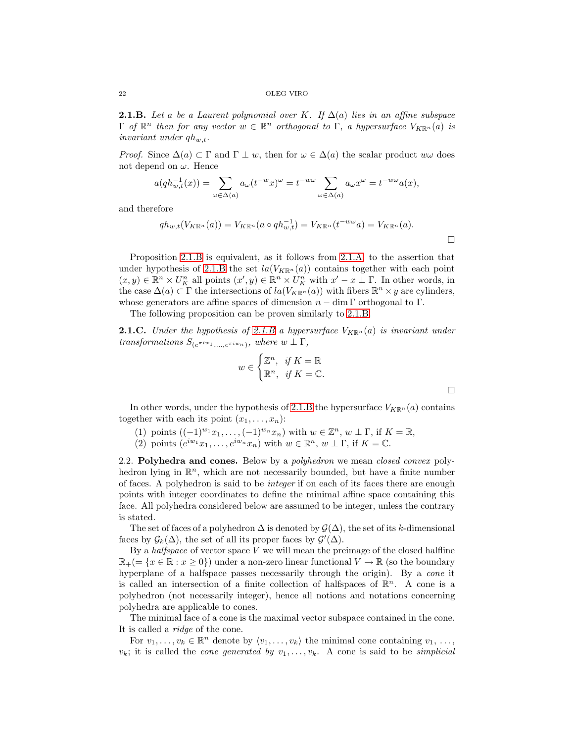**2.1.B.** Let a be a Laurent polynomial over K. If  $\Delta(a)$  lies in an affine subspace  $\Gamma$  *of*  $\mathbb{R}^n$  *then for any vector*  $w \in \mathbb{R}^n$  *orthogonal to*  $\Gamma$ *, a hypersurface*  $V_{K\mathbb{R}^n}(a)$  *is invariant under*  $q h_{w,t}$ *.* 

*Proof.* Since  $\Delta(a) \subset \Gamma$  and  $\Gamma \perp w$ , then for  $\omega \in \Delta(a)$  the scalar product  $w\omega$  does not depend on  $\omega$ . Hence

$$
a(qh_{w,t}^{-1}(x)) = \sum_{\omega \in \Delta(a)} a_{\omega} (t^{-w}x)^{\omega} = t^{-w\omega} \sum_{\omega \in \Delta(a)} a_{\omega} x^{\omega} = t^{-w\omega} a(x),
$$

and therefore

$$
qh_{w,t}(V_{K\mathbb{R}^n}(a)) = V_{K\mathbb{R}^n}(a \circ qh_{w,t}^{-1}) = V_{K\mathbb{R}^n}(t^{-w\omega}a) = V_{K\mathbb{R}^n}(a).
$$

Proposition [2.1.B](#page-27-1) is equivalent, as it follows from [2.1.A,](#page-27-2) to the assertion that under hypothesis of [2.1.B](#page-27-1) the set  $la(V_{K\mathbb{R}^n}(a))$  contains together with each point  $(x, y) \in \mathbb{R}^n \times U_K^n$  all points  $(x', y) \in \mathbb{R}^n \times U_K^n$  with  $x' - x \perp \Gamma$ . In other words, in the case  $\Delta(a) \subset \Gamma$  the intersections of  $la(V_{K\mathbb{R}^n}(a))$  with fibers  $\mathbb{R}^n \times y$  are cylinders, whose generators are affine spaces of dimension  $n - \dim \Gamma$  orthogonal to  $\Gamma$ .

The following proposition can be proven similarly to [2.1.B.](#page-27-1)

**2.1.C.** Under the hypothesis of [2.1.B](#page-27-1) a hypersurface  $V_{K\mathbb{R}^n}(a)$  is invariant under *transformations*  $S_{(e^{\pi i w_1},...,e^{\pi i w_n})}$ , where  $w \perp \Gamma$ ,

$$
w \in \begin{cases} \mathbb{Z}^n, & \text{if } K = \mathbb{R} \\ \mathbb{R}^n, & \text{if } K = \mathbb{C}. \end{cases}
$$

In other words, under the hypothesis of [2.1.B](#page-27-1) the hypersurface  $V_{K\mathbb{R}^n}(a)$  contains together with each its point  $(x_1, \ldots, x_n)$ :

- (1) points  $((-1)^{w_1}x_1, \ldots, (-1)^{w_n}x_n)$  with  $w \in \mathbb{Z}^n$ ,  $w ⊥ Γ$ , if  $K = \mathbb{R}$ ,
- (2) points  $(e^{iw_1}x_1,\ldots,e^{iw_n}x_n)$  with  $w \in \mathbb{R}^n$ ,  $w \perp \Gamma$ , if  $K = \mathbb{C}$ .

<span id="page-22-0"></span>2.2. Polyhedra and cones. Below by a *polyhedron* we mean *closed convex* polyhedron lying in  $\mathbb{R}^n$ , which are not necessarily bounded, but have a finite number of faces. A polyhedron is said to be *integer* if on each of its faces there are enough points with integer coordinates to define the minimal affine space containing this face. All polyhedra considered below are assumed to be integer, unless the contrary is stated.

The set of faces of a polyhedron  $\Delta$  is denoted by  $\mathcal{G}(\Delta)$ , the set of its k-dimensional faces by  $\mathcal{G}_k(\Delta)$ , the set of all its proper faces by  $\mathcal{G}'(\Delta)$ .

By a *halfspace* of vector space  $V$  we will mean the preimage of the closed halfline  $\mathbb{R}_+$   $(=\{x \in \mathbb{R} : x > 0\})$  under a non-zero linear functional  $V \to \mathbb{R}$  (so the boundary hyperplane of a halfspace passes necessarily through the origin). By a *cone* it is called an intersection of a finite collection of halfspaces of  $\mathbb{R}^n$ . A cone is a polyhedron (not necessarily integer), hence all notions and notations concerning polyhedra are applicable to cones.

The minimal face of a cone is the maximal vector subspace contained in the cone. It is called a *ridge* of the cone.

For  $v_1, \ldots, v_k \in \mathbb{R}^n$  denote by  $\langle v_1, \ldots, v_k \rangle$  the minimal cone containing  $v_1, \ldots, v_k$  $v_k$ ; it is called the *cone generated by*  $v_1, \ldots, v_k$ . A cone is said to be *simplicial*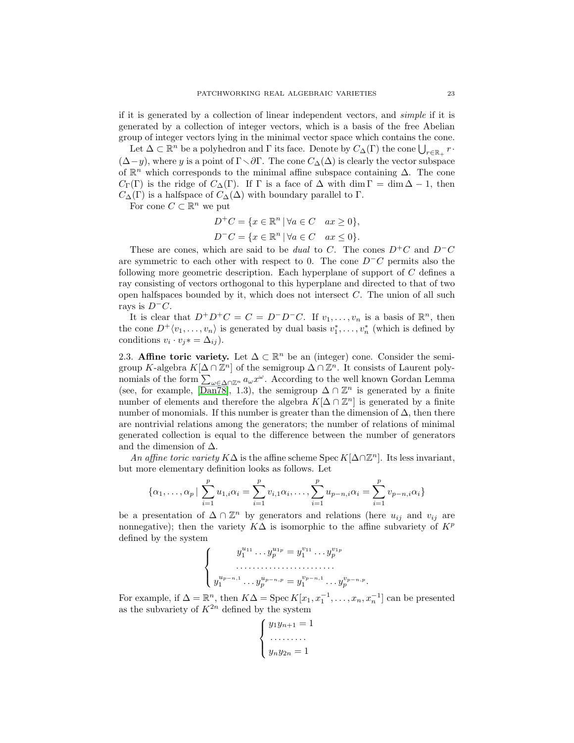if it is generated by a collection of linear independent vectors, and *simple* if it is generated by a collection of integer vectors, which is a basis of the free Abelian group of integer vectors lying in the minimal vector space which contains the cone.

Let  $\Delta \subset \mathbb{R}^n$  be a polyhedron and  $\Gamma$  its face. Denote by  $C_{\Delta}(\Gamma)$  the cone  $\bigcup_{r \in \mathbb{R}_+} r$ .  $(\Delta-y)$ , where y is a point of  $\Gamma \setminus \partial \Gamma$ . The cone  $C_{\Delta}(\Delta)$  is clearly the vector subspace of  $\mathbb{R}^n$  which corresponds to the minimal affine subspace containing  $\Delta$ . The cone  $C_{\Gamma}(\Gamma)$  is the ridge of  $C_{\Delta}(\Gamma)$ . If  $\Gamma$  is a face of  $\Delta$  with dim  $\Gamma = \dim \Delta - 1$ , then  $C_{\Delta}(\Gamma)$  is a halfspace of  $C_{\Delta}(\Delta)$  with boundary parallel to  $\Gamma$ .

For cone  $C \subset \mathbb{R}^n$  we put

$$
D^{+}C = \{x \in \mathbb{R}^{n} \mid \forall a \in C \quad ax \ge 0\},\
$$
  

$$
D^{-}C = \{x \in \mathbb{R}^{n} \mid \forall a \in C \quad ax \le 0\}.
$$

These are cones, which are said to be *dual* to C. The cones  $D^+C$  and  $D^-C$ are symmetric to each other with respect to 0. The cone  $D^-C$  permits also the following more geometric description. Each hyperplane of support of C defines a ray consisting of vectors orthogonal to this hyperplane and directed to that of two open halfspaces bounded by it, which does not intersect  $C$ . The union of all such rays is  $D^{\dagger}C$ .

It is clear that  $D^+D^+C = C = D^-D^-C$ . If  $v_1, \ldots, v_n$  is a basis of  $\mathbb{R}^n$ , then the cone  $D^{\dagger} \langle v_1, \ldots, v_n \rangle$  is generated by dual basis  $v_1^*, \ldots, v_n^*$  (which is defined by conditions  $v_i \cdot v_j^* = \Delta_{ij}$ .

<span id="page-23-0"></span>2.3. Affine toric variety. Let  $\Delta \subset \mathbb{R}^n$  be an (integer) cone. Consider the semigroup K-algebra  $K[\Delta \cap \mathbb{Z}^n]$  of the semigroup  $\Delta \cap \mathbb{Z}^n$ . It consists of Laurent polynomials of the form  $\sum_{\omega \in \Delta \cap \mathbb{Z}^n} a_{\omega} x^{\omega}$ . According to the well known Gordan Lemma (see, for example,  $\overline{[Dan78]}$ , 1.3), the semigroup  $\Delta \cap \mathbb{Z}^n$  is generated by a finite number of elements and therefore the algebra  $K[\Delta \cap \mathbb{Z}^n]$  is generated by a finite number of monomials. If this number is greater than the dimension of  $\Delta$ , then there are nontrivial relations among the generators; the number of relations of minimal generated collection is equal to the difference between the number of generators and the dimension of  $\Delta$ .

*An affine toric variety*  $K\Delta$  is the affine scheme Spec  $K[\Delta \cap \mathbb{Z}^n]$ . Its less invariant, but more elementary definition looks as follows. Let

$$
\{\alpha_1, \dots, \alpha_p \mid \sum_{i=1}^p u_{1,i}\alpha_i = \sum_{i=1}^p v_{i,1}\alpha_i, \dots, \sum_{i=1}^p u_{p-n,i}\alpha_i = \sum_{i=1}^p v_{p-n,i}\alpha_i\}
$$

be a presentation of  $\Delta \cap \mathbb{Z}^n$  by generators and relations (here  $u_{ij}$  and  $v_{ij}$  are nonnegative); then the variety  $K\Delta$  is isomorphic to the affine subvariety of  $K^p$ defined by the system

$$
\begin{cases}\ny_1^{u_{11}}\dots y_p^{u_{1p}} = y_1^{v_{11}}\dots y_p^{v_{1p}} \\
\dots \\
y_1^{u_{p-n,1}}\dots y_p^{u_{p-n,p}} = y_1^{v_{p-n,1}}\dots y_p^{v_{p-n,p}}.\n\end{cases}
$$

For example, if  $\Delta = \mathbb{R}^n$ , then  $K\Delta = \text{Spec } K[x_1, x_1^{-1}, \dots, x_n, x_n^{-1}]$  can be presented as the subvariety of  $K^{2n}$  defined by the system

$$
\begin{cases}\ny_1y_{n+1} = 1 \\
\ldots \\
y_ny_{2n} = 1\n\end{cases}
$$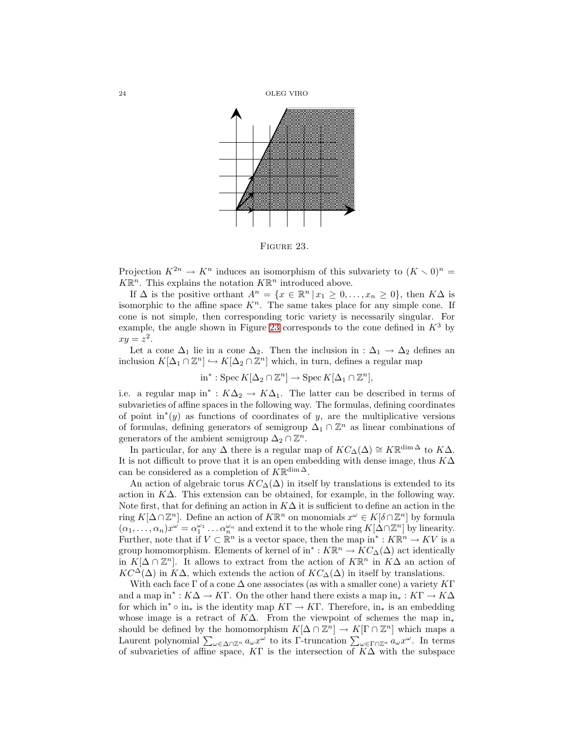

<span id="page-24-0"></span>Figure 23.

Projection  $K^{2n} \to K^n$  induces an isomorphism of this subvariety to  $(K \setminus 0)^n =$  $K\mathbb{R}^n$ . This explains the notation  $K\mathbb{R}^n$  introduced above.

If  $\Delta$  is the positive orthant  $A^n = \{x \in \mathbb{R}^n \mid x_1 \geq 0, \ldots, x_n \geq 0\}$ , then  $K\Delta$  is isomorphic to the affine space  $K<sup>n</sup>$ . The same takes place for any simple cone. If cone is not simple, then corresponding toric variety is necessarily singular. For example, the angle shown in Figure [23](#page-24-0) corresponds to the cone defined in  $K^3$  by  $xy = z^2$ .

Let a cone  $\Delta_1$  lie in a cone  $\Delta_2$ . Then the inclusion in :  $\Delta_1 \rightarrow \Delta_2$  defines an inclusion  $K[\Delta_1 \cap \mathbb{Z}^n] \hookrightarrow K[\Delta_2 \cap \mathbb{Z}^n]$  which, in turn, defines a regular map

$$
\mathrm{in}^* : \mathrm{Spec} K[\Delta_2 \cap \mathbb{Z}^n] \to \mathrm{Spec} K[\Delta_1 \cap \mathbb{Z}^n],
$$

i.e. a regular map in<sup>\*</sup> :  $K\Delta_2 \rightarrow K\Delta_1$ . The latter can be described in terms of subvarieties of affine spaces in the following way. The formulas, defining coordinates of point in<sup>\*</sup>(y) as functions of coordinates of y, are the multiplicative versions of formulas, defining generators of semigroup  $\Delta_1 \cap \mathbb{Z}^n$  as linear combinations of generators of the ambient semigroup  $\Delta_2 \cap \mathbb{Z}^n$ .

In particular, for any  $\Delta$  there is a regular map of  $KC_{\Delta}(\Delta) \cong K\mathbb{R}^{\dim \Delta}$  to  $K\Delta$ . It is not difficult to prove that it is an open embedding with dense image, thus  $K\Delta$ can be considered as a completion of  $K\mathbb{R}^{\dim \Delta}$ .

An action of algebraic torus  $KC_{\Delta}(\Delta)$  in itself by translations is extended to its action in  $K\Delta$ . This extension can be obtained, for example, in the following way. Note first, that for defining an action in  $K\Delta$  it is sufficient to define an action in the ring  $K[\Delta \cap \mathbb{Z}^n]$ . Define an action of  $K\mathbb{R}^n$  on monomials  $x^{\omega} \in K[\delta \cap \mathbb{Z}^n]$  by formula  $(\alpha_1, \ldots, \alpha_n)x^{\omega} = \alpha_1^{\omega_1} \ldots \alpha_n^{\omega_n}$  and extend it to the whole ring  $K[\Delta \cap \mathbb{Z}^n]$  by linearity. Further, note that if  $V \subset \mathbb{R}^n$  is a vector space, then the map  $\text{in}^* : K\mathbb{R}^n \to KV$  is a group homomorphism. Elements of kernel of  $\text{in}^* : K\mathbb{R}^n \to KC_\Delta(\Delta)$  act identically in  $K[\Delta \cap \mathbb{Z}^n]$ . It allows to extract from the action of  $K\mathbb{R}^n$  in  $K\Delta$  an action of  $KC^{\Delta}(\Delta)$  in K $\Delta$ , which extends the action of  $KC_{\Delta}(\Delta)$  in itself by translations.

With each face  $\Gamma$  of a cone  $\Delta$  one associates (as with a smaller cone) a variety KT and a map in<sup>∗</sup>:  $K\Delta \to K\Gamma$ . On the other hand there exists a map in<sub>∗</sub>:  $K\Gamma \to K\Delta$ for which  $in^* \circ in_*$  is the identity map  $K\Gamma \to K\Gamma$ . Therefore,  $in_*$  is an embedding whose image is a retract of K $\Delta$ . From the viewpoint of schemes the map in<sub>\*</sub> should be defined by the homomorphism  $K[\Delta \cap \mathbb{Z}^n] \to K[\Gamma \cap \mathbb{Z}^n]$  which maps a Laurent polynomial  $\sum_{\omega \in \Delta \cap \mathbb{Z}^n} a_{\omega} x^{\omega}$  to its Γ-truncation  $\sum_{\omega \in \Gamma \cap \mathbb{Z}^n} a_{\omega} x^{\omega}$ . In terms of subvarieties of affine space, KΓ is the intersection of  $K\Delta$  with the subspace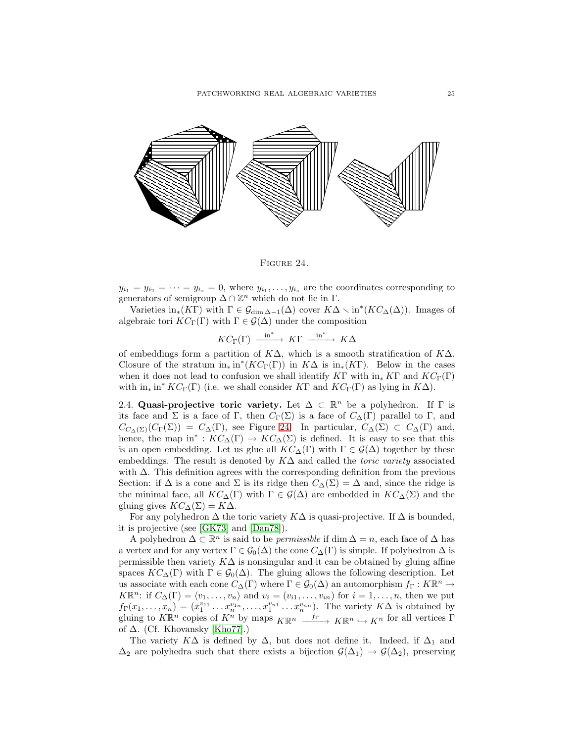

<span id="page-25-1"></span>FIGURE 24.

 $y_{i_1} = y_{i_2} = \cdots = y_{i_s} = 0$ , where  $y_{i_1}, \ldots, y_{i_s}$  are the coordinates corresponding to generators of semigroup  $\Delta \cap \mathbb{Z}^n$  which do not lie in  $\Gamma$ .

Varieties in<sub>\*</sub>(KΓ) with  $\Gamma \in \mathcal{G}_{\dim \Delta - 1}(\Delta)$  cover  $K\Delta \setminus \text{in}^*(KC_{\Delta}(\Delta))$ . Images of algebraic tori  $KC<sub>\Gamma</sub>(\Gamma)$  with  $\Gamma \in \mathcal{G}(\Delta)$  under the composition

$$
KC_{\Gamma}(\Gamma) \xrightarrow{\text{in}^*} KT \xrightarrow{\text{in}^*} K\Delta
$$

of embeddings form a partition of  $K\Delta$ , which is a smooth stratification of  $K\Delta$ . Closure of the stratum  $in_* in^*(KC_\Gamma(\Gamma))$  in  $K\Delta$  is  $in_*(KT)$ . Below in the cases when it does not lead to confusion we shall identify KΓ with in<sub>\*</sub> KΓ and  $KC<sub>\Gamma</sub>(Γ)$ with in<sub>\*</sub> in<sup>\*</sup>  $KC<sub>\Gamma</sub>(\Gamma)$  (i.e. we shall consider K $\Gamma$  and  $KC<sub>\Gamma</sub>(\Gamma)$  as lying in  $K\Delta$ ).

<span id="page-25-0"></span>2.4. Quasi-projective toric variety. Let  $\Delta \subset \mathbb{R}^n$  be a polyhedron. If  $\Gamma$  is its face and  $\Sigma$  is a face of Γ, then  $C_{\Gamma}(\Sigma)$  is a face of  $C_{\Delta}(\Gamma)$  parallel to Γ, and  $C_{C_{\Delta}(\Sigma)}(C_{\Gamma}(\Sigma)) = C_{\Delta}(\Gamma)$ , see Figure [24.](#page-25-1) In particular,  $C_{\Delta}(\Sigma) \subset C_{\Delta}(\Gamma)$  and, hence, the map in<sup>\*</sup>:  $\overline{KC_{\Delta}(\Gamma)} \rightarrow \overline{KC_{\Delta}(\Sigma)}$  is defined. It is easy to see that this is an open embedding. Let us glue all  $KC<sub>\Delta</sub>(\Gamma)$  with  $\Gamma \in \mathcal{G}(\Delta)$  together by these embeddings. The result is denoted by K∆ and called the *toric variety* associated with ∆. This definition agrees with the corresponding definition from the previous Section: if  $\Delta$  is a cone and  $\Sigma$  is its ridge then  $C_{\Delta}(\Sigma) = \Delta$  and, since the ridge is the minimal face, all  $KC_{\Delta}(\Gamma)$  with  $\Gamma \in \mathcal{G}(\Delta)$  are embedded in  $KC_{\Delta}(\Sigma)$  and the gluing gives  $KC_{\Delta}(\Sigma) = K\Delta$ .

For any polyhedron  $\Delta$  the toric variety  $K\Delta$  is quasi-projective. If  $\Delta$  is bounded, it is projective (see [\[GK73\]](#page-47-17) and [\[Dan78\]](#page-47-16)).

A polyhedron  $\Delta \subset \mathbb{R}^n$  is said to be *permissible* if dim  $\Delta = n$ , each face of  $\Delta$  has a vertex and for any vertex  $\Gamma \in \mathcal{G}_0(\Delta)$  the cone  $C_{\Delta}(\Gamma)$  is simple. If polyhedron  $\Delta$  is permissible then variety  $K\Delta$  is nonsingular and it can be obtained by gluing affine spaces  $KC_{\Delta}(\Gamma)$  with  $\Gamma \in \mathcal{G}_0(\Delta)$ . The gluing allows the following description. Let us associate with each cone  $C_{\Delta}(\Gamma)$  where  $\Gamma \in \mathcal{G}_0(\Delta)$  an automorphism  $f_{\Gamma}: K \mathbb{R}^n \to$  $K\mathbb{R}^n$ : if  $C_{\Delta}(\Gamma) = \langle v_1, \ldots, v_n \rangle$  and  $v_i = (v_{i1}, \ldots, v_{in})$  for  $i = 1, \ldots, n$ , then we put  $f_{\Gamma}(x_1,\ldots,x_n)=(x_1^{v_{11}}\ldots x_n^{v_{1n}},\ldots,x_1^{v_{n1}}\ldots x_n^{v_{nn}})$ . The variety  $K\Delta$  is obtained by gluing to  $K\mathbb{R}^n$  copies of  $K^n$  by maps  $K\mathbb{R}^n \longrightarrow K\mathbb{R}^n \hookrightarrow K^n$  for all vertices  $\Gamma$ of  $\Delta$ . (Cf. Khovansky [\[Kho77\]](#page-47-18).)

The variety  $K\Delta$  is defined by  $\Delta$ , but does not define it. Indeed, if  $\Delta_1$  and  $\Delta_2$  are polyhedra such that there exists a bijection  $\mathcal{G}(\Delta_1) \to \mathcal{G}(\Delta_2)$ , preserving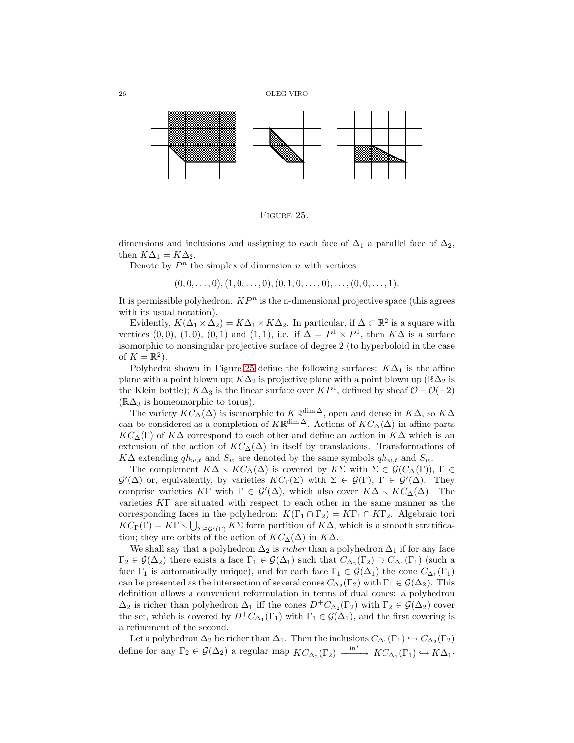

<span id="page-26-0"></span>

dimensions and inclusions and assigning to each face of  $\Delta_1$  a parallel face of  $\Delta_2$ , then  $K\Delta_1 = K\Delta_2$ .

Denote by  $P<sup>n</sup>$  the simplex of dimension n with vertices

 $(0, 0, \ldots, 0), (1, 0, \ldots, 0), (0, 1, 0, \ldots, 0), \ldots, (0, 0, \ldots, 1).$ 

It is permissible polyhedron.  $KP<sup>n</sup>$  is the n-dimensional projective space (this agrees with its usual notation).

Evidently,  $K(\Delta_1 \times \Delta_2) = K\Delta_1 \times K\Delta_2$ . In particular, if  $\Delta \subset \mathbb{R}^2$  is a square with vertices  $(0,0)$ ,  $(1,0)$ ,  $(0,1)$  and  $(1,1)$ , i.e. if  $\Delta = P^1 \times P^1$ , then  $K\Delta$  is a surface isomorphic to nonsingular projective surface of degree 2 (to hyperboloid in the case of  $K = \mathbb{R}^2$ .

Polyhedra shown in Figure [25](#page-26-0) define the following surfaces:  $K\Delta_1$  is the affine plane with a point blown up;  $K\Delta_2$  is projective plane with a point blown up ( $\mathbb{R}\Delta_2$  is the Klein bottle);  $K\Delta_3$  is the linear surface over  $KP^1$ , defined by sheaf  $\mathcal{O} + \mathcal{O}(-2)$  $(\mathbb{R}\Delta_3)$  is homeomorphic to torus).

The variety  $KC_{\Delta}(\Delta)$  is isomorphic to  $K\mathbb{R}^{\dim \Delta}$ , open and dense in  $K\Delta$ , so  $K\Delta$ can be considered as a completion of  $K\mathbb{R}^{\dim \Delta}$ . Actions of  $KC_{\Delta}(\Delta)$  in affine parts  $KC<sub>\Delta</sub>(\Gamma)$  of  $K\Delta$  correspond to each other and define an action in  $K\Delta$  which is an extension of the action of  $KC_{\Delta}(\Delta)$  in itself by translations. Transformations of  $K\Delta$  extending  $q h_{w,t}$  and  $S_w$  are denoted by the same symbols  $q h_{w,t}$  and  $S_w$ .

The complement  $K\Delta \setminus KC_\Delta(\Delta)$  is covered by  $K\Sigma$  with  $\Sigma \in \mathcal{G}(C_\Delta(\Gamma)), \Gamma \in$  $\mathcal{G}'(\Delta)$  or, equivalently, by varieties  $KC_{\Gamma}(\Sigma)$  with  $\Sigma \in \mathcal{G}(\Gamma)$ ,  $\Gamma \in \mathcal{G}'(\Delta)$ . They comprise varieties KΓ with  $\Gamma \in \mathcal{G}'(\Delta)$ , which also cover  $K\Delta \setminus KC_\Delta(\Delta)$ . The varieties KΓ are situated with respect to each other in the same manner as the corresponding faces in the polyhedron:  $K(\Gamma_1 \cap \Gamma_2) = K\Gamma_1 \cap K\Gamma_2$ . Algebraic tori  $KC_{\Gamma}(\Gamma) = KT \setminus \bigcup_{\Sigma \in \mathcal{G}'(\Gamma)} \overline{K\Sigma}$  form partition of  $K\Delta$ , which is a smooth stratification; they are orbits of the action of  $KC_\Delta(\Delta)$  in  $K\Delta$ .

We shall say that a polyhedron  $\Delta_2$  is *richer* than a polyhedron  $\Delta_1$  if for any face  $\Gamma_2 \in \mathcal{G}(\Delta_2)$  there exists a face  $\Gamma_1 \in \mathcal{G}(\Delta_1)$  such that  $C_{\Delta_2}(\Gamma_2) \supset C_{\Delta_1}(\Gamma_1)$  (such a face  $\Gamma_1$  is automatically unique), and for each face  $\Gamma_1 \in \mathcal{G}(\Delta_1)$  the cone  $C_{\Delta_1}(\Gamma_1)$ can be presented as the intersection of several cones  $C_{\Delta_2}(\Gamma_2)$  with  $\Gamma_1 \in \mathcal{G}(\Delta_2)$ . This definition allows a convenient reformulation in terms of dual cones: a polyhedron  $\Delta_2$  is richer than polyhedron  $\Delta_1$  iff the cones  $D^+C_{\Delta_2}(\Gamma_2)$  with  $\Gamma_2 \in \mathcal{G}(\Delta_2)$  cover the set, which is covered by  $D^+C_{\Delta_1}(\Gamma_1)$  with  $\Gamma_1 \in \mathcal{G}(\Delta_1)$ , and the first covering is a refinement of the second.

Let a polyhedron  $\Delta_2$  be richer than  $\Delta_1$ . Then the inclusions  $C_{\Delta_1}(\Gamma_1) \hookrightarrow C_{\Delta_2}(\Gamma_2)$ define for any  $\Gamma_2 \in \mathcal{G}(\Delta_2)$  a regular map  $KC_{\Delta_2}(\Gamma_2) \xrightarrow{\text{in}^*} KC_{\Delta_1}(\Gamma_1) \hookrightarrow K\Delta_1$ .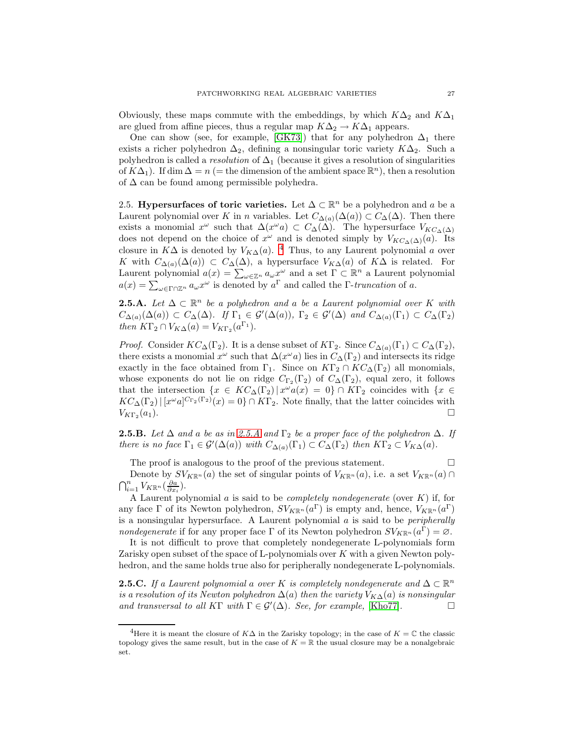Obviously, these maps commute with the embeddings, by which  $K\Delta_2$  and  $K\Delta_1$ are glued from affine pieces, thus a regular map  $K\Delta_2 \rightarrow K\Delta_1$  appears.

One can show (see, for example, [\[GK73\]](#page-47-17)) that for any polyhedron  $\Delta_1$  there exists a richer polyhedron  $\Delta_2$ , defining a nonsingular toric variety  $K\Delta_2$ . Such a polyhedron is called a *resolution* of  $\Delta_1$  (because it gives a resolution of singularities of  $K\Delta_1$ ). If dim  $\Delta = n$  (= the dimension of the ambient space  $\mathbb{R}^n$ ), then a resolution of  $\Delta$  can be found among permissible polyhedra.

<span id="page-27-0"></span>2.5. Hypersurfaces of toric varieties. Let  $\Delta \subset \mathbb{R}^n$  be a polyhedron and a be a Laurent polynomial over K in n variables. Let  $C_{\Delta(a)}(\Delta(a)) \subset C_{\Delta}(\Delta)$ . Then there exists a monomial  $x^{\omega}$  such that  $\Delta(x^{\omega}a) \subset C_{\Delta}(\Delta)$ . The hypersurface  $V_{KC_{\Delta}(\Delta)}$ does not depend on the choice of  $x^{\omega}$  and is denoted simply by  $V_{KC_{\Delta}(\Delta)}(a)$ . Its closure in  $K\Delta$  is denoted by  $V_{K\Delta}(a)$ . <sup>[4](#page-27-3)</sup> Thus, to any Laurent polynomial a over K with  $C_{\Delta(a)}(\Delta(a)) \subset C_{\Delta}(\Delta)$ , a hypersurface  $V_{K\Delta}(a)$  of  $K\Delta$  is related. For Laurent polynomial  $a(x) = \sum_{\omega \in \mathbb{Z}^n} a_{\omega} x^{\omega}$  and a set  $\Gamma \subset \mathbb{R}^n$  a Laurent polynomial  $a(x) = \sum_{\omega \in \Gamma \cap \mathbb{Z}^n} a_{\omega} x^{\omega}$  is denoted by  $a^{\Gamma}$  and called the  $\Gamma$ -*truncation* of a.

<span id="page-27-2"></span>2.5.A. Let  $\Delta \subset \mathbb{R}^n$  be a polyhedron and a be a Laurent polynomial over K with  $C_{\Delta(a)}(\Delta(a)) \subset C_{\Delta}(\Delta)$ *.* If  $\Gamma_1 \in \mathcal{G}'(\Delta(a))$ *,*  $\Gamma_2 \in \mathcal{G}'(\Delta)$  and  $C_{\Delta(a)}(\Gamma_1) \subset C_{\Delta}(\Gamma_2)$ *then*  $K\Gamma_2 \cap V_{K\Delta}(a) = V_{K\Gamma_2}(a^{\Gamma_1}).$ 

*Proof.* Consider  $KC_{\Delta}(\Gamma_2)$ . It is a dense subset of  $KT_2$ . Since  $C_{\Delta(a)}(\Gamma_1) \subset C_{\Delta}(\Gamma_2)$ , there exists a monomial  $x^{\omega}$  such that  $\Delta(x^{\omega}a)$  lies in  $C_{\Delta}(\Gamma_2)$  and intersects its ridge exactly in the face obtained from  $\Gamma_1$ . Since on  $K\Gamma_2 \cap KC_\Delta(\Gamma_2)$  all monomials, whose exponents do not lie on ridge  $C_{\Gamma_2}(\Gamma_2)$  of  $C_{\Delta}(\Gamma_2)$ , equal zero, it follows that the intersection  $\{x \in KC_\Delta(\Gamma_2) | x^{\omega}a(x) = 0\} \cap K\Gamma_2$  coincides with  $\{x \in$  $KC_{\Delta}(\Gamma_2) \mid [x^{\omega}a]^{C_{\Gamma_2}(\Gamma_2)}(x) = 0$   $\cap$  K $\Gamma_2$ . Note finally, that the latter coincides with  $V_{K\Gamma_2}(a_1).$  $(a_1).$ 

<span id="page-27-1"></span>**2.5.B.** Let  $\Delta$  and a be as in [2.5.A](#page-27-2) and  $\Gamma_2$  be a proper face of the polyhedron  $\Delta$ . If *there is no face*  $\Gamma_1 \in \mathcal{G}'(\Delta(a))$  *with*  $C_{\Delta(a)}(\Gamma_1) \subset C_{\Delta}(\Gamma_2)$  *then*  $K\Gamma_2 \subset V_{K\Delta}(a)$ *.* 

The proof is analogous to the proof of the previous statement.  $\Box$ Denote by  $SV_{K\mathbb{R}^n}(a)$  the set of singular points of  $V_{K\mathbb{R}^n}(a)$ , i.e. a set  $V_{K\mathbb{R}^n}(a) \cap$  $\bigcap_{i=1}^n V_{K\mathbb{R}^n}(\frac{\partial a}{\partial x_i}).$ 

A Laurent polynomial a is said to be *completely nondegenerate* (over K) if, for any face  $\Gamma$  of its Newton polyhedron,  $SV_{K\mathbb{R}^n}(a^{\Gamma})$  is empty and, hence,  $V_{K\mathbb{R}^n}(a^{\Gamma})$ is a nonsingular hypersurface. A Laurent polynomial a is said to be *peripherally nondegenerate* if for any proper face  $\Gamma$  of its Newton polyhedron  $SV_{K\mathbb{R}^n}(a^{\Gamma}) = \emptyset$ .

It is not difficult to prove that completely nondegenerate L-polynomials form Zarisky open subset of the space of L-polynomials over K with a given Newton polyhedron, and the same holds true also for peripherally nondegenerate L-polynomials.

<span id="page-27-4"></span>**2.5.C.** If a Laurent polynomial a over K is completely nondegenerate and  $\Delta \subset \mathbb{R}^n$ *is a resolution of its Newton polyhedron*  $\Delta(a)$  *then the variety*  $V_{K\Delta}(a)$  *is nonsingular and transversal to all*  $KT$  *with*  $\Gamma \in \mathcal{G}'(\Delta)$ *. See, for example,* [\[Kho77\]](#page-47-18)*.* 

<span id="page-27-3"></span><sup>&</sup>lt;sup>4</sup>Here it is meant the closure of  $K\Delta$  in the Zarisky topology; in the case of  $K = \mathbb{C}$  the classic topology gives the same result, but in the case of  $K = \mathbb{R}$  the usual closure may be a nonalgebraic set.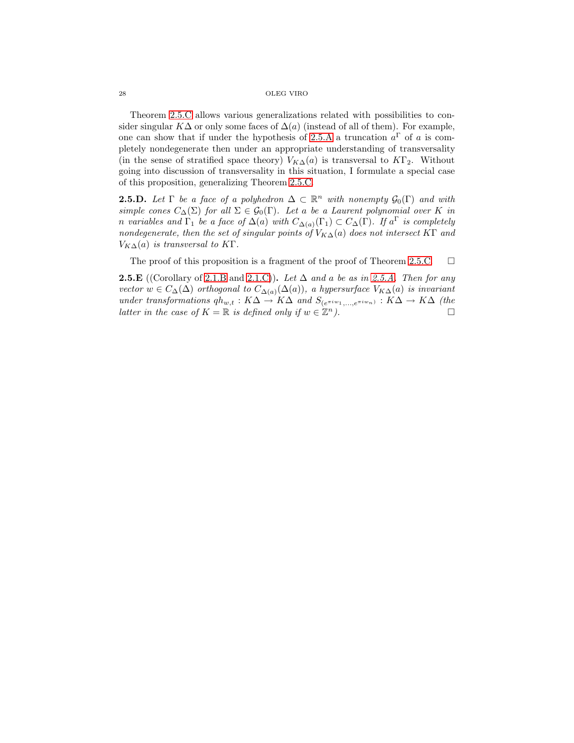Theorem [2.5.C](#page-27-4) allows various generalizations related with possibilities to consider singular  $K\Delta$  or only some faces of  $\Delta(a)$  (instead of all of them). For example, one can show that if under the hypothesis of [2.5.A](#page-27-2) a truncation  $a^{\Gamma}$  of a is completely nondegenerate then under an appropriate understanding of transversality (in the sense of stratified space theory)  $V_{K\Delta}(a)$  is transversal to  $K\Gamma_2$ . Without going into discussion of transversality in this situation, I formulate a special case of this proposition, generalizing Theorem [2.5.C.](#page-27-4)

<span id="page-28-0"></span>**2.5.D.** Let  $\Gamma$  be a face of a polyhedron  $\Delta \subset \mathbb{R}^n$  with nonempty  $\mathcal{G}_0(\Gamma)$  and with *simple cones*  $C_{\Delta}(\Sigma)$  *for all*  $\Sigma \in \mathcal{G}_0(\Gamma)$ *. Let a be a Laurent polynomial over* K *in n variables and*  $\Gamma_1$  *be a face of*  $\Delta(a)$  *with*  $C_{\Delta(a)}(\Gamma_1) \subset C_{\Delta}(\Gamma)$ *. If*  $a^{\Gamma}$  *is completely nondegenerate, then the set of singular points of*  $V_{K\Delta}(a)$  *does not intersect* KF *and*  $V_{K\Delta}(a)$  *is transversal to* KT.

<span id="page-28-1"></span>The proof of this proposition is a fragment of the proof of Theorem [2.5.C.](#page-27-4)  $\Box$ 

2.5.E ((Corollary of [2.1.B](#page-27-1) and [2.1.C\)](#page-27-4)). *Let* ∆ *and* a *be as in [2.5.A.](#page-27-2) Then for any vector*  $w \in C_{\Delta}(\Delta)$  *orthogonal to*  $C_{\Delta(a)}(\Delta(a))$ *, a hypersurface*  $V_{K\Delta}(a)$  *is invariant under transformations*  $q h_{w,t} : K\Delta \to K\Delta$  *and*  $S_{(e^{\pi i w_1},...,e^{\pi i w_n})} : K\Delta \to K\Delta$  (the *latter in the case of*  $K = \mathbb{R}$  *is defined only if*  $w \in \mathbb{Z}^n$ *)*. n<sub>)</sub>. □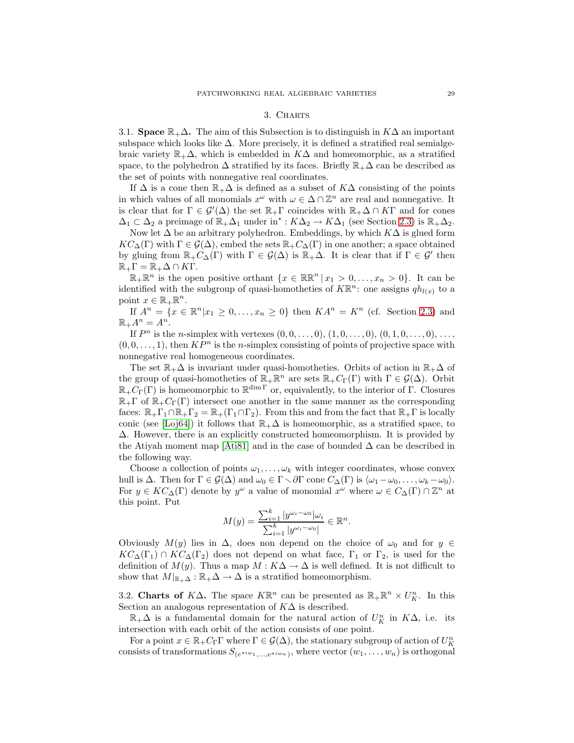### 3. Charts

<span id="page-29-1"></span><span id="page-29-0"></span>3.1. Space  $\mathbb{R}_+ \Delta$ . The aim of this Subsection is to distinguish in  $K\Delta$  an important subspace which looks like  $\Delta$ . More precisely, it is defined a stratified real semialgebraic variety  $\mathbb{R}_+ \Delta$ , which is embedded in  $K\Delta$  and homeomorphic, as a stratified space, to the polyhedron  $\Delta$  stratified by its faces. Briefly  $\mathbb{R}_+ \Delta$  can be described as the set of points with nonnegative real coordinates.

If  $\Delta$  is a cone then  $\mathbb{R}_+ \Delta$  is defined as a subset of  $K\Delta$  consisting of the points in which values of all monomials  $x^{\omega}$  with  $\omega \in \Delta \cap \mathbb{Z}^n$  are real and nonnegative. It is clear that for  $\Gamma \in \mathcal{G}'(\Delta)$  the set  $\mathbb{R}_+ \Gamma$  coincides with  $\mathbb{R}_+ \Delta \cap K\Gamma$  and for cones  $\Delta_1 \subset \Delta_2$  a preimage of  $\mathbb{R}_+ \Delta_1$  under in<sup>\*</sup>:  $K\Delta_2 \to K\Delta_1$  (see Section [2.3\)](#page-23-0) is  $\mathbb{R}_+ \Delta_2$ .

Now let  $\Delta$  be an arbitrary polyhedron. Embeddings, by which  $K\Delta$  is glued form  $KC_\Delta(\Gamma)$  with  $\Gamma \in \mathcal{G}(\Delta)$ , embed the sets  $\mathbb{R}_+ C_\Delta(\Gamma)$  in one another; a space obtained by gluing from  $\mathbb{R}_+ C_\Delta(\Gamma)$  with  $\Gamma \in \mathcal{G}(\Delta)$  is  $\mathbb{R}_+ \Delta$ . It is clear that if  $\Gamma \in \mathcal{G}'$  then  $\mathbb{R}_+ \Gamma = \mathbb{R}_+ \Delta \cap K \Gamma.$ 

 $\mathbb{R}_+\mathbb{R}^n$  is the open positive orthant  $\{x \in \mathbb{R}\mathbb{R}^n \mid x_1 > 0, \ldots, x_n > 0\}$ . It can be identified with the subgroup of quasi-homotheties of  $K\mathbb{R}^n$ : one assigns  $q h_{l(x)}$  to a point  $x \in \mathbb{R}_+ \mathbb{R}^n$ .

If  $A^n = \{x \in \mathbb{R}^n | x_1 \geq 0, \ldots, x_n \geq 0\}$  then  $KA^n = K^n$  (cf. Section [2.3\)](#page-23-0) and  $\mathbb{R}_+A^n=A^n$ .

If  $P^n$  is the *n*-simplex with vertexes  $(0, 0, \ldots, 0), (1, 0, \ldots, 0), (0, 1, 0, \ldots, 0), \ldots,$  $(0, 0, \ldots, 1)$ , then  $KP^n$  is the *n*-simplex consisting of points of projective space with nonnegative real homogeneous coordinates.

The set  $\mathbb{R}_+ \Delta$  is invariant under quasi-homotheties. Orbits of action in  $\mathbb{R}_+ \Delta$  of the group of quasi-homotheties of  $\mathbb{R}_+\mathbb{R}^n$  are sets  $\mathbb{R}_+C_\Gamma(\Gamma)$  with  $\Gamma \in \mathcal{G}(\Delta)$ . Orbit  $\mathbb{R}_+C_\Gamma(\Gamma)$  is homeomorphic to  $\mathbb{R}^{\dim\Gamma}$  or, equivalently, to the interior of  $\Gamma$ . Closures  $\mathbb{R}_+$ Γ of  $\mathbb{R}_+C_\Gamma(\Gamma)$  intersect one another in the same manner as the corresponding faces:  $\mathbb{R}_+\Gamma_1 \cap \mathbb{R}_+\Gamma_2 = \mathbb{R}_+(\Gamma_1 \cap \Gamma_2)$ . From this and from the fact that  $\mathbb{R}_+\Gamma$  is locally conic (see [\[Loj64\]](#page-47-19)) it follows that  $\mathbb{R}_+ \Delta$  is homeomorphic, as a stratified space, to ∆. However, there is an explicitly constructed homeomorphism. It is provided by the Atiyah moment map [\[Ati81\]](#page-47-20) and in the case of bounded  $\Delta$  can be described in the following way.

Choose a collection of points  $\omega_1, \ldots, \omega_k$  with integer coordinates, whose convex hull is  $\Delta$ . Then for  $\Gamma \in \mathcal{G}(\Delta)$  and  $\omega_0 \in \Gamma \setminus \partial \Gamma$  cone  $C_{\Delta}(\Gamma)$  is  $\langle \omega_1 - \omega_0, \ldots, \omega_k - \omega_0 \rangle$ . For  $y \in KC_\Delta(\Gamma)$  denote by  $y^\omega$  a value of monomial  $x^\omega$  where  $\omega \in C_\Delta(\Gamma) \cap \mathbb{Z}^n$  at this point. Put

$$
M(y) = \frac{\sum_{i=1}^k |y^{\omega_i - \omega_0}| \omega_i}{\sum_{i=1}^k |y^{\omega_i - \omega_0}|} \in \mathbb{R}^n.
$$

Obviously  $M(y)$  lies in  $\Delta$ , does non depend on the choice of  $\omega_0$  and for  $y \in$  $KC_{\Delta}(\Gamma_1) \cap KC_{\Delta}(\Gamma_2)$  does not depend on what face,  $\Gamma_1$  or  $\Gamma_2$ , is used for the definition of  $M(y)$ . Thus a map  $M : K\Delta \to \Delta$  is well defined. It is not difficult to show that  $M|_{\mathbb{R}_+ \Delta} : \mathbb{R}_+ \Delta \to \Delta$  is a stratified homeomorphism.

<span id="page-29-2"></span>3.2. Charts of K $\Delta$ . The space  $K\mathbb{R}^n$  can be presented as  $\mathbb{R}_+\mathbb{R}^n \times U_K^n$ . In this Section an analogous representation of  $K\Delta$  is described.

 $\mathbb{R}_+$ ∆ is a fundamental domain for the natural action of  $U_K^n$  in  $K\Delta$ , i.e. its intersection with each orbit of the action consists of one point.

For a point  $x \in \mathbb{R}_+ C_{\Gamma} \Gamma$  where  $\Gamma \in \mathcal{G}(\Delta)$ , the stationary subgroup of action of  $U_K^n$ consists of transformations  $S_{(e^{\pi i w_1},...,e^{\pi i w_n})}$ , where vector  $(w_1,...,w_n)$  is orthogonal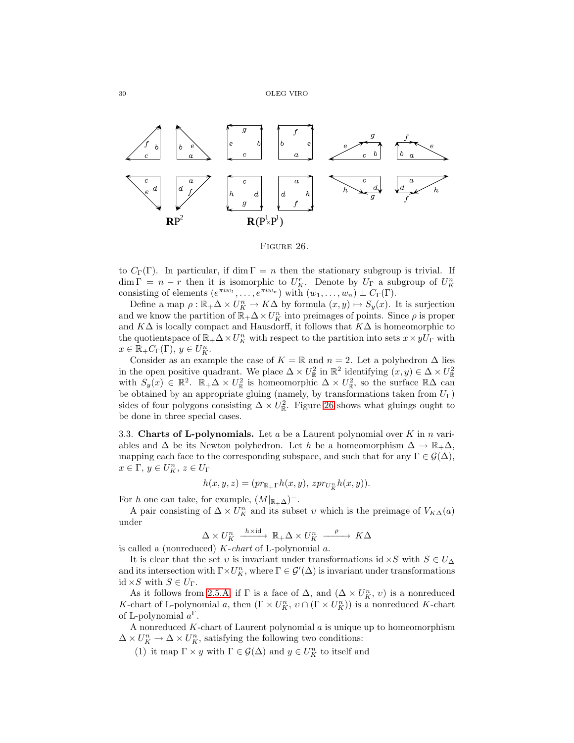

<span id="page-30-1"></span>FIGURE 26.

to  $C_{\Gamma}(\Gamma)$ . In particular, if dim  $\Gamma = n$  then the stationary subgroup is trivial. If  $\dim \Gamma = n - r$  then it is isomorphic to  $U_K^r$ . Denote by  $U_{\Gamma}$  a subgroup of  $U_K^n$ consisting of elements  $(e^{\pi i w_1}, \ldots, e^{\pi i w_n})$  with  $(w_1, \ldots, w_n) \perp C_{\Gamma}(\Gamma)$ .

Define a map  $\rho : \mathbb{R}_+ \Delta \times U_K^n \to K \Delta$  by formula  $(x, y) \mapsto S_y(x)$ . It is surjection and we know the partition of  $\mathbb{R}_+ \Delta \times U_K^n$  into preimages of points. Since  $\rho$  is proper and  $K\Delta$  is locally compact and Hausdorff, it follows that  $K\Delta$  is homeomorphic to the quotient<br>space of  $\mathbb{R}_+ \Delta \times U_K^n$  with respect to the partition into sets<br>  $x \times yU_\Gamma$  with  $x \in \mathbb{R}_+ C_{\Gamma}(\Gamma), y \in U_K^n$ .

Consider as an example the case of  $K = \mathbb{R}$  and  $n = 2$ . Let a polyhedron  $\Delta$  lies in the open positive quadrant. We place  $\Delta \times U^2_{\mathbb{R}}$  in  $\mathbb{R}^2$  identifying  $(x, y) \in \Delta \times U^2_{\mathbb{R}}$ with  $S_y(x) \in \mathbb{R}^2$ .  $\mathbb{R}_+ \Delta \times U^2_{\mathbb{R}}$  is homeomorphic  $\Delta \times U^2_{\mathbb{R}}$ , so the surface  $\mathbb{R} \Delta$  can be obtained by an appropriate gluing (namely, by transformations taken from  $U_{\Gamma}$ ) sides of four polygons consisting  $\Delta \times U_{\mathbb{R}}^2$ . Figure [26](#page-30-1) shows what gluings ought to be done in three special cases.

<span id="page-30-0"></span>3.3. Charts of L-polynomials. Let a be a Laurent polynomial over  $K$  in n variables and  $\Delta$  be its Newton polyhedron. Let h be a homeomorphism  $\Delta \to \mathbb{R}_+ \Delta$ , mapping each face to the corresponding subspace, and such that for any  $\Gamma \in \mathcal{G}(\Delta)$ ,  $x \in \Gamma$ ,  $y \in U_K^n$ ,  $z \in U_\Gamma$ 

$$
h(x, y, z) = (pr_{\mathbb{R}_+} \Gamma h(x, y), zpr_{U_K^n} h(x, y)).
$$

For h one can take, for example,  $(M|_{\mathbb{R}_+^{\Delta}})^-$ .

A pair consisting of  $\Delta \times U_K^n$  and its subset v which is the preimage of  $V_{K\Delta}(a)$ under

$$
\Delta \times U_K^n \xrightarrow{h \times \mathrm{id}} \mathbb{R}_+ \Delta \times U_K^n \xrightarrow{\quad \rho \quad} K \Delta
$$

is called a (nonreduced) K-*chart* of L-polynomial a.

It is clear that the set v is invariant under transformations id  $\times S$  with  $S \in U_{\Delta}$ and its intersection with  $\Gamma \times U_K^n$ , where  $\Gamma \in \mathcal{G}'(\Delta)$  is invariant under transformations id  $\times S$  with  $S \in U_{\Gamma}$ .

As it follows from [2.5.A,](#page-27-2) if  $\Gamma$  is a face of  $\Delta$ , and  $(\Delta \times U_K^n, v)$  is a nonreduced K-chart of L-polynomial a, then  $(\Gamma \times U_K^n, v \cap (\Gamma \times U_K^n))$  is a nonreduced K-chart of L-polynomial  $a^{\Gamma}$ .

A nonreduced  $K$ -chart of Laurent polynomial  $a$  is unique up to homeomorphism  $\Delta \times U_K^n \rightarrow \Delta \times U_K^n,$  satisfying the following two conditions:

(1) it map  $\Gamma \times y$  with  $\Gamma \in \mathcal{G}(\Delta)$  and  $y \in U_K^n$  to itself and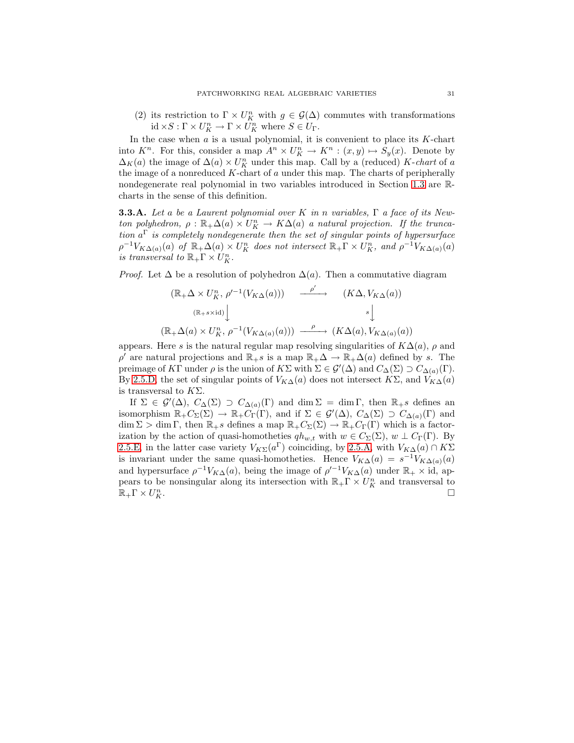(2) its restriction to  $\Gamma \times U_K^n$  with  $g \in \mathcal{G}(\Delta)$  commutes with transformations  $\mathrm{id} \times S : \Gamma \times U_K^n \to \Gamma \times U_K^n$  where  $S \in U_\Gamma$ .

In the case when  $a$  is a usual polynomial, it is convenient to place its  $K$ -chart into  $K^n$ . For this, consider a map  $A^n \times U_K^n \to K^n : (x, y) \mapsto S_y(x)$ . Denote by  $\Delta_K(a)$  the image of  $\Delta(a) \times U_K^n$  under this map. Call by a (reduced) K-*chart* of a the image of a nonreduced  $K$ -chart of  $a$  under this map. The charts of peripherally nondegenerate real polynomial in two variables introduced in Section [1.3](#page-7-0) are Rcharts in the sense of this definition.

<span id="page-31-0"></span>3.3.A. *Let* a *be a Laurent polynomial over* K *in* n *variables,* Γ *a face of its Newton polyhedron,*  $\rho : \mathbb{R}_+ \Delta(a) \times U_K^n \to K \Delta(a)$  *a natural projection. If the truncation* a <sup>Γ</sup> *is completely nondegenerate then the set of singular points of hypersurface*  $\rho^{-1}V_{K\Delta(a)}(a)$  of  $\mathbb{R}_+\Delta(a) \times U_K^n$  does not intersect  $\mathbb{R}_+\Gamma \times U_K^n$ , and  $\rho^{-1}V_{K\Delta(a)}(a)$ *is transversal to*  $\mathbb{R}_+ \Gamma \times U_K^n$ .

*Proof.* Let  $\Delta$  be a resolution of polyhedron  $\Delta(a)$ . Then a commutative diagram

$$
(\mathbb{R}_{+}\Delta \times U_{K}^{n}, \rho'^{-1}(V_{K\Delta}(a))) \xrightarrow{\rho'} \qquad (K\Delta, V_{K\Delta}(a))
$$
  

$$
(\mathbb{R}_{+}s \times id) \downarrow \qquad s \downarrow
$$
  

$$
(\mathbb{R}_{+}\Delta(a) \times U_{K}^{n}, \rho^{-1}(V_{K\Delta(a)}(a))) \xrightarrow{\rho} (K\Delta(a), V_{K\Delta(a)}(a))
$$

appears. Here s is the natural regular map resolving singularities of  $K\Delta(a)$ ,  $\rho$  and  $\rho'$  are natural projections and  $\mathbb{R}_+s$  is a map  $\mathbb{R}_+\Delta \to \mathbb{R}_+\Delta(a)$  defined by s. The preimage of KΓ under  $\rho$  is the union of KΣ with  $\Sigma \in \mathcal{G}'(\Delta)$  and  $C_{\Delta}(\Sigma) \supset C_{\Delta(a)}(\Gamma)$ . By [2.5.D,](#page-28-0) the set of singular points of  $V_{K\Delta}(a)$  does not intersect  $K\Sigma$ , and  $V_{K\Delta}(a)$ is transversal to  $K\Sigma$ .

If  $\Sigma \in \mathcal{G}'(\Delta)$ ,  $C_{\Delta}(\Sigma) \supset C_{\Delta(a)}(\Gamma)$  and dim  $\Sigma = \dim \Gamma$ , then  $\mathbb{R}_+ s$  defines an isomorphism  $\mathbb{R}_+ C_\Sigma(\Sigma) \to \mathbb{R}_+ C_\Gamma(\Gamma)$ , and if  $\Sigma \in \mathcal{G}'(\Delta)$ ,  $C_\Delta(\Sigma) \supset C_{\Delta(a)}(\Gamma)$  and  $\dim \Sigma > \dim \Gamma$ , then  $\mathbb{R}_+ s$  defines a map  $\mathbb{R}_+ C_{\Sigma}(\Sigma) \to \mathbb{R}_+ C_{\Gamma}(\Gamma)$  which is a factorization by the action of quasi-homotheties  $q h_{w,t}$  with  $w \in C_{\Sigma}(\Sigma)$ ,  $w \perp C_{\Gamma}(\Gamma)$ . By [2.5.E,](#page-28-1) in the latter case variety  $V_{K\Sigma}(a^{\Gamma})$  coinciding, by [2.5.A,](#page-27-2) with  $V_{K\Delta}(a) \cap K\Sigma$ is invariant under the same quasi-homotheties. Hence  $V_{K\Delta}(a) = s^{-1}V_{K\Delta}(a)(a)$ and hypersurface  $\rho^{-1}V_{K\Delta}(a)$ , being the image of  $\rho'^{-1}V_{K\Delta}(a)$  under  $\mathbb{R}_+ \times id$ , appears to be nonsingular along its intersection with  $\mathbb{R}_{+}\Gamma \times U_K^n$  and transversal to  $\mathbb{R}_+ \Gamma \times U_R^n$  $K$ .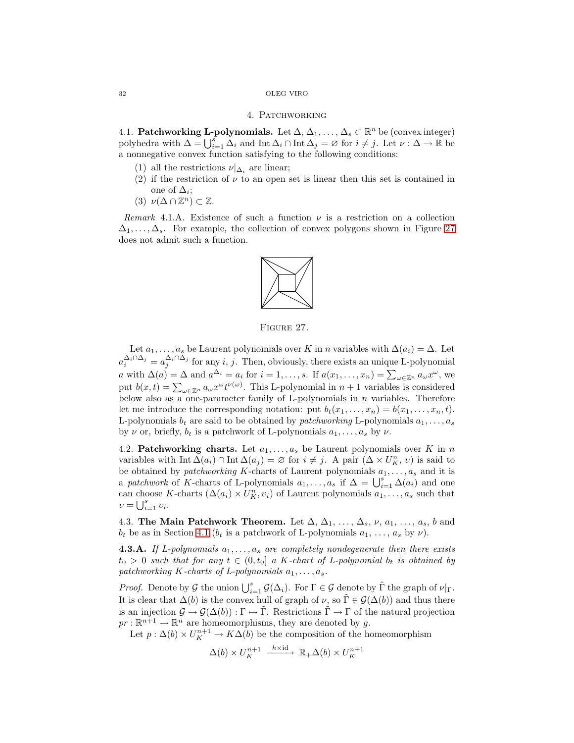#### 4. Patchworking

<span id="page-32-1"></span><span id="page-32-0"></span>4.1. Patchworking L-polynomials. Let  $\Delta, \Delta_1, \ldots, \Delta_s \subset \mathbb{R}^n$  be (convex integer) polyhedra with  $\Delta = \bigcup_{i=1}^s \Delta_i$  and  $\text{Int } \Delta_i \cap \text{Int } \Delta_j = \emptyset$  for  $i \neq j$ . Let  $\nu : \Delta \to \mathbb{R}$  be a nonnegative convex function satisfying to the following conditions:

- <span id="page-32-7"></span><span id="page-32-6"></span>(1) all the restrictions  $\nu|_{\Delta_i}$  are linear;
- (2) if the restriction of  $\nu$  to an open set is linear then this set is contained in one of  $\Delta_i$ ;
- <span id="page-32-8"></span>(3)  $\nu(\Delta \cap \mathbb{Z}^n) \subset \mathbb{Z}$ .

*Remark* 4.1.A. Existence of such a function  $\nu$  is a restriction on a collection  $\Delta_1, \ldots, \Delta_s$ . For example, the collection of convex polygons shown in Figure [27](#page-32-5) does not admit such a function.



<span id="page-32-5"></span>FIGURE 27.

Let  $a_1, \ldots, a_s$  be Laurent polynomials over K in n variables with  $\Delta(a_i) = \Delta$ . Let  $a_i^{\Delta_i \cap \Delta_j} = a_j^{\Delta_i \cap \Delta_j}$  for any i, j. Then, obviously, there exists an unique L-polynomial a with  $\Delta(a) = \Delta$  and  $a^{\Delta_i} = a_i$  for  $i = 1, \ldots, s$ . If  $a(x_1, \ldots, x_n) = \sum_{\omega \in \mathbb{Z}^n} a_{\omega} x^{\omega}$ , we put  $b(x,t) = \sum_{\omega \in \mathbb{Z}^n} a_{\omega} x^{\omega} t^{\nu(\omega)}$ . This L-polynomial in  $n+1$  variables is considered below also as a one-parameter family of L-polynomials in  $n$  variables. Therefore let me introduce the corresponding notation: put  $b_t(x_1, \ldots, x_n) = b(x_1, \ldots, x_n, t)$ . L-polynomials  $b_t$  are said to be obtained by *patchworking* L-polynomials  $a_1, \ldots, a_s$ by  $\nu$  or, briefly,  $b_t$  is a patchwork of L-polynomials  $a_1, \ldots, a_s$  by  $\nu$ .

<span id="page-32-2"></span>4.2. Patchworking charts. Let  $a_1, \ldots, a_s$  be Laurent polynomials over K in n variables with  $\text{Int }\Delta(a_i) \cap \text{Int }\Delta(a_j) = \varnothing$  for  $i \neq j$ . A pair  $(\Delta \times U_K^n, v)$  is said to be obtained by *patchworking* K-charts of Laurent polynomials  $a_1, \ldots, a_s$  and it is a *patchwork* of K-charts of L-polynomials  $a_1, \ldots, a_s$  if  $\Delta = \bigcup_{i=1}^s \Delta(a_i)$  and one can choose K-charts  $(\Delta(a_i) \times U_K^n, v_i)$  of Laurent polynomials  $a_1, \ldots, a_s$  such that  $v = \bigcup_{i=1}^s v_i.$ 

<span id="page-32-4"></span><span id="page-32-3"></span>4.3. The Main Patchwork Theorem. Let  $\Delta, \Delta_1, \ldots, \Delta_s, \nu, a_1, \ldots, a_s, b$  and  $b_t$  be as in Section [4.1](#page-32-1) ( $b_t$  is a patchwork of L-polynomials  $a_1, \ldots, a_s$  by  $\nu$ ).

**4.3.A.** If L-polynomials  $a_1, \ldots, a_s$  are completely nondegenerate then there exists  $t_0 > 0$  *such that for any*  $t \in (0, t_0]$  *a* K-chart of L-polynomial  $b_t$  *is obtained by* patchworking K-charts of L-polynomials  $a_1, \ldots, a_s$ .

*Proof.* Denote by G the union  $\bigcup_{i=1}^s \mathcal{G}(\Delta_i)$ . For  $\Gamma \in \mathcal{G}$  denote by  $\tilde{\Gamma}$  the graph of  $\nu|_{\Gamma}$ . It is clear that  $\Delta(b)$  is the convex hull of graph of  $\nu$ , so  $\tilde{\Gamma} \in \mathcal{G}(\Delta(b))$  and thus there is an injection  $\mathcal{G} \to \mathcal{G}(\Delta(b)) : \Gamma \mapsto \tilde{\Gamma}$ . Restrictions  $\tilde{\Gamma} \to \Gamma$  of the natural projection  $pr : \mathbb{R}^{n+1} \to \mathbb{R}^n$  are homeomorphisms, they are denoted by g.

Let  $p: \Delta(b) \times U_K^{n+1} \to K\Delta(b)$  be the composition of the homeomorphism

$$
\Delta(b) \times U_K^{n+1} \xrightarrow{h \times \text{id}} \mathbb{R}_+ \Delta(b) \times U_K^{n+1}
$$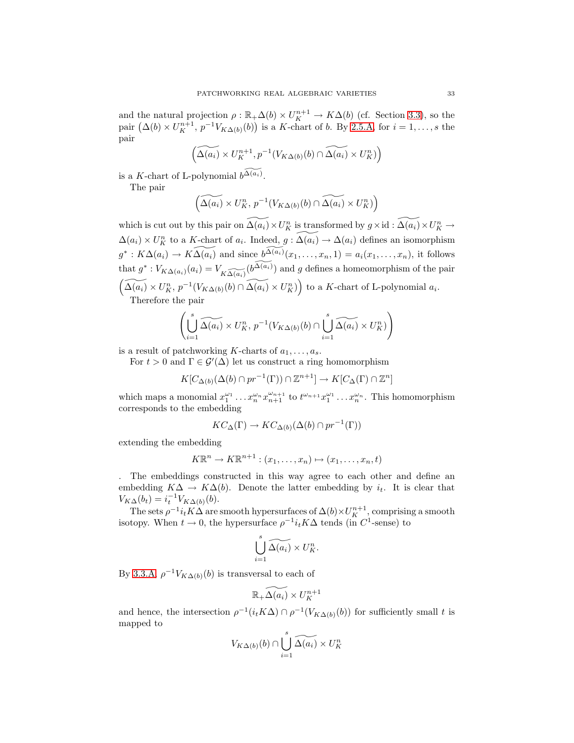and the natural projection  $\rho : \mathbb{R}_+ \Delta(b) \times U_K^{n+1} \to K \Delta(b)$  (cf. Section [3.3\)](#page-30-0), so the pair  $(\Delta(b) \times U_K^{n+1}, p^{-1}V_{K\Delta(b)}(b))$  is a K-chart of b. By [2.5.A,](#page-27-2) for  $i = 1, ..., s$  the pair

$$
\left(\widetilde{\Delta(a_i)} \times U_K^{n+1}, p^{-1}(V_{K\Delta(b)}(b) \cap \widetilde{\Delta(a_i)} \times U_K^n)\right)
$$

is a K-chart of L-polynomial  $\widetilde{b^{\Delta(a_i)}}$ .

The pair

$$
\left(\widetilde{\Delta(a_i)} \times U_K^n, \, p^{-1}(V_{K\Delta(b)}(b) \cap \widetilde{\Delta(a_i)} \times U_K^n)\right)
$$

which is cut out by this pair on  $\widetilde{\Delta(a_i)} \times U_K^n$  is transformed by  $g \times id : \widetilde{\Delta(a_i)} \times U_K^n \to$  $\Delta(a_i) \times U_K^n$  to a K-chart of  $a_i$ . Indeed,  $g : \widetilde{\Delta(a_i)} \to \Delta(a_i)$  defines an isomorphism  $g^*: K\Delta(a_i) \to \widetilde{K\Delta(a_i)}$  and since  $\widetilde{b^{\Delta(a_i)}}(x_1,\ldots,x_n,1) = a_i(x_1,\ldots,x_n)$ , it follows that  $g^*: V_{K\Delta(a_i)}(a_i) = V_{\widetilde{K\Delta(a_i)}}(b^{\widetilde{\Delta(a_i)}})$  and g defines a homeomorphism of the pair  $\left(\widetilde{\Delta(a_i)} \times U_K^n, p^{-1}(V_{K\Delta(b)}(b) \cap \widetilde{\Delta(a_i)} \times U_K^n)\right)$  to a K-chart of L-polynomial  $a_i$ .

Therefore the pair

$$
\left(\bigcup_{i=1}^s \widetilde{\Delta(a_i)} \times U_K^n, \, p^{-1}(V_{K\Delta(b)}(b) \cap \bigcup_{i=1}^s \widetilde{\Delta(a_i)} \times U_K^n)\right)
$$

is a result of patchworking K-charts of  $a_1, \ldots, a_s$ .

For  $t > 0$  and  $\Gamma \in \mathcal{G}'(\Delta)$  let us construct a ring homomorphism

$$
K[C_{\Delta(b)}(\Delta(b)\cap pr^{-1}(\Gamma))\cap \mathbb{Z}^{n+1}]\to K[C_{\Delta}(\Gamma)\cap \mathbb{Z}^n]
$$

which maps a monomial  $x_1^{\omega_1} \dots x_n^{\omega_n} x_{n+1}^{\omega_{n+1}}$  to  $t^{\omega_{n+1}} x_1^{\omega_1} \dots x_n^{\omega_n}$ . This homomorphism corresponds to the embedding

$$
KC_{\Delta}(\Gamma) \to KC_{\Delta(b)}(\Delta(b) \cap pr^{-1}(\Gamma))
$$

extending the embedding

$$
K\mathbb{R}^n \to K\mathbb{R}^{n+1} : (x_1, \ldots, x_n) \mapsto (x_1, \ldots, x_n, t)
$$

. The embeddings constructed in this way agree to each other and define an embedding  $K\Delta \to K\Delta(b)$ . Denote the latter embedding by  $i_t$ . It is clear that  $V_{K\Delta}(b_t) = i_t^{-1} V_{K\Delta(b)}(b).$ 

The sets  $\rho^{-1}i_t K\Delta$  are smooth hypersurfaces of  $\Delta(b) \times U_K^{n+1}$ , comprising a smooth isotopy. When  $t \to 0$ , the hypersurface  $\rho^{-1} i_t K \Delta$  tends (in  $C^1$ -sense) to

$$
\bigcup_{i=1}^s \widetilde{\Delta(a_i)} \times U_K^n.
$$

By [3.3.A,](#page-31-0)  $\rho^{-1}V_{K\Delta(b)}(b)$  is transversal to each of

$$
\mathbb{R}_+ \widetilde{\Delta(a_i)} \times U_K^{n+1}
$$

and hence, the intersection  $\rho^{-1}(i_t K\Delta) \cap \rho^{-1}(V_{K\Delta(b)}(b))$  for sufficiently small t is mapped to

$$
V_{K\Delta(b)}(b)\cap \bigcup_{i=1}^s\widetilde{\Delta(a_i)}\times U_K^n
$$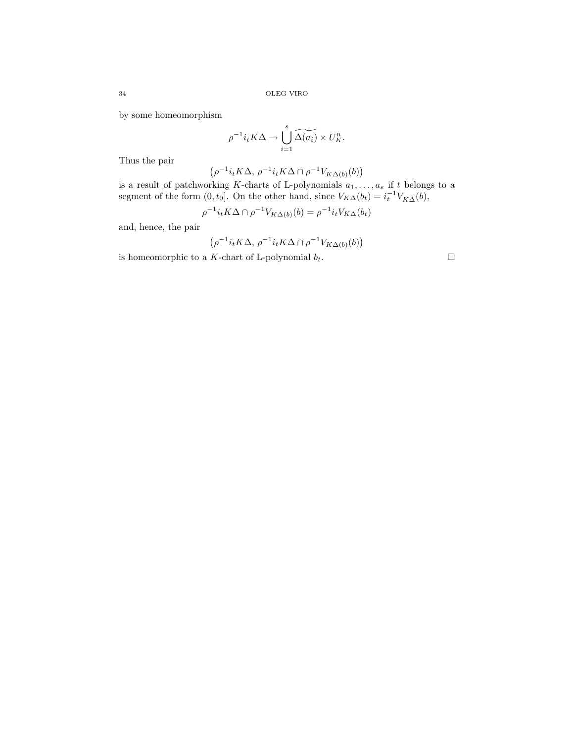by some homeomorphism

$$
\rho^{-1}i_t K \Delta \to \bigcup_{i=1}^s \widetilde{\Delta(a_i)} \times U_K^n.
$$

Thus the pair

$$
(\rho^{-1}i_t K\Delta, \rho^{-1}i_t K\Delta \cap \rho^{-1} V_{K\Delta(b)}(b))
$$

is a result of patchworking K-charts of L-polynomials  $a_1, \ldots, a_s$  if t belongs to a segment of the form  $(0, t_0]$ . On the other hand, since  $V_{K\Delta}(b_t) = i_t^{-1} V_{K\tilde{\Delta}}(b)$ ,

$$
\rho^{-1}i_t K\Delta \cap \rho^{-1}V_{K\Delta(b)}(b) = \rho^{-1}i_t V_{K\Delta}(b_t)
$$

and, hence, the pair

$$
\left(\rho^{-1}i_tK\Delta,\,\rho^{-1}i_tK\Delta\cap\rho^{-1}V_{K\Delta(b)}(b)\right)
$$

is homeomorphic to a  $K\text{-} \mathrm{chart}$  of L-polynomial  $b_t.$   $\hfill\Box$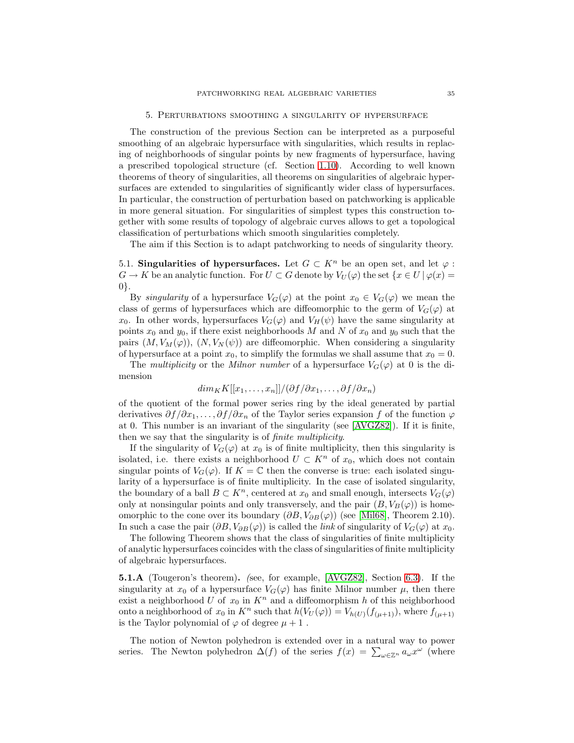### 5. Perturbations smoothing a singularity of hypersurface

<span id="page-35-0"></span>The construction of the previous Section can be interpreted as a purposeful smoothing of an algebraic hypersurface with singularities, which results in replacing of neighborhoods of singular points by new fragments of hypersurface, having a prescribed topological structure (cf. Section [1.10\)](#page-17-0). According to well known theorems of theory of singularities, all theorems on singularities of algebraic hypersurfaces are extended to singularities of significantly wider class of hypersurfaces. In particular, the construction of perturbation based on patchworking is applicable in more general situation. For singularities of simplest types this construction together with some results of topology of algebraic curves allows to get a topological classification of perturbations which smooth singularities completely.

The aim if this Section is to adapt patchworking to needs of singularity theory.

<span id="page-35-1"></span>5.1. Singularities of hypersurfaces. Let  $G \subset K^n$  be an open set, and let  $\varphi$ :  $G \to K$  be an analytic function. For  $U \subset G$  denote by  $V_U(\varphi)$  the set  $\{x \in U \mid \varphi(x) =$ 0}.

By *singularity* of a hypersurface  $V_G(\varphi)$  at the point  $x_0 \in V_G(\varphi)$  we mean the class of germs of hypersurfaces which are diffeomorphic to the germ of  $V_G(\varphi)$  at  $x_0$ . In other words, hypersurfaces  $V_G(\varphi)$  and  $V_H(\psi)$  have the same singularity at points  $x_0$  and  $y_0$ , if there exist neighborhoods M and N of  $x_0$  and  $y_0$  such that the pairs  $(M, V_M(\varphi))$ ,  $(N, V_N(\psi))$  are diffeomorphic. When considering a singularity of hypersurface at a point  $x_0$ , to simplify the formulas we shall assume that  $x_0 = 0$ .

The *multiplicity* or the *Milnor number* of a hypersurface  $V_G(\varphi)$  at 0 is the dimension

$$
dim_K K[[x_1,\ldots,x_n]]/(\partial f/\partial x_1,\ldots,\partial f/\partial x_n)
$$

of the quotient of the formal power series ring by the ideal generated by partial derivatives  $\partial f/\partial x_1,\ldots,\partial f/\partial x_n$  of the Taylor series expansion f of the function  $\varphi$ at 0. This number is an invariant of the singularity (see [\[AVGZ82\]](#page-47-13)). If it is finite, then we say that the singularity is of *finite multiplicity*.

If the singularity of  $V_G(\varphi)$  at  $x_0$  is of finite multiplicity, then this singularity is isolated, i.e. there exists a neighborhood  $U \subset K^n$  of  $x_0$ , which does not contain singular points of  $V_G(\varphi)$ . If  $K = \mathbb{C}$  then the converse is true: each isolated singularity of a hypersurface is of finite multiplicity. In the case of isolated singularity, the boundary of a ball  $B \subset K^n$ , centered at  $x_0$  and small enough, intersects  $V_G(\varphi)$ only at nonsingular points and only transversely, and the pair  $(B, V_B(\varphi))$  is homeomorphic to the cone over its boundary  $(\partial B, V_{\partial B}(\varphi))$  (see [\[Mil68\]](#page-47-15), Theorem 2.10). In such a case the pair  $(\partial B, V_{\partial B}(\varphi))$  is called the *link* of singularity of  $V_G(\varphi)$  at  $x_0$ .

The following Theorem shows that the class of singularities of finite multiplicity of analytic hypersurfaces coincides with the class of singularities of finite multiplicity of algebraic hypersurfaces.

5.1.A (Tougeron's theorem). *(*see, for example, [\[AVGZ82\]](#page-47-13), Section [6.3\)](#page-42-0). If the singularity at  $x_0$  of a hypersurface  $V_G(\varphi)$  has finite Milnor number  $\mu$ , then there exist a neighborhood U of  $x_0$  in  $K^n$  and a diffeomorphism h of this neighborhood onto a neighborhood of  $x_0$  in  $K^n$  such that  $h(V_U(\varphi)) = V_{h(U)}(f_{(\mu+1)})$ , where  $f_{(\mu+1)}$ is the Taylor polynomial of  $\varphi$  of degree  $\mu + 1$ .

The notion of Newton polyhedron is extended over in a natural way to power series. The Newton polyhedron  $\Delta(f)$  of the series  $f(x) = \sum_{\omega \in \mathbb{Z}^n} a_{\omega} x^{\omega}$  (where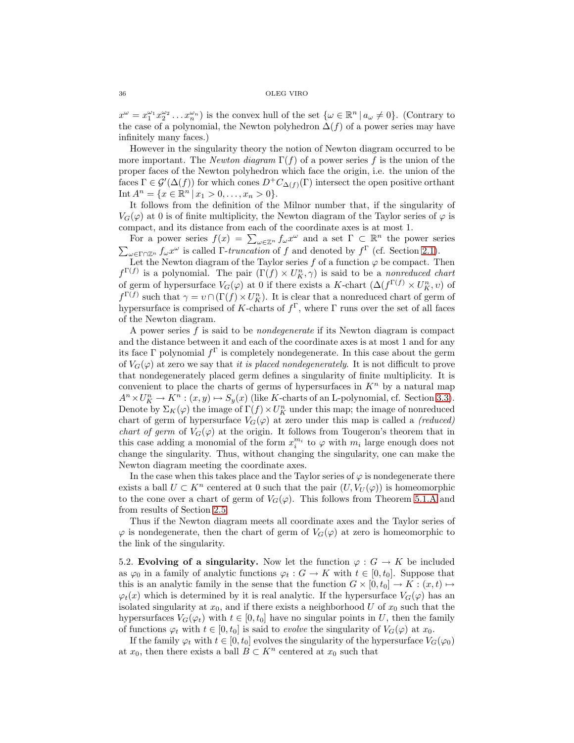$x^{\omega} = x_1^{\omega_1} x_2^{\omega_2} \dots x_n^{\omega_n}$  is the convex hull of the set  $\{\omega \in \mathbb{R}^n \mid a_{\omega} \neq 0\}$ . (Contrary to the case of a polynomial, the Newton polyhedron  $\Delta(f)$  of a power series may have infinitely many faces.)

However in the singularity theory the notion of Newton diagram occurred to be more important. The *Newton diagram* Γ(f) of a power series f is the union of the proper faces of the Newton polyhedron which face the origin, i.e. the union of the faces  $\Gamma \in \mathcal{G}'(\Delta(f))$  for which cones  $D^+C_{\Delta(f)}(\Gamma)$  intersect the open positive orthant Int  $A^n = \{x \in \mathbb{R}^n \mid x_1 > 0, \ldots, x_n > 0\}.$ 

It follows from the definition of the Milnor number that, if the singularity of  $V_G(\varphi)$  at 0 is of finite multiplicity, the Newton diagram of the Taylor series of  $\varphi$  is compact, and its distance from each of the coordinate axes is at most 1.

For a power series  $f(x) = \sum_{\omega \in \mathbb{Z}^n} f_{\omega} x^{\omega}$  and a set  $\Gamma \subset \mathbb{R}^n$  the power series  $\sum_{\omega \in \Gamma \cap \mathbb{Z}^n} f_{\omega} x^{\omega}$  is called  $\Gamma$ -*truncation* of f and denoted by  $f^{\Gamma}$  (cf. Section [2.1\)](#page-21-1).

Let the Newton diagram of the Taylor series f of a function  $\varphi$  be compact. Then  $f^{\Gamma(f)}$  is a polynomial. The pair  $(\Gamma(f) \times U_K^n, \gamma)$  is said to be a *nonreduced chart* of germ of hypersurface  $V_G(\varphi)$  at 0 if there exists a K-chart  $(\Delta(f^{\Gamma(f)} \times U_K^n, v)$  of  $f^{\Gamma(f)}$  such that  $\gamma = \nu \cap (\Gamma(f) \times U_K^n)$ . It is clear that a nonreduced chart of germ of hypersurface is comprised of K-charts of  $f^{\Gamma}$ , where  $\Gamma$  runs over the set of all faces of the Newton diagram.

A power series f is said to be *nondegenerate* if its Newton diagram is compact and the distance between it and each of the coordinate axes is at most 1 and for any its face  $\Gamma$  polynomial  $f^{\Gamma}$  is completely nondegenerate. In this case about the germ of  $V_G(\varphi)$  at zero we say that *it is placed nondegenerately*. It is not difficult to prove that nondegenerately placed germ defines a singularity of finite multiplicity. It is convenient to place the charts of germs of hypersurfaces in  $K<sup>n</sup>$  by a natural map  $A^n \times U_K^n \to K^n : (x, y) \mapsto S_y(x)$  (like K-charts of an L-polynomial, cf. Section [3.3\)](#page-30-0). Denote by  $\Sigma_K(\varphi)$  the image of  $\Gamma(f) \times U_K^n$  under this map; the image of nonreduced chart of germ of hypersurface  $V_G(\varphi)$  at zero under this map is called a *(reduced) chart of germ* of  $V_G(\varphi)$  at the origin. It follows from Tougeron's theorem that in this case adding a monomial of the form  $x_i^{m_i}$  to  $\varphi$  with  $m_i$  large enough does not change the singularity. Thus, without changing the singularity, one can make the Newton diagram meeting the coordinate axes.

In the case when this takes place and the Taylor series of  $\varphi$  is nondegenerate there exists a ball  $U \subset K^n$  centered at 0 such that the pair  $(U, V_U(\varphi))$  is homeomorphic to the cone over a chart of germ of  $V_G(\varphi)$ . This follows from Theorem [5.1.A](#page-38-2) and from results of Section [2.5.](#page-27-0)

Thus if the Newton diagram meets all coordinate axes and the Taylor series of  $\varphi$  is nondegenerate, then the chart of germ of  $V_G(\varphi)$  at zero is homeomorphic to the link of the singularity.

<span id="page-36-0"></span>5.2. Evolving of a singularity. Now let the function  $\varphi : G \to K$  be included as  $\varphi_0$  in a family of analytic functions  $\varphi_t : G \to K$  with  $t \in [0, t_0]$ . Suppose that this is an analytic family in the sense that the function  $G \times [0, t_0] \to K : (x, t) \mapsto$  $\varphi_t(x)$  which is determined by it is real analytic. If the hypersurface  $V_G(\varphi)$  has an isolated singularity at  $x_0$ , and if there exists a neighborhood U of  $x_0$  such that the hypersurfaces  $V_G(\varphi_t)$  with  $t \in [0, t_0]$  have no singular points in U, then the family of functions  $\varphi_t$  with  $t \in [0, t_0]$  is said to *evolve* the singularity of  $V_G(\varphi)$  at  $x_0$ .

If the family  $\varphi_t$  with  $t \in [0, t_0]$  evolves the singularity of the hypersurface  $V_G(\varphi_0)$ at  $x_0$ , then there exists a ball  $B \subset K^n$  centered at  $x_0$  such that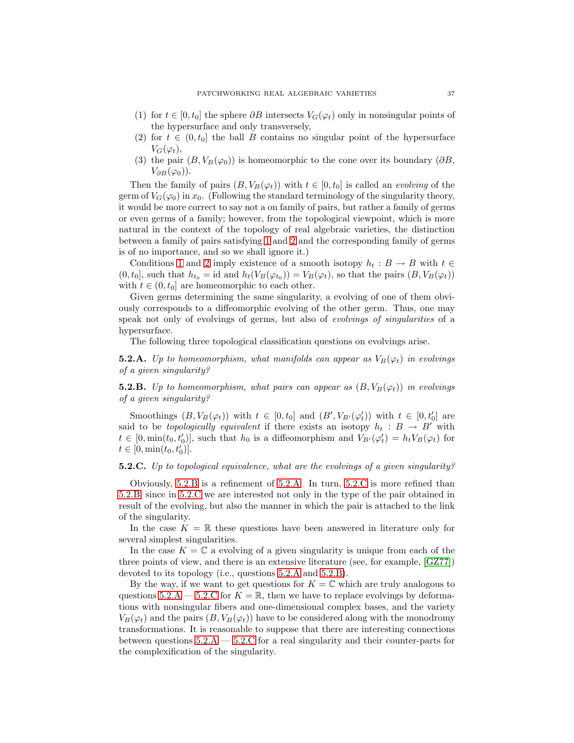- <span id="page-37-1"></span><span id="page-37-0"></span>(1) for  $t \in [0, t_0]$  the sphere  $\partial B$  intersects  $V_G(\varphi_t)$  only in nonsingular points of the hypersurface and only transversely,
- (2) for  $t \in (0, t_0]$  the ball B contains no singular point of the hypersurface  $V_G(\varphi_t),$
- (3) the pair  $(B, V_B(\varphi_0))$  is homeomorphic to the cone over its boundary (∂B,  $V_{\partial B}(\varphi_0)$ ).

Then the family of pairs  $(B, V_B(\varphi_t))$  with  $t \in [0, t_0]$  is called an *evolving* of the germ of  $V_G(\varphi_0)$  in  $x_0$ . (Following the standard terminology of the singularity theory, it would be more correct to say not a on family of pairs, but rather a family of germs or even germs of a family; however, from the topological viewpoint, which is more natural in the context of the topology of real algebraic varieties, the distinction between a family of pairs satisfying [1](#page-37-0) and [2](#page-37-1) and the corresponding family of germs is of no importance, and so we shall ignore it.)

Conditions [1](#page-37-0) and [2](#page-37-1) imply existence of a smooth isotopy  $h_t : B \to B$  with  $t \in$  $(0, t_0]$ , such that  $h_{t_0} = id$  and  $h_t(V_B(\varphi_{t_0})) = V_B(\varphi_t)$ , so that the pairs  $(B, V_B(\varphi_t))$ with  $t \in (0, t_0]$  are homeomorphic to each other.

Given germs determining the same singularity, a evolving of one of them obviously corresponds to a diffeomorphic evolving of the other germ. Thus, one may speak not only of evolvings of germs, but also of *evolvings of singularities* of a hypersurface.

The following three topological classification questions on evolvings arise.

**5.2.A.** *Up to homeomorphism, what manifolds can appear as*  $V_B(\varphi_t)$  *in evolvings of a given singularity?*

# <span id="page-37-2"></span>5.2.B. Up to homeomorphism, what pairs can appear as  $(B, V_B(\varphi_t))$  in evolvings *of a given singularity?*

Smoothings  $(B, V_B(\varphi_t))$  with  $t \in [0, t_0]$  and  $(B', V_{B'}(\varphi'_t))$  with  $t \in [0, t'_0]$  are said to be *topologically equivalent* if there exists an isotopy  $h_t : B \to B'$  with  $t \in [0, \min(t_0, t'_0)],$  such that  $h_0$  is a diffeomorphism and  $V_{B'}(\varphi'_t) = h_t V_B(\varphi_t)$  for  $t \in [0, \min(t_0, t'_0)].$ 

# <span id="page-37-3"></span>5.2.C. *Up to topological equivalence, what are the evolvings of a given singularity?*

Obviously, [5.2.B](#page-37-2) is a refinement of [5.2.A.](#page-38-2) In turn, [5.2.C](#page-37-3) is more refined than [5.2.B,](#page-37-2) since in [5.2.C](#page-37-3) we are interested not only in the type of the pair obtained in result of the evolving, but also the manner in which the pair is attached to the link of the singularity.

In the case  $K = \mathbb{R}$  these questions have been answered in literature only for several simplest singularities.

In the case  $K = \mathbb{C}$  a evolving of a given singularity is unique from each of the three points of view, and there is an extensive literature (see, for example, [\[GZ77\]](#page-47-21)) devoted to its topology (i.e., questions [5.2.A](#page-38-2) and [5.2.B\)](#page-37-2).

By the way, if we want to get questions for  $K = \mathbb{C}$  which are truly analogous to questions  $5.2.A - 5.2.C$  $5.2.A - 5.2.C$  for  $K = \mathbb{R}$ , then we have to replace evolvings by deformations with nonsingular fibers and one-dimensional complex bases, and the variety  $V_B(\varphi_t)$  and the pairs  $(B, V_B(\varphi_t))$  have to be considered along with the monodromy transformations. It is reasonable to suppose that there are interesting connections between questions  $5.2.A - 5.2.C$  $5.2.A - 5.2.C$  for a real singularity and their counter-parts for the complexification of the singularity.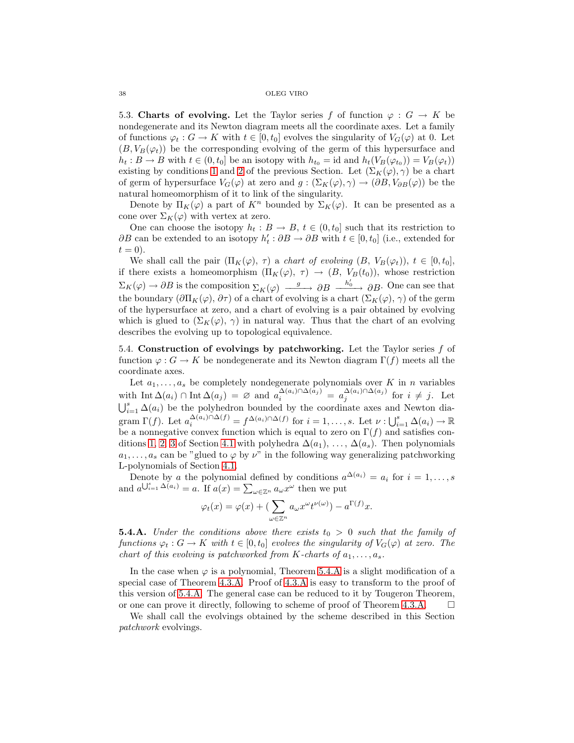<span id="page-38-0"></span>5.3. Charts of evolving. Let the Taylor series f of function  $\varphi : G \to K$  be nondegenerate and its Newton diagram meets all the coordinate axes. Let a family of functions  $\varphi_t : G \to K$  with  $t \in [0, t_0]$  evolves the singularity of  $V_G(\varphi)$  at 0. Let  $(B, V_B(\varphi_t))$  be the corresponding evolving of the germ of this hypersurface and  $h_t : B \to B$  with  $t \in (0, t_0]$  be an isotopy with  $h_{t_0} = id$  and  $h_t(V_B(\varphi_{t_0})) = V_B(\varphi_t))$ existing by conditions [1](#page-37-0) and [2](#page-37-1) of the previous Section. Let  $(\Sigma_K(\varphi), \gamma)$  be a chart of germ of hypersurface  $V_G(\varphi)$  at zero and  $g : (\Sigma_K(\varphi), \gamma) \to (\partial B, V_{\partial B}(\varphi))$  be the natural homeomorphism of it to link of the singularity.

Denote by  $\Pi_K(\varphi)$  a part of  $K^n$  bounded by  $\Sigma_K(\varphi)$ . It can be presented as a cone over  $\Sigma_K(\varphi)$  with vertex at zero.

One can choose the isotopy  $h_t : B \to B$ ,  $t \in (0, t_0]$  such that its restriction to  $\partial B$  can be extended to an isotopy  $h'_t : \partial B \to \partial B$  with  $t \in [0, t_0]$  (i.e., extended for  $t=0$ ).

We shall call the pair  $(\Pi_K(\varphi), \tau)$  a *chart of evolving*  $(B, V_B(\varphi_t)), t \in [0, t_0],$ if there exists a homeomorphism  $(\Pi_K(\varphi), \tau) \to (B, V_B(t_0))$ , whose restriction  $\Sigma_K(\varphi) \to \partial B$  is the composition  $\Sigma_K(\varphi) \longrightarrow \partial B \longrightarrow \partial B$ . One can see that the boundary  $(\partial \Pi_K(\varphi), \partial \tau)$  of a chart of evolving is a chart  $(\Sigma_K(\varphi), \gamma)$  of the germ of the hypersurface at zero, and a chart of evolving is a pair obtained by evolving which is glued to  $(\Sigma_K(\varphi), \gamma)$  in natural way. Thus that the chart of an evolving describes the evolving up to topological equivalence.

<span id="page-38-1"></span>5.4. Construction of evolvings by patchworking. Let the Taylor series f of function  $\varphi: G \to K$  be nondegenerate and its Newton diagram  $\Gamma(f)$  meets all the coordinate axes.

Let  $a_1, \ldots, a_s$  be completely nondegenerate polynomials over K in n variables with  $\text{Int }\Delta(a_i) \cap \text{Int }\Delta(a_j) = \varnothing$  and  $a_i^{\Delta(a_i) \cap \Delta(a_j)} = a_j^{\Delta(a_i) \cap \Delta(a_j)}$  for  $i \neq j$ . Let  $\bigcup_{i=1}^s \Delta(a_i)$  be the polyhedron bounded by the coordinate axes and Newton diagram  $\Gamma(f)$ . Let  $a_i^{\Delta(a_i)\cap \Delta(f)} = f^{\Delta(a_i)\cap \Delta(f)}$  for  $i = 1, ..., s$ . Let  $\nu : \bigcup_{i=1}^s \Delta(a_i) \to \mathbb{R}$ be a nonnegative convex function which is equal to zero on  $\Gamma(f)$  and satisfies con-ditions [1,](#page-32-6) [2,](#page-32-7) [3](#page-32-8) of Section [4.1](#page-32-1) with polyhedra  $\Delta(a_1), \ldots, \Delta(a_s)$ . Then polynomials  $a_1, \ldots, a_s$  can be "glued to  $\varphi$  by  $\nu$ " in the following way generalizing patchworking L-polynomials of Section [4.1.](#page-32-1)

Denote by a the polynomial defined by conditions  $a^{\Delta(a_i)} = a_i$  for  $i = 1, ..., s$ and  $a^{\bigcup_{i=1}^s \Delta(a_i)} = a$ . If  $a(x) = \sum_{\omega \in \mathbb{Z}^n} a_{\omega} x^{\omega}$  then we put

$$
\varphi_t(x)=\varphi(x)+\bigl(\sum_{\omega\in\mathbb{Z}^n}a_{\omega}x^{\omega}t^{\nu(\omega)}\bigr)-a^{\Gamma(f)}x.
$$

<span id="page-38-2"></span>**5.4.A.** *Under the conditions above there exists*  $t_0 > 0$  *such that the family of functions*  $\varphi_t : G \to K$  *with*  $t \in [0, t_0]$  *evolves the singularity of*  $V_G(\varphi)$  *at zero. The chart of this evolving is patchworked from K-charts of*  $a_1, \ldots, a_s$ .

In the case when  $\varphi$  is a polynomial, Theorem [5.4.A](#page-38-2) is a slight modification of a special case of Theorem [4.3.A.](#page-32-4) Proof of [4.3.A](#page-32-4) is easy to transform to the proof of this version of [5.4.A.](#page-38-2) The general case can be reduced to it by Tougeron Theorem, or one can prove it directly, following to scheme of proof of Theorem [4.3.A.](#page-32-4)  $\Box$ 

We shall call the evolvings obtained by the scheme described in this Section *patchwork* evolvings.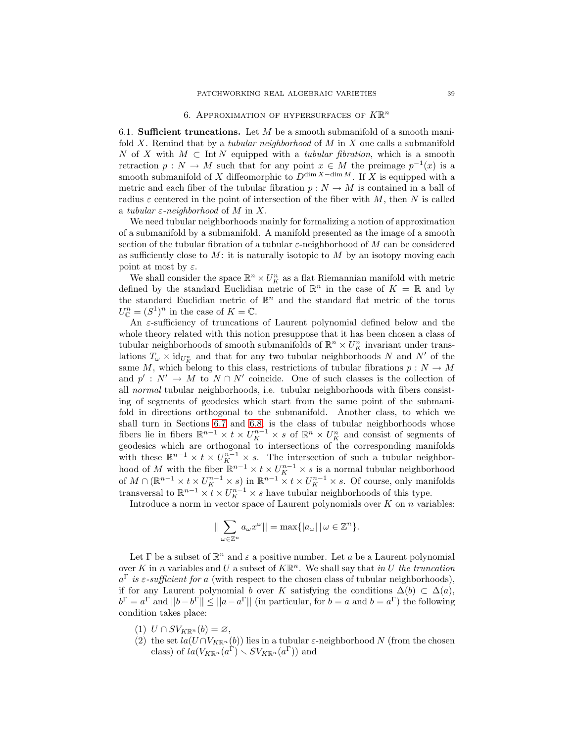# 6. APPROXIMATION OF HYPERSURFACES OF  $K\mathbb{R}^n$

<span id="page-39-1"></span><span id="page-39-0"></span>6.1. **Sufficient truncations.** Let  $M$  be a smooth submanifold of a smooth manifold X. Remind that by a *tubular neighborhood* of M in X one calls a submanifold N of X with  $M ⊂ \text{Int } N$  equipped with a *tubular fibration*, which is a smooth retraction  $p: N \to M$  such that for any point  $x \in M$  the preimage  $p^{-1}(x)$  is a smooth submanifold of X diffeomorphic to  $D^{\dim X-\dim M}$ . If X is equipped with a metric and each fiber of the tubular fibration  $p : N \to M$  is contained in a ball of radius  $\varepsilon$  centered in the point of intersection of the fiber with M, then N is called a *tubular* ε*-neighborhood* of M in X.

We need tubular neighborhoods mainly for formalizing a notion of approximation of a submanifold by a submanifold. A manifold presented as the image of a smooth section of the tubular fibration of a tubular  $\varepsilon$ -neighborhood of M can be considered as sufficiently close to  $M$ : it is naturally isotopic to  $M$  by an isotopy moving each point at most by  $\varepsilon$ .

We shall consider the space  $\mathbb{R}^n \times U_K^n$  as a flat Riemannian manifold with metric defined by the standard Euclidian metric of  $\mathbb{R}^n$  in the case of  $K = \mathbb{R}$  and by the standard Euclidian metric of  $\mathbb{R}^n$  and the standard flat metric of the torus  $U_{\mathbb{C}}^n = (S^1)^n$  in the case of  $K = \mathbb{C}$ .

An ε-sufficiency of truncations of Laurent polynomial defined below and the whole theory related with this notion presuppose that it has been chosen a class of tubular neighborhoods of smooth submanifolds of  $\mathbb{R}^n \times U_K^n$  invariant under translations  $T_{\omega} \times \mathrm{id}_{U_K^n}$  and that for any two tubular neighborhoods N and N' of the same M, which belong to this class, restrictions of tubular fibrations  $p : N \to M$ and  $p' : N' \to M$  to  $N \cap N'$  coincide. One of such classes is the collection of all *normal* tubular neighborhoods, i.e. tubular neighborhoods with fibers consisting of segments of geodesics which start from the same point of the submanifold in directions orthogonal to the submanifold. Another class, to which we shall turn in Sections [6.7](#page-44-1) and [6.8,](#page-45-1) is the class of tubular neighborhoods whose fibers lie in fibers  $\mathbb{R}^{n-1} \times t \times U_K^{n-1} \times s$  of  $\mathbb{R}^n \times U_K^n$  and consist of segments of geodesics which are orthogonal to intersections of the corresponding manifolds with these  $\mathbb{R}^{n-1} \times t \times U_K^{n-1} \times s$ . The intersection of such a tubular neighborhood of M with the fiber  $\mathbb{R}^{n-1} \times t \times U_K^{n-1} \times s$  is a normal tubular neighborhood of  $M \cap (\mathbb{R}^{n-1} \times t \times U_K^{n-1} \times s)$  in  $\mathbb{R}^{n-1} \times t \times U_K^{n-1} \times s$ . Of course, only manifolds transversal to  $\mathbb{R}^{n-1} \times t \times U_K^{n-1} \times s$  have tubular neighborhoods of this type.

Introduce a norm in vector space of Laurent polynomials over  $K$  on  $n$  variables:

$$
||\sum_{\omega \in \mathbb{Z}^n} a_{\omega} x^{\omega}|| = \max \{ |a_{\omega}| \, | \, \omega \in \mathbb{Z}^n \}.
$$

Let  $\Gamma$  be a subset of  $\mathbb{R}^n$  and  $\varepsilon$  a positive number. Let a be a Laurent polynomial over  $K$  in n variables and  $U$  a subset of  $K\mathbb{R}^n$ . We shall say that *in*  $U$  *the truncation*  $a^{\Gamma}$  *is*  $\varepsilon$ -sufficient for a (with respect to the chosen class of tubular neighborhoods), if for any Laurent polynomial b over K satisfying the conditions  $\Delta(b) \subset \Delta(a)$ ,  $b^{\Gamma} = a^{\Gamma}$  and  $||b - b^{\Gamma}|| \le ||a - a^{\Gamma}||$  (in particular, for  $b = a$  and  $b = a^{\Gamma}$ ) the following condition takes place:

- (1)  $U \cap SV_{K\mathbb{R}^n}(b) = \varnothing,$
- (2) the set  $la(U \cap V_{K\mathbb{R}^n}(b))$  lies in a tubular  $\varepsilon$ -neighborhood N (from the chosen class) of  $la(V_{K\mathbb{R}^n}(a^{\Gamma})\setminus SV_{K\mathbb{R}^n}(a^{\Gamma}))$  and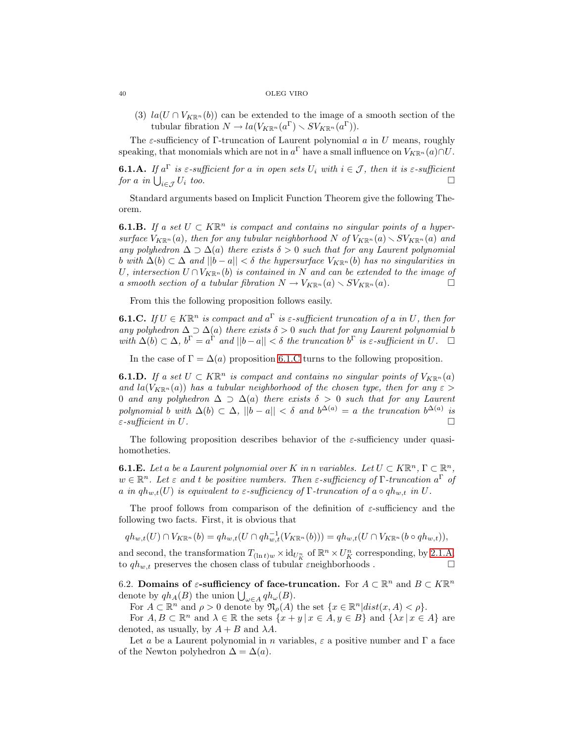(3)  $la(U \cap V_{K\mathbb{R}^n}(b))$  can be extended to the image of a smooth section of the tubular fibration  $N \to la(V_{K\mathbb{R}^n}(a^{\Gamma}) \setminus SV_{K\mathbb{R}^n}(a^{\Gamma})).$ 

The  $\varepsilon$ -sufficiency of Γ-truncation of Laurent polynomial a in U means, roughly speaking, that monomials which are not in  $a^{\Gamma}$  have a small influence on  $V_{K\mathbb{R}^n}(a) \cap U$ .

**6.1.A.** If  $a^{\Gamma}$  is  $\varepsilon$ -sufficient for a in open sets  $U_i$  with  $i \in \mathcal{J}$ , then it is  $\varepsilon$ -sufficient  $\int$ *for* a *in*  $\bigcup_{i \in \mathcal{J}} U_i$  *too.* 

Standard arguments based on Implicit Function Theorem give the following Theorem.

**6.1.B.** If a set  $U \subset K\mathbb{R}^n$  is compact and contains no singular points of a hyper*surface*  $V_{K\mathbb{R}^n}(a)$ *, then for any tubular neighborhood* N of  $V_{K\mathbb{R}^n}(a) \setminus SV_{K\mathbb{R}^n}(a)$  and *any polyhedron*  $\Delta \supset \Delta(a)$  *there exists*  $\delta > 0$  *such that for any Laurent polynomial b with*  $\Delta(b) \subset \Delta$  *and*  $||b - a|| < \delta$  *the hypersurface*  $V_{K\mathbb{R}^n}(b)$  *has no singularities in* U, intersection  $U \cap V_{K\mathbb{R}^n}(b)$  is contained in N and can be extended to the image of *a smooth section of a tubular fibration*  $N \to V_{K\mathbb{R}^n}(a) \setminus SV_{K\mathbb{R}^n}(a)$ .

From this the following proposition follows easily.

**6.1.C.** If  $U \in K\mathbb{R}^n$  is compact and  $a^{\Gamma}$  is  $\varepsilon$ -sufficient truncation of a in U, then for *any polyhedron*  $\Delta \supset \Delta(a)$  *there exists*  $\delta > 0$  *such that for any Laurent polynomial* b  $with \ \Delta(b) \subset \Delta, b^{\Gamma} = a^{\Gamma} \ \text{and} \ ||b - a|| < \delta \ \text{the truncation} \ b^{\Gamma} \ \text{is} \ \varepsilon \text{-sufficient in } U. \quad \Box$ 

In the case of  $\Gamma = \Delta(a)$  proposition [6.1.C](#page-41-0) turns to the following proposition.

**6.1.D.** If a set  $U \subset K\mathbb{R}^n$  is compact and contains no singular points of  $V_{K\mathbb{R}^n}(a)$ *and*  $la(V_{K\mathbb{R}^n}(a))$  *has a tubular neighborhood of the chosen type, then for any*  $\varepsilon$ 0 *and any polyhedron*  $\Delta \supset \Delta(a)$  *there exists*  $\delta > 0$  *such that for any Laurent polynomial* b with  $\Delta(b) \subset \Delta$ ,  $||b - a|| < \delta$  *and*  $b^{\Delta(a)} = a$  *the truncation*  $b^{\Delta(a)}$  *is*  $\varepsilon$ *-sufficient in* U*.* 

<span id="page-40-1"></span>The following proposition describes behavior of the  $\varepsilon$ -sufficiency under quasihomotheties.

**6.1.E.** Let a be a Laurent polynomial over K in n variables. Let  $U \subset K\mathbb{R}^n$ ,  $\Gamma \subset \mathbb{R}^n$ ,  $w \in \mathbb{R}^n$ . Let  $\varepsilon$  and t be positive numbers. Then  $\varepsilon$ -sufficiency of  $\Gamma$ -truncation  $a^{\Gamma}$  of a *in*  $q h_{w,t}(U)$  *is equivalent to*  $\varepsilon$ -sufficiency of  $\Gamma$ -truncation of a ∘  $q h_{w,t}$  *in* U.

The proof follows from comparison of the definition of  $\varepsilon$ -sufficiency and the following two facts. First, it is obvious that

 $qh_{w,t}(U) \cap V_{K\mathbb{R}^n}(b) = qh_{w,t}(U \cap qh_{w,t}^{-1}(V_{K\mathbb{R}^n}(b))) = qh_{w,t}(U \cap V_{K\mathbb{R}^n}(b \circ qh_{w,t})),$ 

and second, the transformation  $T_{(\ln t)w} \times id_{U_K^n}$  of  $\mathbb{R}^n \times U_K^n$  corresponding, by [2.1.A,](#page-27-2) to  $q h_{w,t}$  preserves the chosen class of tubular *εneighborhoods*.

<span id="page-40-0"></span>6.2. Domains of  $\varepsilon$ -sufficiency of face-truncation. For  $A \subset \mathbb{R}^n$  and  $B \subset K\mathbb{R}^n$ denote by  $q h_A(B)$  the union  $\bigcup_{\omega \in A} q h_{\omega}(B)$ .

For  $A \subset \mathbb{R}^n$  and  $\rho > 0$  denote by  $\mathfrak{N}_{\rho}(A)$  the set  $\{x \in \mathbb{R}^n | dist(x, A) < \rho\}.$ 

For  $A, B \subset \mathbb{R}^n$  and  $\lambda \in \mathbb{R}$  the sets  $\{x + y | x \in A, y \in B\}$  and  $\{\lambda x | x \in A\}$  are denoted, as usually, by  $A + B$  and  $\lambda A$ .

Let a be a Laurent polynomial in n variables,  $\varepsilon$  a positive number and  $\Gamma$  a face of the Newton polyhedron  $\Delta = \Delta(a)$ .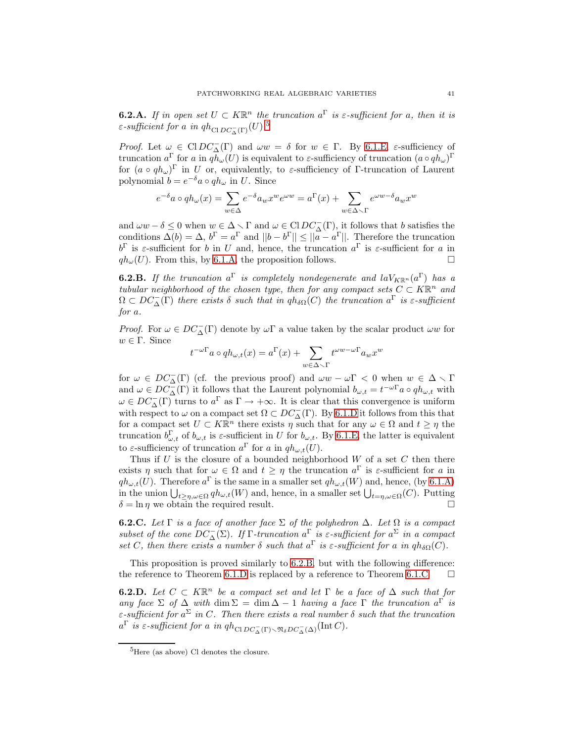**6.2.A.** If in open set  $U \subset K\mathbb{R}^n$  the truncation  $a^{\Gamma}$  is  $\varepsilon$ -sufficient for a, then it is  $\varepsilon$ -sufficient for a in  $q h_{\text{Cl}\, D C_{\Delta}^-(\Gamma)}(U).^5$  $q h_{\text{Cl}\, D C_{\Delta}^-(\Gamma)}(U).^5$ 

*Proof.* Let  $\omega \in \text{Cl} \, DC_{\Delta}^{-}(\Gamma)$  and  $\omega w = \delta$  for  $w \in \Gamma$ . By [6.1.E,](#page-40-1)  $\varepsilon$ -sufficiency of truncation  $a^{\Gamma}$  for a in  $q h_{\omega}(U)$  is equivalent to  $\varepsilon$ -sufficiency of truncation  $(a \circ q h_{\omega})^{\Gamma}$ for  $(a \circ qh_{\omega})^{\Gamma}$  in U or, equivalently, to  $\varepsilon$ -sufficiency of  $\Gamma$ -truncation of Laurent polynomial  $b = e^{-\delta} a \circ q h_{\omega}$  in U. Since

$$
e^{-\delta}a\circ q h_\omega(x)=\sum_{w\in\Delta}e^{-\delta}a_wx^we^{\omega w}=a^\Gamma(x)+\sum_{w\in\Delta\smallsetminus\Gamma}e^{\omega w-\delta}a_wx^w
$$

and  $\omega w - \delta \leq 0$  when  $w \in \Delta \setminus \Gamma$  and  $\omega \in \text{Cl} \, DC_{\Delta}^-(\Gamma)$ , it follows that b satisfies the conditions  $\Delta(b) = \Delta, b^{\Gamma} = a^{\Gamma}$  and  $||b - b^{\Gamma}|| \le ||a - a^{\Gamma}||$ . Therefore the truncation  $b^{\Gamma}$  is ε-sufficient for b in U and, hence, the truncation  $a^{\Gamma}$  is ε-sufficient for a in  $q h_{\omega}(U)$ . From this, by [6.1.A,](#page-45-0) the proposition follows.

<span id="page-41-3"></span>**6.2.B.** If the truncation  $a^{\Gamma}$  is completely nondegenerate and  $la_{K\mathbb{R}^{n}}(a^{\Gamma})$  has a *tubular neighborhood of the chosen type, then for any compact sets*  $C \subset K\mathbb{R}^n$  and  $\Omega \subset DC_{\Delta}^{-}(\Gamma)$  *there exists*  $\delta$  *such that in*  $qh_{\delta\Omega}(C)$  *the truncation*  $a^{\Gamma}$  *is*  $\varepsilon$ -*sufficient for* a*.*

*Proof.* For  $\omega \in DC_{\Delta}^{-}(\Gamma)$  denote by  $\omega\Gamma$  a value taken by the scalar product  $\omega w$  for  $w \in \Gamma$ . Since

$$
t^{-\omega\Gamma}a \circ qh_{\omega,t}(x) = a^{\Gamma}(x) + \sum_{w \in \Delta \smallsetminus \Gamma} t^{\omega w - \omega\Gamma} a_w x^w
$$

for  $\omega \in DC_{\Delta}^{-}(\Gamma)$  (cf. the previous proof) and  $\omega w - \omega \Gamma < 0$  when  $w \in \Delta \setminus \Gamma$ and  $\omega \in DC_{\Delta}^{-}(\Gamma)$  it follows that the Laurent polynomial  $b_{\omega,t} = t^{-\omega\Gamma} a \circ q b_{\omega,t}$  with  $\omega \in DC_{\Delta}^{-}(\Gamma)$  turns to  $a^{\Gamma}$  as  $\Gamma \to +\infty$ . It is clear that this convergence is uniform with respect to  $\omega$  on a compact set  $\Omega \subset DC_{\Delta}^{-}(\Gamma)$ . By [6.1.D](#page-41-2) it follows from this that for a compact set  $U \subset K\mathbb{R}^n$  there exists  $\eta$  such that for any  $\omega \in \Omega$  and  $t \geq \eta$  the truncation  $b_{\omega,t}^{\Gamma}$  of  $b_{\omega,t}$  is  $\varepsilon$ -sufficient in U for  $b_{\omega,t}$ . By [6.1.E,](#page-40-1) the latter is equivalent to  $\varepsilon$ -sufficiency of truncation  $a^{\Gamma}$  for a in  $q h_{\omega,t}(U)$ .

Thus if  $U$  is the closure of a bounded neighborhood  $W$  of a set  $C$  then there exists  $\eta$  such that for  $\omega \in \Omega$  and  $t \geq \eta$  the truncation  $a^{\Gamma}$  is  $\varepsilon$ -sufficient for a in  $q h_{\omega,t}(U)$ . Therefore  $a^{\Gamma}$  is the same in a smaller set  $q h_{\omega,t}(W)$  and, hence, (by [6.1.A\)](#page-45-0) in the union  $\bigcup_{t\geq\eta,\omega\in\Omega}q h_{\omega,t}(W)$  and, hence, in a smaller set  $\bigcup_{t=\eta,\omega\in\Omega}(C)$ . Putting  $\delta = \ln \eta$  we obtain the required result.

<span id="page-41-0"></span>6.2.C. *Let* Γ *is a face of another face* Σ *of the polyhedron* ∆*. Let* Ω *is a compact subset of the cone*  $DC_{\Delta}^{-}(\Sigma)$ *. If*  $\Gamma$ *-truncation*  $a^{\Gamma}$  *is*  $\varepsilon$ *-sufficient for*  $a^{\Sigma}$  *in a compact set* C, then there exists a number  $\delta$  *such that*  $a^{\Gamma}$  *is*  $\varepsilon$ -sufficient for a *in*  $q h_{\delta\Omega}(C)$ *.* 

<span id="page-41-2"></span>This proposition is proved similarly to [6.2.B,](#page-41-3) but with the following difference: the reference to Theorem [6.1.D](#page-41-2) is replaced by a reference to Theorem [6.1.C.](#page-41-0)  $\Box$ 

**6.2.D.** Let  $C \subset K\mathbb{R}^n$  be a compact set and let  $\Gamma$  be a face of  $\Delta$  such that for *any face*  $\Sigma$  *of*  $\Delta$  *with* dim  $\Sigma = \dim \Delta - 1$  *having a face*  $\Gamma$  *the truncation*  $a^{\Gamma}$  *is* ε*-sufficient for* a <sup>Σ</sup> *in* C*. Then there exists a real number* δ *such that the truncation*  $a^{\Gamma}$  *is*  $\varepsilon$ -sufficient for a *in*  $q h_{\text{Cl}\, DC_{\Delta}(\Gamma) \sim \mathfrak{N}_{\delta} DC_{\Delta}(\Delta)}^{\dagger}(\text{Int } C)$ .

<span id="page-41-1"></span><sup>&</sup>lt;sup>5</sup>Here (as above) Cl denotes the closure.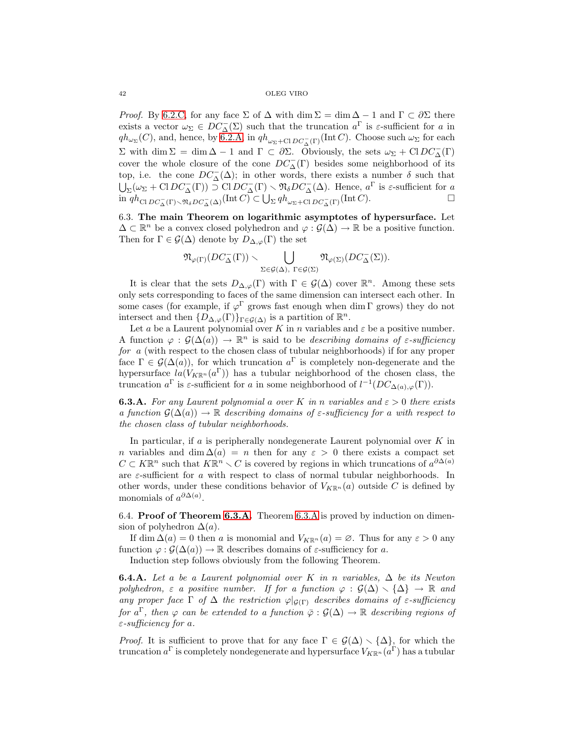*Proof.* By [6.2.C,](#page-41-0) for any face  $\Sigma$  of  $\Delta$  with dim  $\Sigma = \dim \Delta - 1$  and  $\Gamma \subset \partial \Sigma$  there exists a vector  $\omega_{\Sigma} \in DC_{\Delta}^{-}(\Sigma)$  such that the truncation  $a^{\Gamma}$  is  $\varepsilon$ -sufficient for a in  $q h_{\omega_{\Sigma}}(C)$ , and, hence, by [6.2.A,](#page-45-0) in  $q h_{\omega_{\Sigma} + \text{Cl}\, DC_{\Delta}^-(\Gamma)}(\text{Int } C)$ . Choose such  $\omega_{\Sigma}$  for each  $\Sigma$  with dim  $\Sigma = \dim \Delta - 1$  and Γ ⊂  $\partial \Sigma$ . Obviously, the sets  $\omega_{\Sigma} + \text{Cl} D C_{\Delta}^{-}(\Gamma)$ cover the whole closure of the cone  $DC_{\Delta}^{-}(\Gamma)$  besides some neighborhood of its top, i.e. the cone  $DC_{\Delta}^{-}(\Delta)$ ; in other words, there exists a number  $\delta$  such that  $\bigcup_{\Sigma} (\omega_{\Sigma} + \text{Cl} \, DC_{\Delta}^{-}(\Gamma)) \supseteq \text{Cl} \, DC_{\Delta}^{-}(\Gamma) \setminus \mathfrak{N}_{\delta} \, DC_{\Delta}^{-}(\Delta)$ . Hence,  $a^{\Gamma}$  is  $\varepsilon$ -sufficient for a  $\lim_{\Delta} q h_{\text{Cl }DC_{\Delta}^{-}(\Gamma)\setminus\mathfrak{N}_{\delta}DC_{\Delta}^{-}(\Delta)}(\text{Int } C) \subset \bigcup_{\Sigma} q h_{\omega_{\Sigma}+\text{Cl }DC_{\Delta}^{-}(\Gamma)}(\text{Int } C).$ 

<span id="page-42-0"></span>6.3. The main Theorem on logarithmic asymptotes of hypersurface. Let  $\Delta \subset \mathbb{R}^n$  be a convex closed polyhedron and  $\varphi : \mathcal{G}(\Delta) \to \mathbb{R}$  be a positive function. Then for  $\Gamma \in \mathcal{G}(\Delta)$  denote by  $D_{\Delta,\varphi}(\Gamma)$  the set

$$
\mathfrak{N}_{\varphi(\Gamma)}(DC_{\Delta}^{-}(\Gamma)) \smallsetminus \bigcup_{\Sigma \in \mathcal{G}(\Delta), \ \Gamma \in \mathcal{G}(\Sigma)} \mathfrak{N}_{\varphi(\Sigma)}(DC_{\Delta}^{-}(\Sigma)).
$$

It is clear that the sets  $D_{\Delta,\varphi}(\Gamma)$  with  $\Gamma \in \mathcal{G}(\Delta)$  cover  $\mathbb{R}^n$ . Among these sets only sets corresponding to faces of the same dimension can intersect each other. In some cases (for example, if  $\varphi^{\Gamma}$  grows fast enough when dim  $\Gamma$  grows) they do not intersect and then  $\{D_{\Delta,\varphi}(\Gamma)\}_{\Gamma \in \mathcal{G}(\Delta)}$  is a partition of  $\mathbb{R}^n$ .

Let a be a Laurent polynomial over K in n variables and  $\varepsilon$  be a positive number. A function  $\varphi : \mathcal{G}(\Delta(a)) \to \mathbb{R}^n$  is said to be *describing domains of*  $\varepsilon$ -sufficiency *for* a (with respect to the chosen class of tubular neighborhoods) if for any proper face  $\Gamma \in \mathcal{G}(\Delta(a))$ , for which truncation  $a^{\Gamma}$  is completely non-degenerate and the hypersurface  $la(V_{K\mathbb{R}^n}(a^{\Gamma}))$  has a tubular neighborhood of the chosen class, the truncation  $a^{\Gamma}$  is  $\varepsilon$ -sufficient for a in some neighborhood of  $l^{-1}(DC_{\Delta(a),\varphi}(\Gamma)).$ 

**6.3.A.** For any Laurent polynomial a over K in n variables and  $\varepsilon > 0$  there exists *a function*  $\mathcal{G}(\Delta(a)) \to \mathbb{R}$  *describing domains of*  $\varepsilon$ -sufficiency for a with respect to *the chosen class of tubular neighborhoods.*

In particular, if  $a$  is peripherally nondegenerate Laurent polynomial over  $K$  in n variables and dim  $\Delta(a) = n$  then for any  $\varepsilon > 0$  there exists a compact set  $C \subset K\mathbb{R}^n$  such that  $K\mathbb{R}^n \setminus C$  is covered by regions in which truncations of  $a^{\partial \Delta(a)}$ are  $\varepsilon$ -sufficient for a with respect to class of normal tubular neighborhoods. In other words, under these conditions behavior of  $V_{K\mathbb{R}^n}(a)$  outside C is defined by monomials of  $a^{\partial \Delta(a)}$ .

<span id="page-42-1"></span>6.4. Proof of Theorem [6.3.A.](#page-45-0) Theorem [6.3.A](#page-45-0) is proved by induction on dimension of polyhedron  $\Delta(a)$ .

If dim  $\Delta(a) = 0$  then a is monomial and  $V_{K\mathbb{R}^n}(a) = \emptyset$ . Thus for any  $\varepsilon > 0$  any function  $\varphi : \mathcal{G}(\Delta(a)) \to \mathbb{R}$  describes domains of  $\varepsilon$ -sufficiency for a.

Induction step follows obviously from the following Theorem.

6.4.A. *Let* a *be a Laurent polynomial over* K *in* n *variables,* ∆ *be its Newton polyhedron,*  $\varepsilon$  *a positive number. If for a function*  $\varphi : \mathcal{G}(\Delta) \setminus {\Delta} \rightarrow \mathbb{R}$  *and any proper face*  $\Gamma$  *of*  $\Delta$  *the restriction*  $\varphi|_{\mathcal{G}(\Gamma)}$  *describes domains of*  $\varepsilon$ -sufficiency *for*  $a^{\Gamma}$ , then  $\varphi$  *can be extended to a function*  $\bar{\varphi}$  :  $\mathcal{G}(\Delta) \rightarrow \mathbb{R}$  *describing regions of* ε*-sufficiency for* a*.*

*Proof.* It is sufficient to prove that for any face  $\Gamma \in \mathcal{G}(\Delta) \setminus {\Delta}$ , for which the truncation  $a^{\Gamma}$  is completely nondegenerate and hypersurface  $V_{K\mathbb{R}^n}(a^{\Gamma})$  has a tubular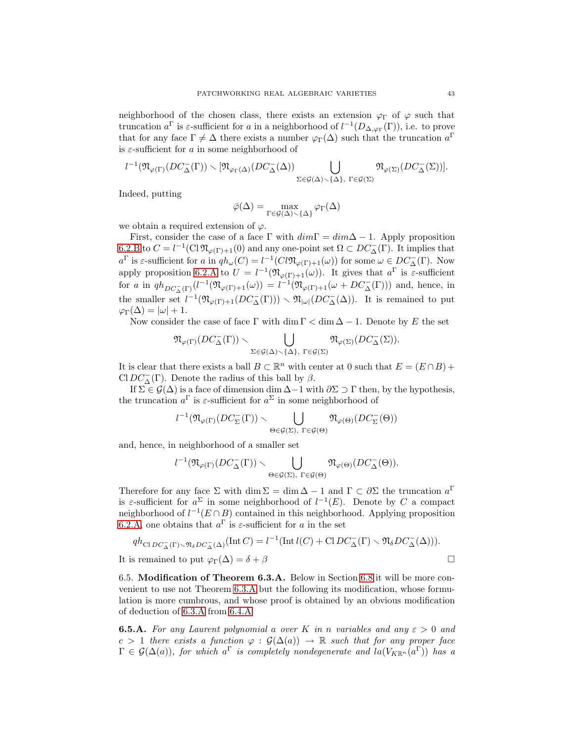neighborhood of the chosen class, there exists an extension  $\varphi_{\Gamma}$  of  $\varphi$  such that truncation  $a^{\Gamma}$  is  $\varepsilon$ -sufficient for a in a neighborhood of  $l^{-1}(D_{\Delta,\varphi_{\Gamma}}(\Gamma))$ , i.e. to prove that for any face  $\Gamma \neq \Delta$  there exists a number  $\varphi_{\Gamma}(\Delta)$  such that the truncation  $a^{\Gamma}$ is  $\varepsilon$ -sufficient for a in some neighborhood of

$$
l^{-1}(\mathfrak{N}_{\varphi(\Gamma)}(DC^-_\Delta(\Gamma))\smallsetminus [\mathfrak{N}_{\varphi_\Gamma(\Delta)}(DC^-_\Delta(\Delta))\bigcup_{\Sigma\in\mathcal{G}(\Delta)\smallsetminus\{\Delta\},\ \Gamma\in\mathcal{G}(\Sigma)}\mathfrak{N}_{\varphi(\Sigma)}(DC^-_\Delta(\Sigma))].
$$

Indeed, putting

$$
\bar{\varphi}(\Delta) = \max_{\Gamma \in \mathcal{G}(\Delta) \smallsetminus \{\Delta\}} \varphi_{\Gamma}(\Delta)
$$

we obtain a required extension of  $\varphi$ .

First, consider the case of a face  $\Gamma$  with  $dim\Gamma = dim\Delta - 1$ . Apply proposition [6.2.B](#page-41-3) to  $C = l^{-1}(\text{Cl } \mathfrak{N}_{\varphi(\Gamma)+1}(0))$  and any one-point set  $\Omega \subset DC_{\Delta}^{-}(\Gamma)$ . It implies that  $a^{\Gamma}$  is  $\varepsilon$ -sufficient for a in  $q h_{\omega}(C) = l^{-1}(Cl\mathfrak{M}_{\varphi(\Gamma)+1}(\omega))$  for some  $\omega \in DC_{\Delta}^{-}(\Gamma)$ . Now apply proposition [6.2.A](#page-45-0) to  $U = l^{-1}(\mathfrak{N}_{\varphi(\Gamma)+1}(\omega))$ . It gives that  $a^{\Gamma}$  is  $\varepsilon$ -sufficient for a in  $qh_{DC_{\Delta}^{-}(\Gamma)}(l^{-1}(\mathfrak{N}_{\varphi(\Gamma)+1}(\omega)) = l^{-1}(\mathfrak{N}_{\varphi(\Gamma)+1}(\omega + DC_{\Delta}^{-}(\Gamma)))$  and, hence, in the smaller set  $l^{-1}(\mathfrak{N}_{\varphi(\Gamma)+1}(DC_{\Delta}^{-}(\Gamma))) \setminus \mathfrak{N}_{|\omega|}(DC_{\Delta}^{-}(\Delta)).$  It is remained to put  $\varphi_{\Gamma}(\Delta) = |\omega| + 1.$ 

Now consider the case of face  $\Gamma$  with dim  $\Gamma < \dim \Delta - 1$ . Denote by E the set

$$
\mathfrak{N}_{\varphi(\Gamma)}(DC_{\Delta}^{-}(\Gamma)) \smallsetminus \bigcup_{\Sigma \in \mathcal{G}(\Delta) \smallsetminus \{\Delta\}, \ \Gamma \in \mathcal{G}(\Sigma)} \mathfrak{N}_{\varphi(\Sigma)}(DC_{\Delta}^{-}(\Sigma)).
$$

It is clear that there exists a ball  $B \subset \mathbb{R}^n$  with center at 0 such that  $E = (E \cap B) +$ Cl  $DC_{\Delta}^{-}(\Gamma)$ . Denote the radius of this ball by  $\beta$ .

If  $\Sigma \in \mathcal{G}(\Delta)$  is a face of dimension dim  $\Delta-1$  with  $\partial \Sigma \supset \Gamma$  then, by the hypothesis, the truncation  $a^{\Gamma}$  is  $\varepsilon$ -sufficient for  $a^{\Sigma}$  in some neighborhood of

$$
l^{-1}(\mathfrak{N}_{\varphi(\Gamma)}(DC_{\Sigma}^{-}(\Gamma))\smallsetminus\bigcup_{\Theta\in\mathcal{G}(\Sigma),\;\Gamma\in\mathcal{G}(\Theta)}\mathfrak{N}_{\varphi(\Theta)}(DC_{\Sigma}^{-}(\Theta))
$$

and, hence, in neighborhood of a smaller set

$$
l^{-1}(\mathfrak{N}_{\varphi(\Gamma)}(DC^-_\Delta(\Gamma)) \smallsetminus \bigcup_{\Theta \in \mathcal{G}(\Sigma),\ \Gamma \in \mathcal{G}(\Theta)} \mathfrak{N}_{\varphi(\Theta)}(DC^-_\Delta(\Theta)).
$$

Therefore for any face  $\Sigma$  with  $\dim \Sigma = \dim \Delta - 1$  and  $\Gamma \subset \partial \Sigma$  the truncation  $a^{\Gamma}$ is  $\varepsilon$ -sufficient for  $a^{\Sigma}$  in some neighborhood of  $l^{-1}(E)$ . Denote by C a compact neighborhood of  $l^{-1}(E \cap B)$  contained in this neighborhood. Applying proposition [6.2.A,](#page-45-0) one obtains that  $a^{\Gamma}$  is  $\varepsilon$ -sufficient for a in the set

$$
qh_{\text{Cl }DC_{\Delta}(\Gamma)\backslash\mathfrak{N}_{\delta}DC_{\Delta}^{-}(\Delta)}(\text{Int } C) = l^{-1}(\text{Int } l(C) + \text{Cl }DC_{\Delta}^{-}(\Gamma) \backslash\mathfrak{N}_{\delta}DC_{\Delta}^{-}(\Delta))).
$$
  
It is remained to put  $\varphi_{\Gamma}(\Delta) = \delta + \beta$ 

<span id="page-43-0"></span>

6.5. Modification of Theorem 6.3.A. Below in Section [6.8](#page-45-1) it will be more convenient to use not Theorem [6.3.A](#page-45-0) but the following its modification, whose formulation is more cumbrous, and whose proof is obtained by an obvious modification of deduction of [6.3.A](#page-45-0) from [6.4.A.](#page-45-0)

**6.5.A.** For any Laurent polynomial a over K in n variables and any  $\varepsilon > 0$  and  $c > 1$  there exists a function  $\varphi : \mathcal{G}(\Delta(a)) \to \mathbb{R}$  such that for any proper face  $\Gamma \in \mathcal{G}(\Delta(a))$ , for which  $a^{\Gamma}$  is completely nondegenerate and  $la(V_{K\mathbb{R}^n}(a^{\Gamma}))$  has a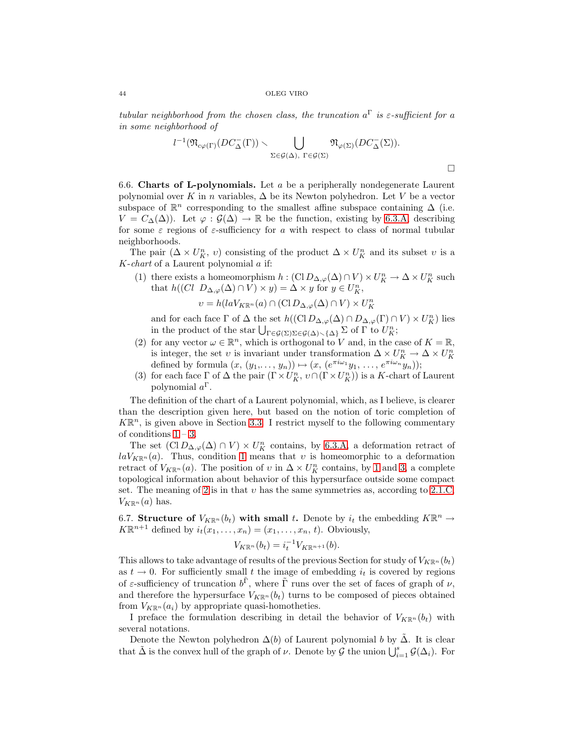*tubular neighborhood from the chosen class, the truncation*  $a^{\Gamma}$  *is*  $\varepsilon$ -sufficient for a *in some neighborhood of*

$$
l^{-1}(\mathfrak{N}_{c\varphi(\Gamma)}(DC_{\Delta}^{-}(\Gamma))\smallsetminus\bigcup_{\Sigma\in\mathcal{G}(\Delta),\ \Gamma\in\mathcal{G}(\Sigma)}\mathfrak{N}_{\varphi(\Sigma)}(DC_{\Delta}^{-}(\Sigma)).
$$

 $\Box$ 

<span id="page-44-0"></span>6.6. Charts of L-polynomials. Let  $a$  be a peripherally nondegenerate Laurent polynomial over K in n variables,  $\Delta$  be its Newton polyhedron. Let V be a vector subspace of  $\mathbb{R}^n$  corresponding to the smallest affine subspace containing  $\Delta$  (i.e.  $V = C_{\Delta}(\Delta)$ . Let  $\varphi : \mathcal{G}(\Delta) \to \mathbb{R}$  be the function, existing by [6.3.A,](#page-45-0) describing for some  $\varepsilon$  regions of  $\varepsilon$ -sufficiency for a with respect to class of normal tubular neighborhoods.

<span id="page-44-2"></span>The pair  $(\Delta \times U_K^n, v)$  consisting of the product  $\Delta \times U_K^n$  and its subset v is a K-*chart* of a Laurent polynomial a if:

(1) there exists a homeomorphism  $h: (\text{Cl }D_{\Delta,\varphi}(\Delta) \cap V) \times U_K^n \to \Delta \times U_K^n$  such that  $h((Cl \ D_{\Delta,\varphi}(\Delta) \cap V) \times y) = \Delta \times y$  for  $y \in U_R^n$ ,

 $v = h(l a V_{K\mathbb{R}^n}(a) \cap (\text{Cl }D_{\Delta,\varphi}(\Delta) \cap V) \times U_K^n$ 

and for each face  $\Gamma$  of  $\Delta$  the set  $h((\text{Cl }D_{\Delta,\varphi}(\Delta) \cap D_{\Delta,\varphi}(\Gamma) \cap V) \times U_K^n)$  lies in the product of the star  $\bigcup_{\Gamma \in \mathcal{G}(\Sigma) \Sigma \in \mathcal{G}(\Delta) \setminus \{\Delta\}} \Sigma$  of  $\Gamma$  to  $U_{K}^{n}$ ;

- <span id="page-44-4"></span>(2) for any vector  $\omega \in \mathbb{R}^n$ , which is orthogonal to V and, in the case of  $K = \mathbb{R}$ , is integer, the set v is invariant under transformation  $\Delta \times U_K^n \to \Delta \times U_K^n$ defined by formula  $(x, (y_1, \ldots, y_n)) \mapsto (x, (e^{\pi i \omega_1} y_1, \ldots, e^{\pi i \omega_n} y_n));$
- <span id="page-44-3"></span>(3) for each face  $\Gamma$  of  $\Delta$  the pair  $(\Gamma \times U_R^n, v \cap (\Gamma \times U_R^n))$  is a K-chart of Laurent polynomial  $a^{\Gamma}$ .

The definition of the chart of a Laurent polynomial, which, as I believe, is clearer than the description given here, but based on the notion of toric completion of  $K\mathbb{R}^n$ , is given above in Section [3.3.](#page-30-0) I restrict myself to the following commentary of conditions [1](#page-44-2) – [3.](#page-44-3)

The set  $(ClD_{\Delta,\varphi}(\Delta) \cap V) \times U_K^n$  contains, by [6.3.A,](#page-45-0) a deformation retract of  $la V_{K\mathbb{R}^n}(a)$ . Thus, condition [1](#page-44-2) means that v is homeomorphic to a deformation retract of  $V_{K\mathbb{R}^n}(a)$ . The position of v in  $\Delta \times U_K^n$  contains, by [1](#page-44-2) and [3,](#page-44-3) a complete topological information about behavior of this hypersurface outside some compact set. The meaning of [2](#page-44-4) is in that  $v$  has the same symmetries as, according to [2.1.C,](#page-27-4)  $V_{K\mathbb{R}^n}(a)$  has.

<span id="page-44-1"></span>6.7. Structure of  $V_{K\mathbb{R}^n}(b_t)$  with small t. Denote by  $i_t$  the embedding  $K\mathbb{R}^n \to$  $K\mathbb{R}^{n+1}$  defined by  $i_t(x_1,\ldots,x_n)=(x_1,\ldots,x_n, t)$ . Obviously,

$$
V_{K\mathbb{R}^n}(b_t) = i_t^{-1} V_{K\mathbb{R}^{n+1}}(b).
$$

This allows to take advantage of results of the previous Section for study of  $V_{K\mathbb{R}^n}(b_t)$ as  $t \to 0$ . For sufficiently small t the image of embedding  $i_t$  is covered by regions of  $\varepsilon$ -sufficiency of truncation  $b^{\tilde{\Gamma}}$ , where  $\tilde{\Gamma}$  runs over the set of faces of graph of  $\nu$ , and therefore the hypersurface  $V_{K\mathbb{R}^n}(b_t)$  turns to be composed of pieces obtained from  $V_{K\mathbb{R}n}(a_i)$  by appropriate quasi-homotheties.

I preface the formulation describing in detail the behavior of  $V_{K\mathbb{R}^n}(b_t)$  with several notations.

Denote the Newton polyhedron  $\Delta(b)$  of Laurent polynomial b by  $\Delta$ . It is clear that  $\tilde{\Delta}$  is the convex hull of the graph of  $\nu$ . Denote by  $\mathcal G$  the union  $\bigcup_{i=1}^s \mathcal G(\Delta_i)$ . For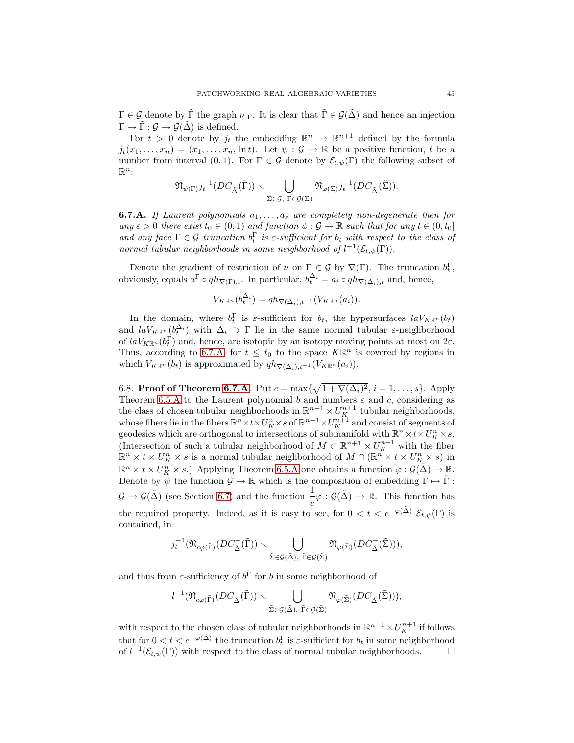$\Gamma \in \mathcal{G}$  denote by  $\tilde{\Gamma}$  the graph  $\nu|_{\Gamma}$ . It is clear that  $\tilde{\Gamma} \in \mathcal{G}(\tilde{\Delta})$  and hence an injection  $\Gamma \to \tilde{\Gamma} : \mathcal{G} \to \mathcal{G}(\tilde{\Delta})$  is defined.

For  $t > 0$  denote by  $j_t$  the embedding  $\mathbb{R}^n \to \mathbb{R}^{n+1}$  defined by the formula  $j_t(x_1,\ldots,x_n)=(x_1,\ldots,x_n,\ln t)$ . Let  $\psi:\mathcal{G}\to\mathbb{R}$  be a positive function, t be a number from interval (0, 1). For  $\Gamma \in \mathcal{G}$  denote by  $\mathcal{E}_{t,\psi}(\Gamma)$  the following subset of  $\mathbb{R}^n$ :

$$
\mathfrak{N}_{\psi(\Gamma)} j_t^{-1} (DC^-_{\tilde{\Delta}}(\tilde{\Gamma})) \smallsetminus \bigcup_{\Sigma \in \mathcal{G}, \ \Gamma \in \mathcal{G}(\Sigma)} \mathfrak{N}_{\varphi(\Sigma)} j_t^{-1} (DC^-_{\tilde{\Delta}}(\tilde{\Sigma})).
$$

<span id="page-45-0"></span>**6.7.A.** If Laurent polynomials  $a_1, \ldots, a_s$  are completely non-degenerate then for  $any \varepsilon > 0$  *there exist*  $t_0 \in (0,1)$  *and function*  $\psi : \mathcal{G} \to \mathbb{R}$  *such that for any*  $t \in (0,t_0]$ and any face  $\Gamma \in \mathcal{G}$  *truncation*  $b_t^{\Gamma}$  *is*  $\varepsilon$ -sufficient for  $b_t$  *with respect to the class of normal tubular neighborhoods in some neighborhood of*  $l^{-1}(\mathcal{E}_{t,\psi}(\Gamma)).$ 

Denote the gradient of restriction of  $\nu$  on  $\Gamma \in \mathcal{G}$  by  $\nabla(\Gamma)$ . The truncation  $b_t^{\Gamma}$ , obviously, equals  $a^{\Gamma} \circ q h_{\nabla(\Gamma),t}$ . In particular,  $b_t^{\Delta_i} = a_i \circ q h_{\nabla(\Delta_i),t}$  and, hence,

$$
V_{K\mathbb{R}^n}(b_t^{\Delta_i}) = q h_{\nabla(\Delta_i), t^{-1}}(V_{K\mathbb{R}^n}(a_i)).
$$

In the domain, where  $b_t^{\Gamma}$  is  $\varepsilon$ -sufficient for  $b_t$ , the hypersurfaces  $la V_{K\mathbb{R}^n}(b_t)$ and  $la V_{K\mathbb{R}^n}(b_t^{\Delta_i})$  with  $\Delta_i \supset \Gamma$  lie in the same normal tubular  $\varepsilon$ -neighborhood of  $la V_{K\mathbb{R}^n}(b_t^{\Gamma})$  and, hence, are isotopic by an isotopy moving points at most on  $2\varepsilon$ . Thus, according to [6.7.A,](#page-45-0) for  $t \leq t_0$  to the space  $K\mathbb{R}^n$  is covered by regions in which  $V_{K\mathbb{R}^n}(b_t)$  is approximated by  $qh_{\nabla(\Delta_i),t^{-1}}(V_{K\mathbb{R}^n}(a_i)).$ 

<span id="page-45-1"></span>6.8. Proof of Theorem [6.7.A.](#page-45-0) Put  $c = \max\{\sqrt{1 + \nabla(\Delta_i)^2}, i = 1, ..., s\}$ . Apply Theorem [6.5.A](#page-45-0) to the Laurent polynomial b and numbers  $\varepsilon$  and c, considering as the class of chosen tubular neighborhoods in  $\mathbb{R}^{n+1} \times U_K^{n+1}$  tubular neighborhoods, whose fibers lie in the fibers  $\mathbb{R}^n \times t \times U_K^n \times s$  of  $\mathbb{R}^{n+1} \times U_K^{n+1}$  and consist of segments of geodesics which are orthogonal to intersections of submanifold with  $\mathbb{R}^n \times t \times U_K^n \times s$ . (Intersection of such a tubular neighborhood of  $M \subset \mathbb{R}^{n+1} \times U_K^{n+1}$  with the fiber  $\mathbb{R}^n \times t \times U_K^n \times s$  is a normal tubular neighborhood of  $M \cap (\mathbb{R}^n \times t \times U_K^n \times s)$  in  $\mathbb{R}^n \times t \times U_K^n \times s$ .) Applying Theorem [6.5.A](#page-45-0) one obtains a function  $\varphi : \mathcal{G}(\tilde{\Delta}) \to \mathbb{R}$ . Denote by  $\psi$  the function  $\mathcal{G} \to \mathbb{R}$  which is the composition of embedding  $\Gamma \mapsto \tilde{\Gamma}$ :  $\mathcal{G} \to \mathcal{G}(\tilde{\Delta})$  (see Section [6.7\)](#page-44-1) and the function  $\frac{1}{\epsilon}$  $\frac{1}{c}\varphi : \mathcal{G}(\tilde{\Delta}) \to \mathbb{R}$ . This function has the required property. Indeed, as it is easy to see, for  $0 < t < e^{-\varphi(\tilde{\Delta})} \mathcal{E}_{t,\psi}(\Gamma)$  is contained, in

$$
j_t^{-1}(\mathfrak{N}_{c\varphi(\tilde{\Gamma})}(DC^-_{\tilde{\Delta}}(\tilde{\Gamma})) \smallsetminus \bigcup_{\tilde{\Sigma}\in\mathcal{G}(\tilde{\Delta}),\ \tilde{\Gamma}\in\mathcal{G}(\tilde{\Sigma})}\mathfrak{N}_{\varphi(\tilde{\Sigma})}(DC^-_{\tilde{\Delta}}(\tilde{\Sigma}))),
$$

and thus from  $\varepsilon$ -sufficiency of  $b^{\tilde{\Gamma}}$  for b in some neighborhood of

$$
l^{-1}(\mathfrak{N}_{c\varphi(\tilde{\Gamma})}(DC^-_{\tilde{\Delta}}(\tilde{\Gamma}))\smallsetminus\bigcup_{\tilde{\Sigma}\in\mathcal{G}(\tilde{\Delta}),\ \tilde{\Gamma}\in\mathcal{G}(\tilde{\Sigma})}\mathfrak{N}_{\varphi(\tilde{\Sigma})}(DC^-_{\tilde{\Delta}}(\tilde{\Sigma}))),
$$

with respect to the chosen class of tubular neighborhoods in  $\mathbb{R}^{n+1} \times U_K^{n+1}$  if follows that for  $0 < t < e^{-\varphi(\tilde{\Delta})}$  the truncation  $b_t^{\Gamma}$  is  $\varepsilon$ -sufficient for  $b_t$  in some neighborhood of  $l^{-1}(\mathcal{E}_{t,\psi}(\Gamma))$  with respect to the class of normal tubular neighborhoods.  $\Box$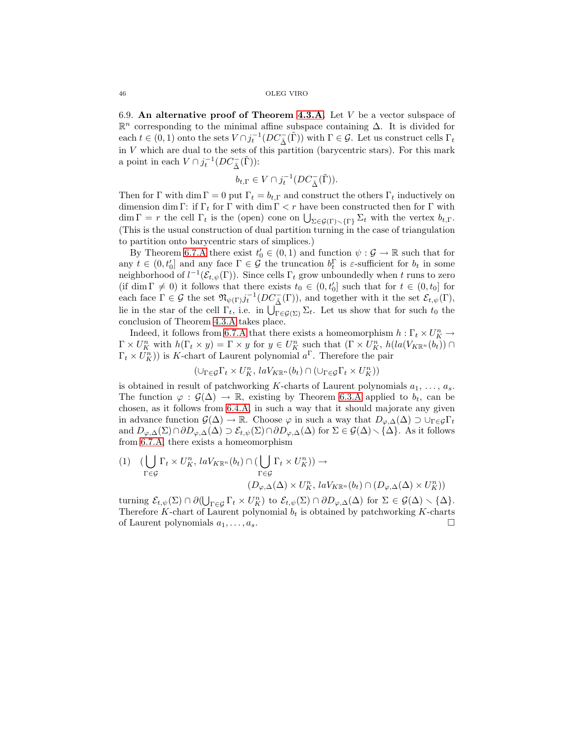<span id="page-46-0"></span>6.9. An alternative proof of Theorem [4.3.A.](#page-32-4) Let  $V$  be a vector subspace of  $\mathbb{R}^n$  corresponding to the minimal affine subspace containing Δ. It is divided for each  $t \in (0,1)$  onto the sets  $V \cap j_t^{-1}(DC_{\tilde{\Delta}}(\tilde{\Gamma}))$  with  $\Gamma \in \mathcal{G}$ . Let us construct cells  $\Gamma_t$ in  $V$  which are dual to the sets of this partition (barycentric stars). For this mark a point in each  $V \cap j_t^{-1}(DC_{\tilde{\Delta}}(\tilde{\Gamma}))$ :

$$
b_{t,\Gamma}\in V\cap j_t^{-1}(DC^-_{\tilde{\Delta}}(\tilde{\Gamma})).
$$

Then for Γ with dim Γ = 0 put  $\Gamma_t = b_{t,\Gamma}$  and construct the others  $\Gamma_t$  inductively on dimension dim Γ: if Γ<sub>t</sub> for Γ with dim Γ < r have been constructed then for Γ with  $\dim \Gamma = r$  the cell  $\Gamma_t$  is the (open) cone on  $\bigcup_{\Sigma \in \mathcal{G}(\Gamma) \setminus {\{\Gamma\}}} \Sigma_t$  with the vertex  $b_{t,\Gamma}$ . (This is the usual construction of dual partition turning in the case of triangulation to partition onto barycentric stars of simplices.)

By Theorem [6.7.A](#page-45-0) there exist  $t'_0 \in (0,1)$  and function  $\psi : \mathcal{G} \to \mathbb{R}$  such that for any  $t \in (0, t'_0]$  and any face  $\Gamma \in \mathcal{G}$  the truncation  $b_t^{\Gamma}$  is  $\varepsilon$ -sufficient for  $b_t$  in some neighborhood of  $l^{-1}(\mathcal{E}_{t,\psi}(\Gamma))$ . Since cells  $\Gamma_t$  grow unboundedly when t runs to zero (if dim  $\Gamma \neq 0$ ) it follows that there exists  $t_0 \in (0, t'_0]$  such that for  $t \in (0, t_0]$  for each face  $\Gamma \in \mathcal{G}$  the set  $\mathfrak{N}_{\psi(\Gamma)} j_t^{-1}(DC_{\tilde{\Delta}}^{-}(\Gamma)),$  and together with it the set  $\mathcal{E}_{t,\psi}(\Gamma),$ lie in the star of the cell  $\Gamma_t$ , i.e. in  $\bigcup_{\Gamma \in \mathcal{G}(\Sigma)} \Sigma_t$ . Let us show that for such  $t_0$  the conclusion of Theorem [4.3.A](#page-32-4) takes place.

Indeed, it follows from [6.7.A](#page-45-0) that there exists a homeomorphism  $h: \Gamma_t \times U_K^n \to$  $\Gamma \times U_K^n$  with  $h(\Gamma_t \times y) = \Gamma \times y$  for  $y \in U_K^n$  such that  $(\Gamma \times U_K^n, h(la(V_{K\mathbb{R}^n}(b_t))) \cap$  $\Gamma_t \times U_K^n$ ) is K-chart of Laurent polynomial  $a^{\Gamma}$ . Therefore the pair

$$
(\cup_{\Gamma \in \mathcal{G}} \Gamma_t \times U_K^n, laV_{K\mathbb{R}^n}(b_t) \cap (\cup_{\Gamma \in \mathcal{G}} \Gamma_t \times U_K^n))
$$

is obtained in result of patchworking K-charts of Laurent polynomials  $a_1, \ldots, a_s$ . The function  $\varphi : \mathcal{G}(\Delta) \to \mathbb{R}$ , existing by Theorem [6.3.A](#page-45-0) applied to  $b_t$ , can be chosen, as it follows from [6.4.A,](#page-45-0) in such a way that it should majorate any given in advance function  $\mathcal{G}(\Delta) \to \mathbb{R}$ . Choose  $\varphi$  in such a way that  $D_{\varphi,\Delta}(\Delta) \supset \cup_{\Gamma \in \mathcal{G}} \Gamma_t$ and  $D_{\varphi,\Delta}(\Sigma)\cap \partial D_{\varphi,\Delta}(\Delta) \supset \mathcal{E}_{t,\psi}(\Sigma)\cap \partial D_{\varphi,\Delta}(\Delta)$  for  $\Sigma \in \mathcal{G}(\Delta) \setminus {\Delta}$ . As it follows from [6.7.A,](#page-45-0) there exists a homeomorphism

$$
(1) \quad (\bigcup_{\Gamma \in \mathcal{G}} \Gamma_t \times U_K^n, \, laV_{K\mathbb{R}^n}(b_t) \cap (\bigcup_{\Gamma \in \mathcal{G}} \Gamma_t \times U_K^n)) \to (D_{\varphi,\Delta}(\Delta) \times U_K^n, \, laV_{K\mathbb{R}^n}(b_t) \cap (D_{\varphi,\Delta}(\Delta) \times U_K^n))
$$

turning  $\mathcal{E}_{t,\psi}(\Sigma) \cap \partial(\bigcup_{\Gamma \in \mathcal{G}} \Gamma_t \times U_R^n)$  to  $\mathcal{E}_{t,\psi}(\Sigma) \cap \partial D_{\varphi,\Delta}(\Delta)$  for  $\Sigma \in \mathcal{G}(\Delta) \setminus {\Delta}.$ Therefore K-chart of Laurent polynomial  $b_t$  is obtained by patchworking K-charts of Laurent polynomials  $a_1, \ldots, a_s$ .